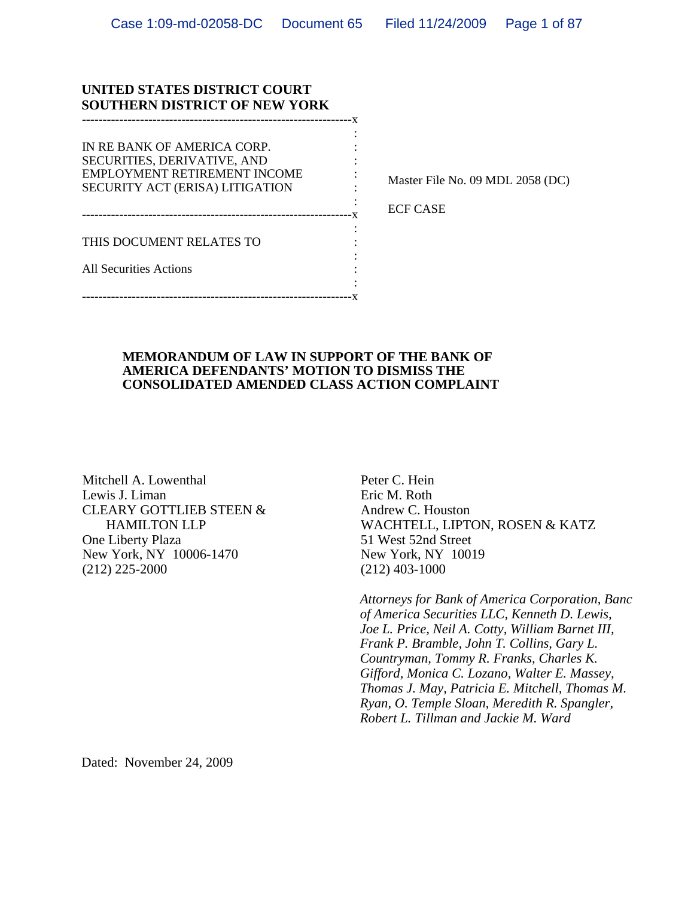#### **UNITED STATES DISTRICT COURT SOUTHERN DISTRICT OF NEW YORK**

-----------------------------------------------------------------x

the contract of the contract of the contract of the contract of the contract of the contract of the contract of -----------------------------------------------------------------x

the contract of the contract of the contract of the contract of the contract of the contract of the contract of IN RE BANK OF AMERICA CORP. SECURITIES, DERIVATIVE, AND : EMPLOYMENT RETIREMENT INCOME : SECURITY ACT (ERISA) LITIGATION :

the contract of the contract of the contract of the contract of the contract of the contract of the contract of THIS DOCUMENT RELATES TO :

All Securities Actions

the contract of the contract of the contract of the contract of the contract of the contract of the contract of -----------------------------------------------------------------x

the contract of the contract of the contract of the contract of the contract of the contract of the contract of

Master File No. 09 MDL 2058 (DC)

ECF CASE

#### **MEMORANDUM OF LAW IN SUPPORT OF THE BANK OF AMERICA DEFENDANTS' MOTION TO DISMISS THE CONSOLIDATED AMENDED CLASS ACTION COMPLAINT**

Mitchell A. Lowenthal Lewis J. Liman CLEARY GOTTLIEB STEEN & HAMILTON LLP One Liberty Plaza New York, NY 10006-1470 (212) 225-2000

 Peter C. Hein Eric M. Roth Andrew C. Houston WACHTELL, LIPTON, ROSEN & KATZ 51 West 52nd Street New York, NY 10019 (212) 403-1000

*Attorneys for Bank of America Corporation, Banc of America Securities LLC, Kenneth D. Lewis, Joe L. Price, Neil A. Cotty, William Barnet III, Frank P. Bramble, John T. Collins, Gary L. Countryman, Tommy R. Franks, Charles K. Gifford, Monica C. Lozano, Walter E. Massey, Thomas J. May, Patricia E. Mitchell, Thomas M. Ryan, O. Temple Sloan, Meredith R. Spangler, Robert L. Tillman and Jackie M. Ward* 

Dated: November 24, 2009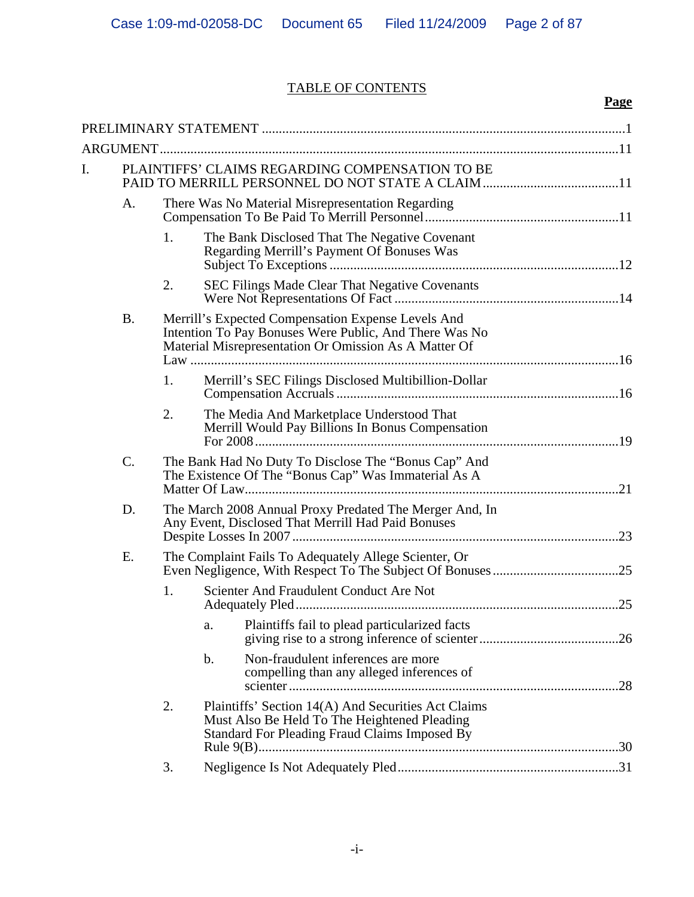## TABLE OF CONTENTS

**Page**

|    | ARGUMENT  |                                                                                                                                                                       |                                                                                                                                                      |  |  |  |
|----|-----------|-----------------------------------------------------------------------------------------------------------------------------------------------------------------------|------------------------------------------------------------------------------------------------------------------------------------------------------|--|--|--|
| I. |           |                                                                                                                                                                       | PLAINTIFFS' CLAIMS REGARDING COMPENSATION TO BE                                                                                                      |  |  |  |
|    |           |                                                                                                                                                                       |                                                                                                                                                      |  |  |  |
|    | A.        |                                                                                                                                                                       | There Was No Material Misrepresentation Regarding                                                                                                    |  |  |  |
|    |           | 1.                                                                                                                                                                    | The Bank Disclosed That The Negative Covenant<br>Regarding Merrill's Payment Of Bonuses Was                                                          |  |  |  |
|    |           | 2.                                                                                                                                                                    | <b>SEC Filings Made Clear That Negative Covenants</b>                                                                                                |  |  |  |
|    | <b>B.</b> | Merrill's Expected Compensation Expense Levels And<br>Intention To Pay Bonuses Were Public, And There Was No<br>Material Misrepresentation Or Omission As A Matter Of |                                                                                                                                                      |  |  |  |
|    |           | 1.                                                                                                                                                                    | Merrill's SEC Filings Disclosed Multibillion-Dollar                                                                                                  |  |  |  |
|    |           | 2.                                                                                                                                                                    | The Media And Marketplace Understood That<br>Merrill Would Pay Billions In Bonus Compensation                                                        |  |  |  |
|    | C.        |                                                                                                                                                                       | The Bank Had No Duty To Disclose The "Bonus Cap" And<br>The Existence Of The "Bonus Cap" Was Immaterial As A                                         |  |  |  |
|    | D.        |                                                                                                                                                                       | The March 2008 Annual Proxy Predated The Merger And, In<br>Any Event, Disclosed That Merrill Had Paid Bonuses                                        |  |  |  |
|    | Ε.        |                                                                                                                                                                       | The Complaint Fails To Adequately Allege Scienter, Or                                                                                                |  |  |  |
|    |           | 1.                                                                                                                                                                    | Scienter And Fraudulent Conduct Are Not                                                                                                              |  |  |  |
|    |           |                                                                                                                                                                       | Plaintiffs fail to plead particularized facts<br>a.                                                                                                  |  |  |  |
|    |           |                                                                                                                                                                       | Non-fraudulent inferences are more<br>$\mathbf b$ .<br>compelling than any alleged inferences of                                                     |  |  |  |
|    |           | 2.                                                                                                                                                                    | Plaintiffs' Section 14(A) And Securities Act Claims<br>Must Also Be Held To The Heightened Pleading<br>Standard For Pleading Fraud Claims Imposed By |  |  |  |
|    |           | 3.                                                                                                                                                                    |                                                                                                                                                      |  |  |  |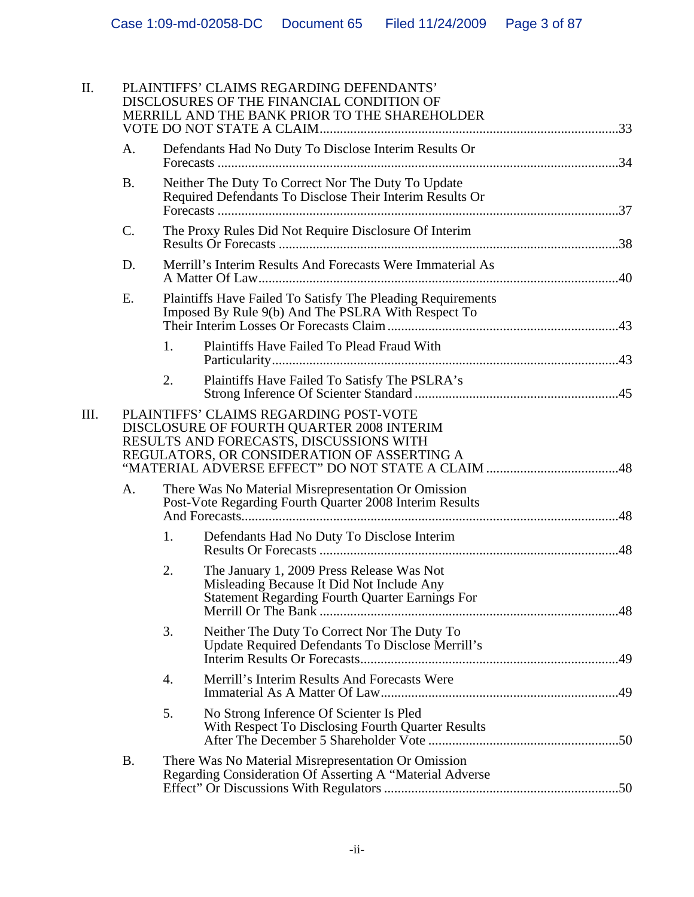| Π. | PLAINTIFFS' CLAIMS REGARDING DEFENDANTS'<br>DISCLOSURES OF THE FINANCIAL CONDITION OF<br>MERRILL AND THE BANK PRIOR TO THE SHAREHOLDER |                                                                                                                                                                               |                                                                                                                                                  |  |  |  |
|----|----------------------------------------------------------------------------------------------------------------------------------------|-------------------------------------------------------------------------------------------------------------------------------------------------------------------------------|--------------------------------------------------------------------------------------------------------------------------------------------------|--|--|--|
|    | A.                                                                                                                                     |                                                                                                                                                                               | Defendants Had No Duty To Disclose Interim Results Or                                                                                            |  |  |  |
|    | <b>B.</b>                                                                                                                              | Neither The Duty To Correct Nor The Duty To Update<br>Required Defendants To Disclose Their Interim Results Or                                                                |                                                                                                                                                  |  |  |  |
|    | C.                                                                                                                                     |                                                                                                                                                                               | The Proxy Rules Did Not Require Disclosure Of Interim                                                                                            |  |  |  |
|    | D.                                                                                                                                     |                                                                                                                                                                               | Merrill's Interim Results And Forecasts Were Immaterial As                                                                                       |  |  |  |
|    | E.                                                                                                                                     |                                                                                                                                                                               | Plaintiffs Have Failed To Satisfy The Pleading Requirements<br>Imposed By Rule 9(b) And The PSLRA With Respect To                                |  |  |  |
|    |                                                                                                                                        | 1.                                                                                                                                                                            | Plaintiffs Have Failed To Plead Fraud With                                                                                                       |  |  |  |
|    |                                                                                                                                        | 2.                                                                                                                                                                            | Plaintiffs Have Failed To Satisfy The PSLRA's                                                                                                    |  |  |  |
| Ш. |                                                                                                                                        | PLAINTIFFS' CLAIMS REGARDING POST-VOTE<br>DISCLOSURE OF FOURTH QUARTER 2008 INTERIM<br>RESULTS AND FORECASTS, DISCUSSIONS WITH<br>REGULATORS, OR CONSIDERATION OF ASSERTING A |                                                                                                                                                  |  |  |  |
|    | А.                                                                                                                                     |                                                                                                                                                                               | There Was No Material Misrepresentation Or Omission<br>Post-Vote Regarding Fourth Quarter 2008 Interim Results                                   |  |  |  |
|    |                                                                                                                                        | 1.                                                                                                                                                                            | Defendants Had No Duty To Disclose Interim                                                                                                       |  |  |  |
|    |                                                                                                                                        | 2.                                                                                                                                                                            | The January 1, 2009 Press Release Was Not<br>Misleading Because It Did Not Include Any<br><b>Statement Regarding Fourth Quarter Earnings For</b> |  |  |  |
|    |                                                                                                                                        | 3.                                                                                                                                                                            | Neither The Duty To Correct Nor The Duty To<br>Update Required Defendants To Disclose Merrill's                                                  |  |  |  |
|    |                                                                                                                                        | 4.                                                                                                                                                                            | Merrill's Interim Results And Forecasts Were                                                                                                     |  |  |  |
|    |                                                                                                                                        | 5.                                                                                                                                                                            | No Strong Inference Of Scienter Is Pled<br>With Respect To Disclosing Fourth Quarter Results                                                     |  |  |  |
|    | <b>B.</b>                                                                                                                              |                                                                                                                                                                               | There Was No Material Misrepresentation Or Omission<br>Regarding Consideration Of Asserting A "Material Adverse                                  |  |  |  |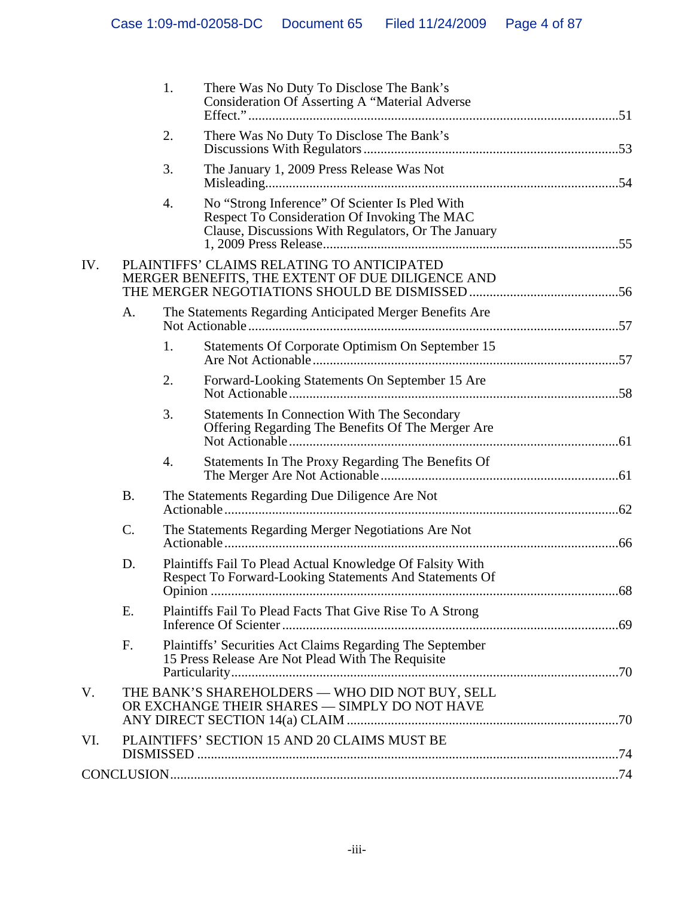|     |                                                                                                | 1.               | There Was No Duty To Disclose The Bank's<br>Consideration Of Asserting A "Material Adverse                                                            |  |
|-----|------------------------------------------------------------------------------------------------|------------------|-------------------------------------------------------------------------------------------------------------------------------------------------------|--|
|     |                                                                                                | 2.               | There Was No Duty To Disclose The Bank's                                                                                                              |  |
|     |                                                                                                | 3.               | The January 1, 2009 Press Release Was Not                                                                                                             |  |
|     |                                                                                                | 4.               | No "Strong Inference" Of Scienter Is Pled With<br>Respect To Consideration Of Invoking The MAC<br>Clause, Discussions With Regulators, Or The January |  |
| IV. | PLAINTIFFS' CLAIMS RELATING TO ANTICIPATED<br>MERGER BENEFITS, THE EXTENT OF DUE DILIGENCE AND |                  |                                                                                                                                                       |  |
|     | A.                                                                                             |                  | The Statements Regarding Anticipated Merger Benefits Are                                                                                              |  |
|     |                                                                                                | 1.               | Statements Of Corporate Optimism On September 15                                                                                                      |  |
|     |                                                                                                | 2.               | Forward-Looking Statements On September 15 Are                                                                                                        |  |
|     |                                                                                                | 3.               | <b>Statements In Connection With The Secondary</b><br>Offering Regarding The Benefits Of The Merger Are                                               |  |
|     |                                                                                                | $\overline{4}$ . | Statements In The Proxy Regarding The Benefits Of                                                                                                     |  |
|     | <b>B.</b>                                                                                      |                  | The Statements Regarding Due Diligence Are Not                                                                                                        |  |
|     | C.                                                                                             |                  | The Statements Regarding Merger Negotiations Are Not                                                                                                  |  |
|     | D.                                                                                             |                  | Plaintiffs Fail To Plead Actual Knowledge Of Falsity With<br>Respect To Forward-Looking Statements And Statements Of                                  |  |
|     | Ε.                                                                                             |                  | Plaintiffs Fail To Plead Facts That Give Rise To A Strong                                                                                             |  |
|     | F.                                                                                             |                  | Plaintiffs' Securities Act Claims Regarding The September<br>15 Press Release Are Not Plead With The Requisite                                        |  |
| V.  |                                                                                                |                  | THE BANK'S SHAREHOLDERS - WHO DID NOT BUY, SELL<br>OR EXCHANGE THEIR SHARES - SIMPLY DO NOT HAVE                                                      |  |
| VI. |                                                                                                |                  | PLAINTIFFS' SECTION 15 AND 20 CLAIMS MUST BE                                                                                                          |  |
|     |                                                                                                |                  |                                                                                                                                                       |  |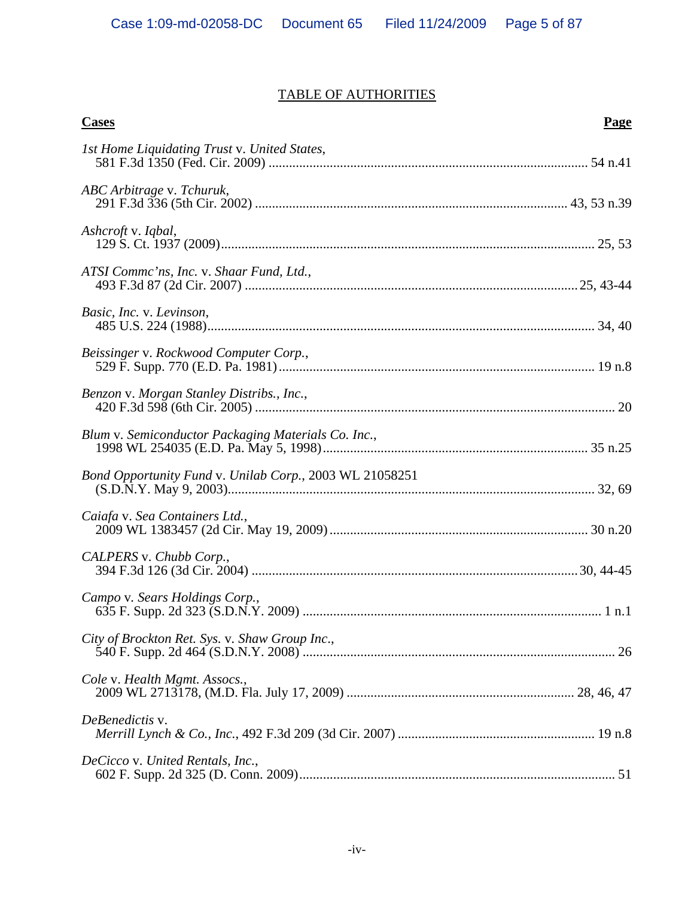# TABLE OF AUTHORITIES

| <b>Cases</b>                                            | <b>Page</b> |
|---------------------------------------------------------|-------------|
| 1st Home Liquidating Trust v. United States,            |             |
| ABC Arbitrage v. Tchuruk,                               |             |
| Ashcroft v. Iqbal,                                      |             |
| ATSI Comme'ns, Inc. v. Shaar Fund, Ltd.,                |             |
| Basic, Inc. v. Levinson,                                |             |
| Beissinger v. Rockwood Computer Corp.,                  |             |
| Benzon v. Morgan Stanley Distribs., Inc.,               |             |
| Blum v. Semiconductor Packaging Materials Co. Inc.,     |             |
| Bond Opportunity Fund v. Unilab Corp., 2003 WL 21058251 |             |
| Caiafa v. Sea Containers Ltd.,                          |             |
| CALPERS v. Chubb Corp.,                                 |             |
| Campo v. Sears Holdings Corp.,                          |             |
| City of Brockton Ret. Sys. v. Shaw Group Inc.,          |             |
| Cole v. Health Mgmt. Assocs.,                           |             |
| DeBenedictis v.                                         |             |
| DeCicco v. United Rentals, Inc.,                        |             |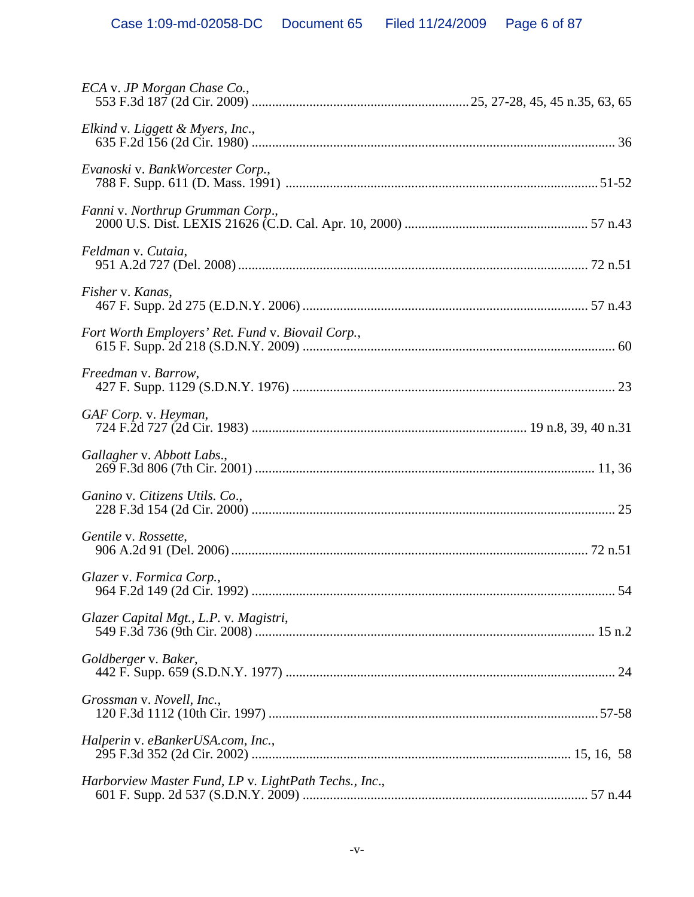| ECA v. JP Morgan Chase Co.,                           |  |
|-------------------------------------------------------|--|
| Elkind v. Liggett & Myers, Inc.,                      |  |
| Evanoski v. BankWorcester Corp.,                      |  |
| Fanni v. Northrup Grumman Corp.,                      |  |
| Feldman v. Cutaia,                                    |  |
| Fisher v. Kanas,                                      |  |
| Fort Worth Employers' Ret. Fund v. Biovail Corp.,     |  |
| Freedman v. Barrow,                                   |  |
| GAF Corp. v. Heyman,                                  |  |
| Gallagher v. Abbott Labs.,                            |  |
| Ganino v. Citizens Utils. Co.,                        |  |
| Gentile v. Rossette,                                  |  |
| Glazer v. Formica Corp.,                              |  |
| Glazer Capital Mgt., L.P. v. Magistri,                |  |
| Goldberger v. Baker,                                  |  |
| Grossman v. Novell, Inc.,                             |  |
| Halperin v. eBankerUSA.com, Inc.,                     |  |
| Harborview Master Fund, LP v. LightPath Techs., Inc., |  |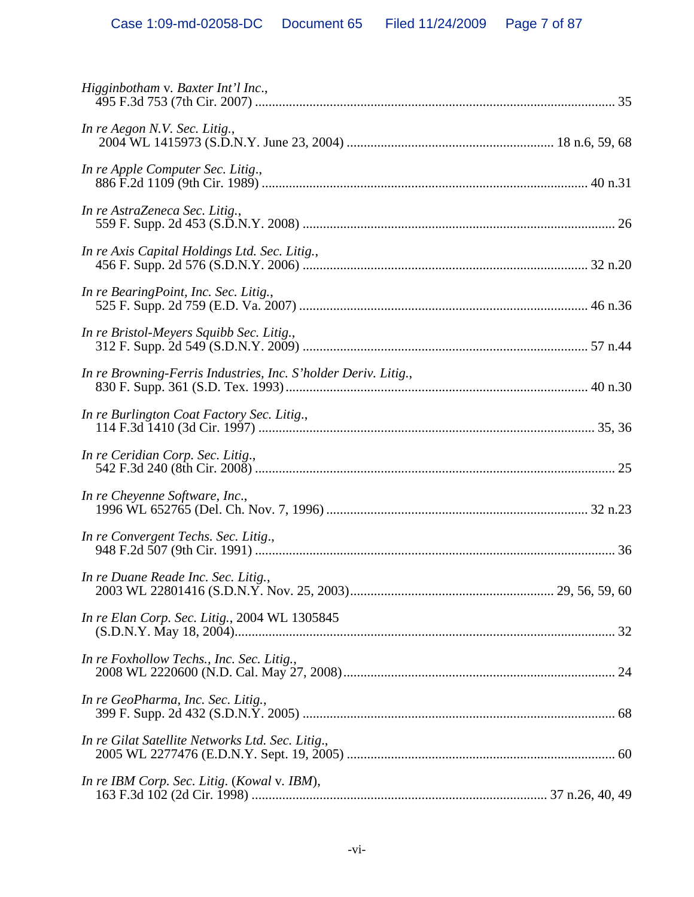| Higginbotham v. Baxter Int'l Inc.,                             |  |
|----------------------------------------------------------------|--|
| In re Aegon N.V. Sec. Litig.,                                  |  |
| In re Apple Computer Sec. Litig.,                              |  |
| In re AstraZeneca Sec. Litig.,                                 |  |
| In re Axis Capital Holdings Ltd. Sec. Litig.,                  |  |
| In re BearingPoint, Inc. Sec. Litig.,                          |  |
| In re Bristol-Meyers Squibb Sec. Litig.,                       |  |
| In re Browning-Ferris Industries, Inc. S'holder Deriv. Litig., |  |
| In re Burlington Coat Factory Sec. Litig.,                     |  |
| In re Ceridian Corp. Sec. Litig.,                              |  |
| In re Cheyenne Software, Inc.,                                 |  |
| In re Convergent Techs. Sec. Litig.,                           |  |
| In re Duane Reade Inc. Sec. Litig.,                            |  |
| In re Elan Corp. Sec. Litig., 2004 WL 1305845                  |  |
| In re Foxhollow Techs., Inc. Sec. Litig.,                      |  |
| In re GeoPharma, Inc. Sec. Litig.,                             |  |
| In re Gilat Satellite Networks Ltd. Sec. Litig.,               |  |
| In re IBM Corp. Sec. Litig. (Kowal v. IBM),                    |  |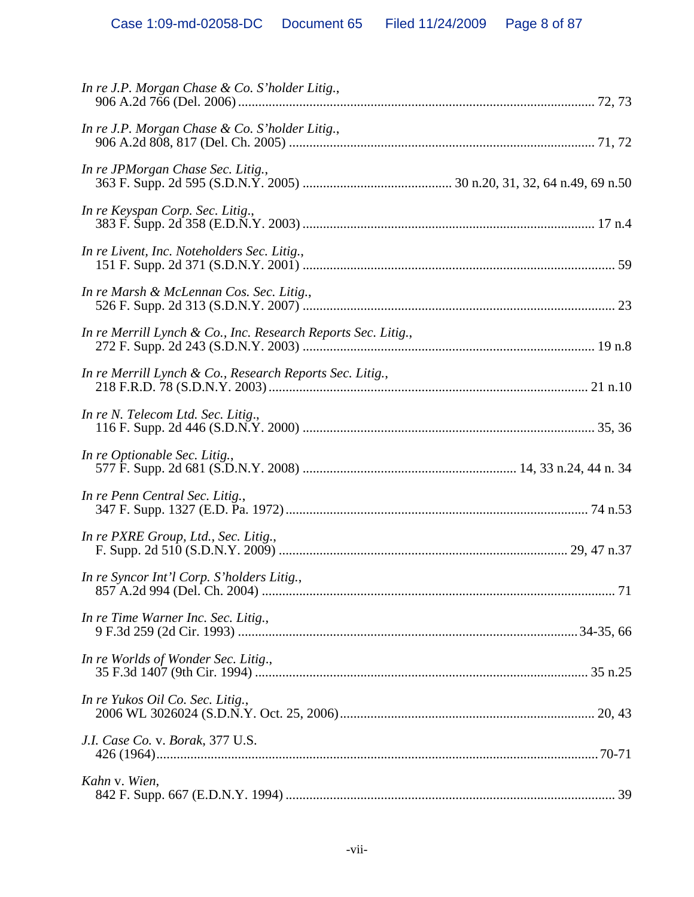| In re J.P. Morgan Chase & Co. S'holder Litig.,                |  |
|---------------------------------------------------------------|--|
| In re JPMorgan Chase Sec. Litig.,                             |  |
| In re Keyspan Corp. Sec. Litig.,                              |  |
| In re Livent, Inc. Noteholders Sec. Litig.,                   |  |
| In re Marsh & McLennan Cos. Sec. Litig.,                      |  |
| In re Merrill Lynch & Co., Inc. Research Reports Sec. Litig., |  |
| In re Merrill Lynch & Co., Research Reports Sec. Litig.,      |  |
| In re N. Telecom Ltd. Sec. Litig.,                            |  |
| In re Optionable Sec. Litig.,                                 |  |
| In re Penn Central Sec. Litig.,                               |  |
| In re PXRE Group, Ltd., Sec. Litig.,                          |  |
| In re Syncor Int'l Corp. S'holders Litig.,                    |  |
| In re Time Warner Inc. Sec. Litig.,                           |  |
| In re Worlds of Wonder Sec. Litig.,                           |  |
| In re Yukos Oil Co. Sec. Litig.,                              |  |
| J.I. Case Co. v. Borak, 377 U.S.                              |  |
| Kahn v. Wien,                                                 |  |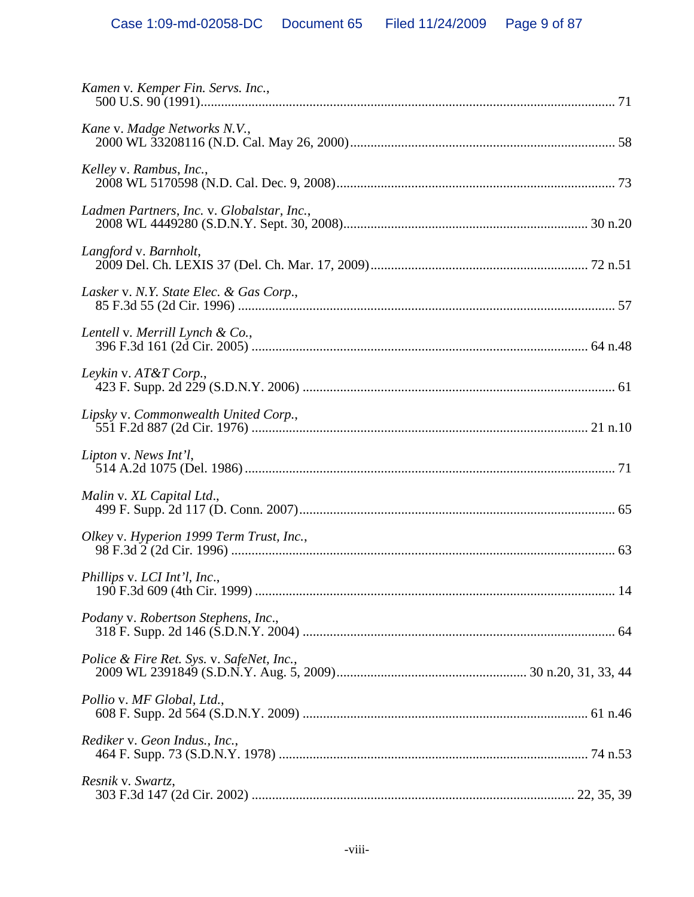| Kamen v. Kemper Fin. Servs. Inc.,          |  |
|--------------------------------------------|--|
| Kane v. Madge Networks N.V.,               |  |
| Kelley v. Rambus, Inc.,                    |  |
| Ladmen Partners, Inc. v. Globalstar, Inc., |  |
| Langford v. Barnholt,                      |  |
| Lasker v. N.Y. State Elec. & Gas Corp.,    |  |
| Lentell v. Merrill Lynch & Co.,            |  |
| Leykin v. AT&T Corp.,                      |  |
| Lipsky v. Commonwealth United Corp.,       |  |
| Lipton v. News Int'l,                      |  |
| Malin v. XL Capital Ltd.,                  |  |
| Olkey v. Hyperion 1999 Term Trust, Inc.,   |  |
| Phillips v. LCI Int'l, Inc.,               |  |
| Podany v. Robertson Stephens, Inc.,        |  |
| Police & Fire Ret. Sys. v. SafeNet, Inc.,  |  |
| Pollio v. MF Global, Ltd.,                 |  |
| Rediker v. Geon Indus., Inc.,              |  |
| Resnik v. Swartz,                          |  |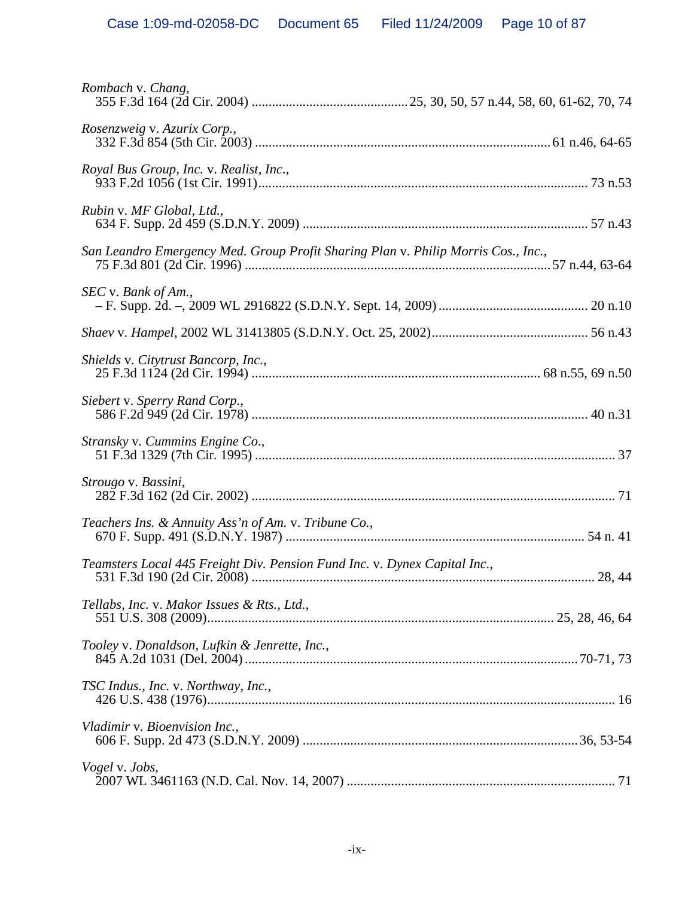| Rombach v. Chang,                                                                 |  |
|-----------------------------------------------------------------------------------|--|
| Rosenzweig v. Azurix Corp.,                                                       |  |
| Royal Bus Group, Inc. v. Realist, Inc.,                                           |  |
| Rubin v. MF Global, Ltd.,                                                         |  |
| San Leandro Emergency Med. Group Profit Sharing Plan v. Philip Morris Cos., Inc., |  |
| SEC v. Bank of Am.,                                                               |  |
|                                                                                   |  |
| Shields v. Citytrust Bancorp, Inc.,                                               |  |
| Siebert v. Sperry Rand Corp.,                                                     |  |
| Stransky v. Cummins Engine Co.,                                                   |  |
| Strougo v. Bassini,                                                               |  |
| Teachers Ins. & Annuity Ass'n of Am. v. Tribune Co.,                              |  |
| Teamsters Local 445 Freight Div. Pension Fund Inc. v. Dynex Capital Inc.,         |  |
| Tellabs, Inc. v. Makor Issues & Rts., Ltd.,                                       |  |
| Tooley v. Donaldson, Lufkin & Jenrette, Inc.,                                     |  |
| TSC Indus., Inc. v. Northway, Inc.,                                               |  |
| Vladimir v. Bioenvision Inc.,                                                     |  |
| Vogel v. Jobs,                                                                    |  |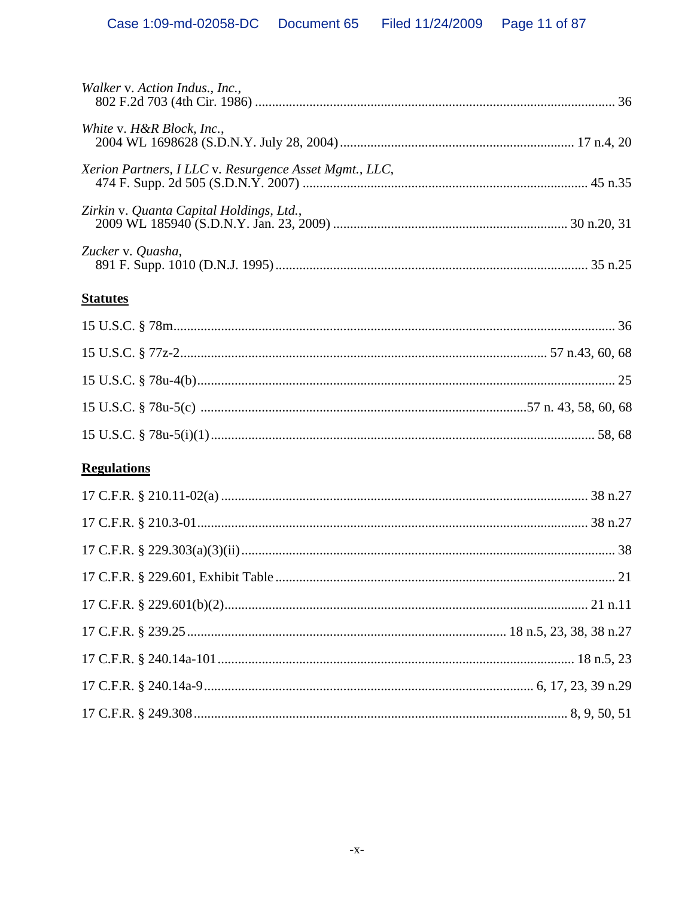| Walker v. Action Indus., Inc.,                         |  |
|--------------------------------------------------------|--|
| White v. H&R Block, Inc.,                              |  |
| Xerion Partners, I LLC v. Resurgence Asset Mgmt., LLC, |  |
| Zirkin v. Quanta Capital Holdings, Ltd.,               |  |
| Zucker v. Quasha,                                      |  |

## **Statutes**

# **Regulations**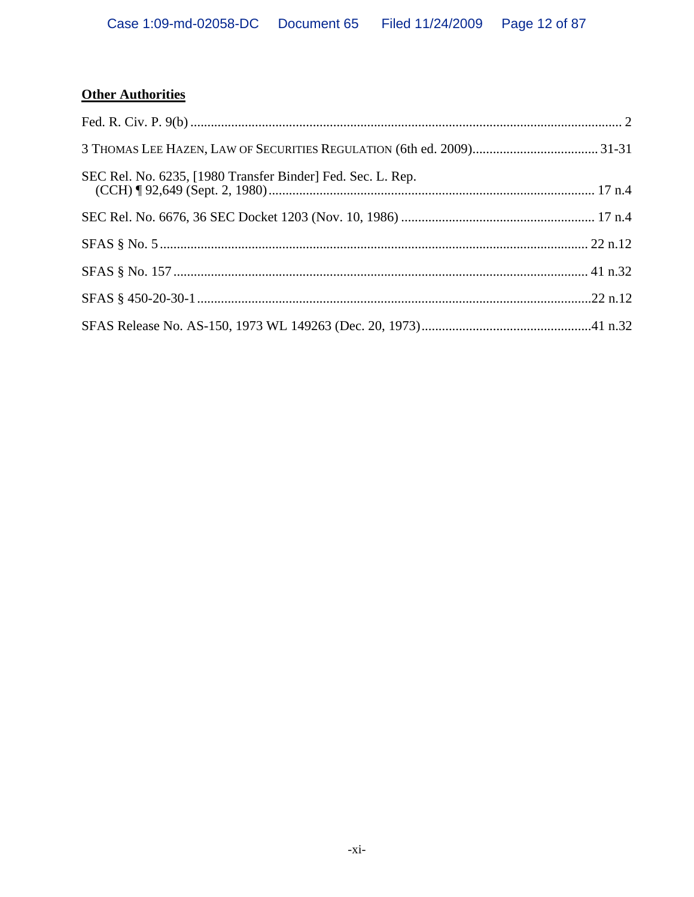# **Other Authorities**

| SEC Rel. No. 6235, [1980 Transfer Binder] Fed. Sec. L. Rep. |  |
|-------------------------------------------------------------|--|
|                                                             |  |
|                                                             |  |
|                                                             |  |
|                                                             |  |
|                                                             |  |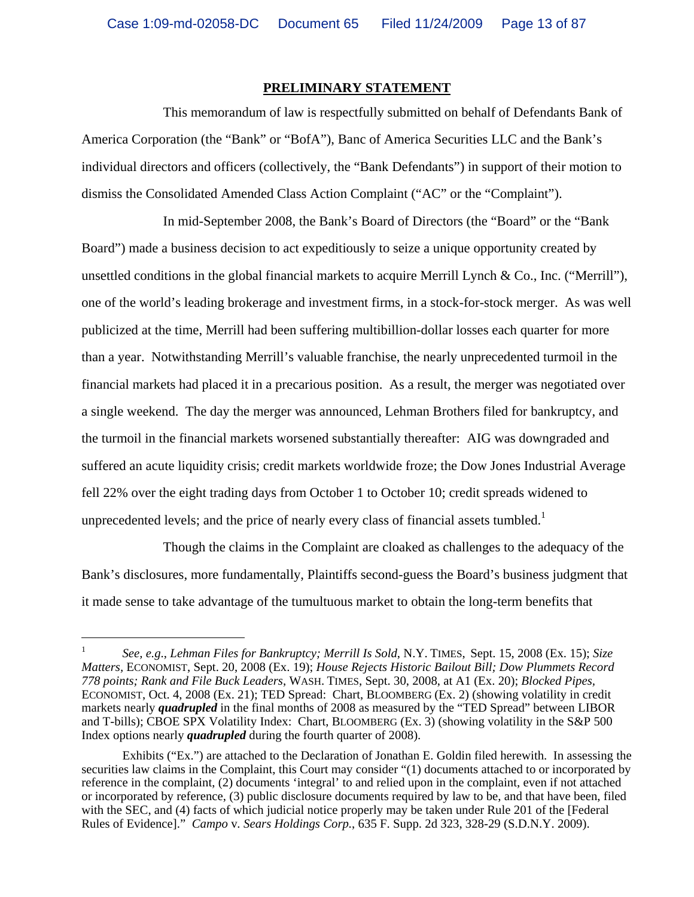#### **PRELIMINARY STATEMENT**

This memorandum of law is respectfully submitted on behalf of Defendants Bank of America Corporation (the "Bank" or "BofA"), Banc of America Securities LLC and the Bank's individual directors and officers (collectively, the "Bank Defendants") in support of their motion to dismiss the Consolidated Amended Class Action Complaint ("AC" or the "Complaint").

In mid-September 2008, the Bank's Board of Directors (the "Board" or the "Bank Board") made a business decision to act expeditiously to seize a unique opportunity created by unsettled conditions in the global financial markets to acquire Merrill Lynch & Co., Inc. ("Merrill"), one of the world's leading brokerage and investment firms, in a stock-for-stock merger. As was well publicized at the time, Merrill had been suffering multibillion-dollar losses each quarter for more than a year. Notwithstanding Merrill's valuable franchise, the nearly unprecedented turmoil in the financial markets had placed it in a precarious position. As a result, the merger was negotiated over a single weekend. The day the merger was announced, Lehman Brothers filed for bankruptcy, and the turmoil in the financial markets worsened substantially thereafter: AIG was downgraded and suffered an acute liquidity crisis; credit markets worldwide froze; the Dow Jones Industrial Average fell 22% over the eight trading days from October 1 to October 10; credit spreads widened to unprecedented levels; and the price of nearly every class of financial assets tumbled.<sup>1</sup>

Though the claims in the Complaint are cloaked as challenges to the adequacy of the Bank's disclosures, more fundamentally, Plaintiffs second-guess the Board's business judgment that it made sense to take advantage of the tumultuous market to obtain the long-term benefits that

<sup>1</sup> *See, e.g*., *Lehman Files for Bankruptcy; Merrill Is Sold*, N.Y. TIMES, Sept. 15, 2008 (Ex. 15); *Size Matters,* ECONOMIST, Sept. 20, 2008 (Ex. 19); *House Rejects Historic Bailout Bill; Dow Plummets Record 778 points; Rank and File Buck Leaders*, WASH. TIMES, Sept. 30, 2008, at A1 (Ex. 20); *Blocked Pipes,*  ECONOMIST, Oct. 4, 2008 (Ex. 21); TED Spread: Chart, BLOOMBERG (Ex. 2) (showing volatility in credit markets nearly *quadrupled* in the final months of 2008 as measured by the "TED Spread" between LIBOR and T-bills); CBOE SPX Volatility Index: Chart, BLOOMBERG (Ex. 3) (showing volatility in the S&P 500 Index options nearly *quadrupled* during the fourth quarter of 2008).

Exhibits ("Ex.") are attached to the Declaration of Jonathan E. Goldin filed herewith. In assessing the securities law claims in the Complaint, this Court may consider "(1) documents attached to or incorporated by reference in the complaint, (2) documents 'integral' to and relied upon in the complaint, even if not attached or incorporated by reference, (3) public disclosure documents required by law to be, and that have been, filed with the SEC, and (4) facts of which judicial notice properly may be taken under Rule 201 of the [Federal] Rules of Evidence]." *Campo* v*. Sears Holdings Corp.*, 635 F. Supp. 2d 323, 328-29 (S.D.N.Y. 2009).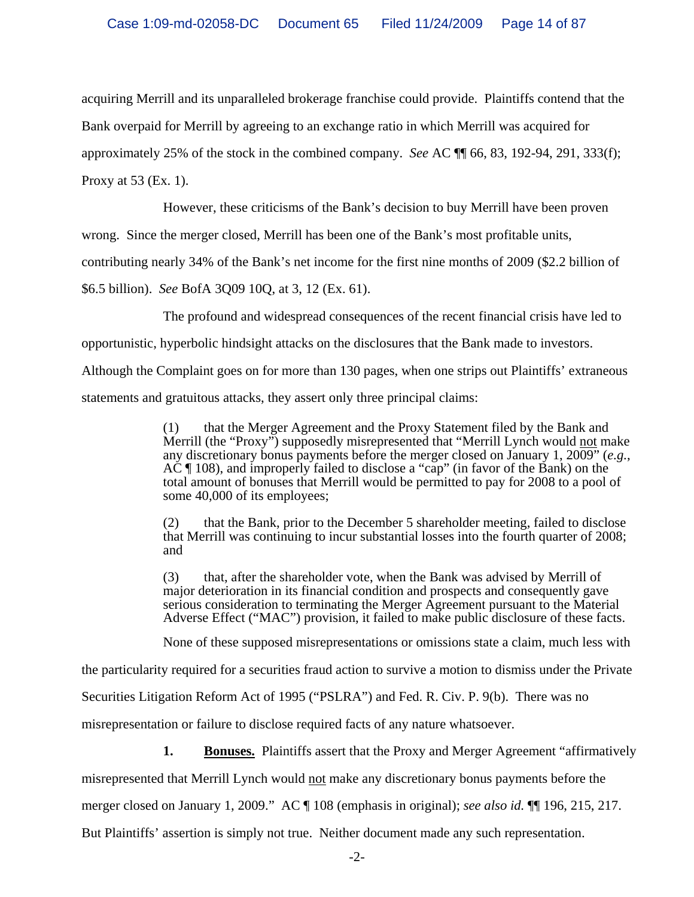acquiring Merrill and its unparalleled brokerage franchise could provide. Plaintiffs contend that the Bank overpaid for Merrill by agreeing to an exchange ratio in which Merrill was acquired for approximately 25% of the stock in the combined company. *See* AC ¶¶ 66, 83, 192-94, 291, 333(f); Proxy at 53 (Ex. 1).

However, these criticisms of the Bank's decision to buy Merrill have been proven

wrong. Since the merger closed, Merrill has been one of the Bank's most profitable units,

contributing nearly 34% of the Bank's net income for the first nine months of 2009 (\$2.2 billion of

\$6.5 billion). *See* BofA 3Q09 10Q, at 3, 12 (Ex. 61).

The profound and widespread consequences of the recent financial crisis have led to

opportunistic, hyperbolic hindsight attacks on the disclosures that the Bank made to investors.

Although the Complaint goes on for more than 130 pages, when one strips out Plaintiffs' extraneous

statements and gratuitous attacks, they assert only three principal claims:

(1) that the Merger Agreement and the Proxy Statement filed by the Bank and Merrill (the "Proxy") supposedly misrepresented that "Merrill Lynch would not make any discretionary bonus payments before the merger closed on January 1, 2009" (*e.g.*, AC ¶ 108), and improperly failed to disclose a "cap" (in favor of the Bank) on the total amount of bonuses that Merrill would be permitted to pay for 2008 to a pool of some 40,000 of its employees;

(2) that the Bank, prior to the December 5 shareholder meeting, failed to disclose that Merrill was continuing to incur substantial losses into the fourth quarter of 2008; and

(3) that, after the shareholder vote, when the Bank was advised by Merrill of major deterioration in its financial condition and prospects and consequently gave serious consideration to terminating the Merger Agreement pursuant to the Material Adverse Effect ("MAC") provision, it failed to make public disclosure of these facts.

None of these supposed misrepresentations or omissions state a claim, much less with

the particularity required for a securities fraud action to survive a motion to dismiss under the Private

Securities Litigation Reform Act of 1995 ("PSLRA") and Fed. R. Civ. P. 9(b). There was no

misrepresentation or failure to disclose required facts of any nature whatsoever.

**1.** Bonuses. Plaintiffs assert that the Proxy and Merger Agreement "affirmatively

misrepresented that Merrill Lynch would not make any discretionary bonus payments before the

merger closed on January 1, 2009." AC ¶ 108 (emphasis in original); *see also id.* ¶¶ 196, 215, 217.

But Plaintiffs' assertion is simply not true. Neither document made any such representation.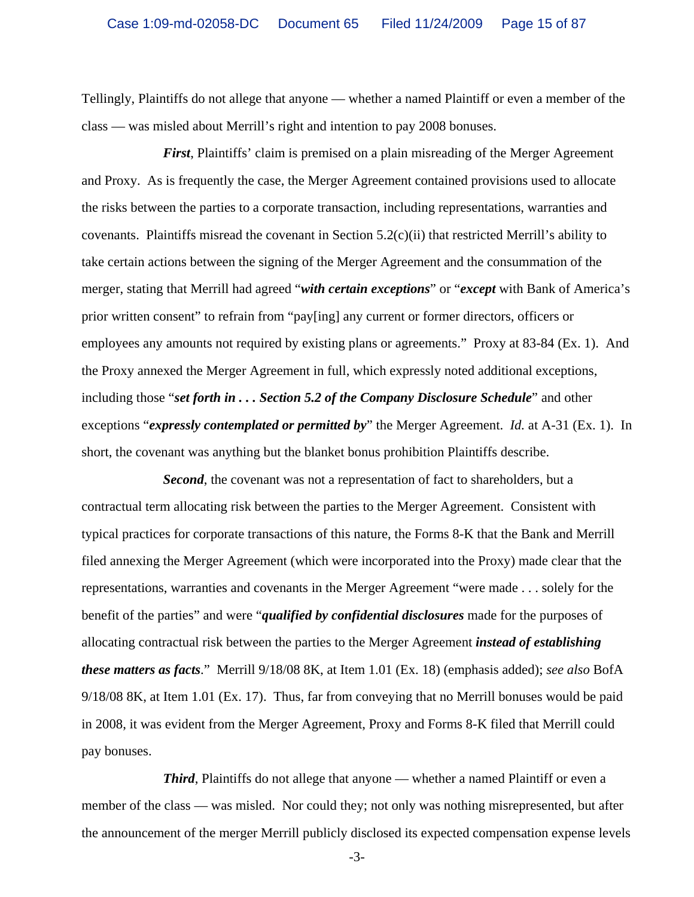Tellingly, Plaintiffs do not allege that anyone — whether a named Plaintiff or even a member of the class — was misled about Merrill's right and intention to pay 2008 bonuses.

*First*, Plaintiffs' claim is premised on a plain misreading of the Merger Agreement and Proxy. As is frequently the case, the Merger Agreement contained provisions used to allocate the risks between the parties to a corporate transaction, including representations, warranties and covenants. Plaintiffs misread the covenant in Section  $5.2(c)(ii)$  that restricted Merrill's ability to take certain actions between the signing of the Merger Agreement and the consummation of the merger, stating that Merrill had agreed "*with certain exceptions*" or "*except* with Bank of America's prior written consent" to refrain from "pay[ing] any current or former directors, officers or employees any amounts not required by existing plans or agreements." Proxy at 83-84 (Ex. 1). And the Proxy annexed the Merger Agreement in full, which expressly noted additional exceptions, including those "*set forth in . . . Section 5.2 of the Company Disclosure Schedule*" and other exceptions "*expressly contemplated or permitted by*" the Merger Agreement. *Id.* at A-31 (Ex. 1). In short, the covenant was anything but the blanket bonus prohibition Plaintiffs describe.

*Second*, the covenant was not a representation of fact to shareholders, but a contractual term allocating risk between the parties to the Merger Agreement. Consistent with typical practices for corporate transactions of this nature, the Forms 8-K that the Bank and Merrill filed annexing the Merger Agreement (which were incorporated into the Proxy) made clear that the representations, warranties and covenants in the Merger Agreement "were made . . . solely for the benefit of the parties" and were "*qualified by confidential disclosures* made for the purposes of allocating contractual risk between the parties to the Merger Agreement *instead of establishing these matters as facts*." Merrill 9/18/08 8K, at Item 1.01 (Ex. 18) (emphasis added); *see also* BofA 9/18/08 8K, at Item 1.01 (Ex. 17). Thus, far from conveying that no Merrill bonuses would be paid in 2008, it was evident from the Merger Agreement, Proxy and Forms 8-K filed that Merrill could pay bonuses.

*Third*, Plaintiffs do not allege that anyone — whether a named Plaintiff or even a member of the class — was misled. Nor could they; not only was nothing misrepresented, but after the announcement of the merger Merrill publicly disclosed its expected compensation expense levels

-3-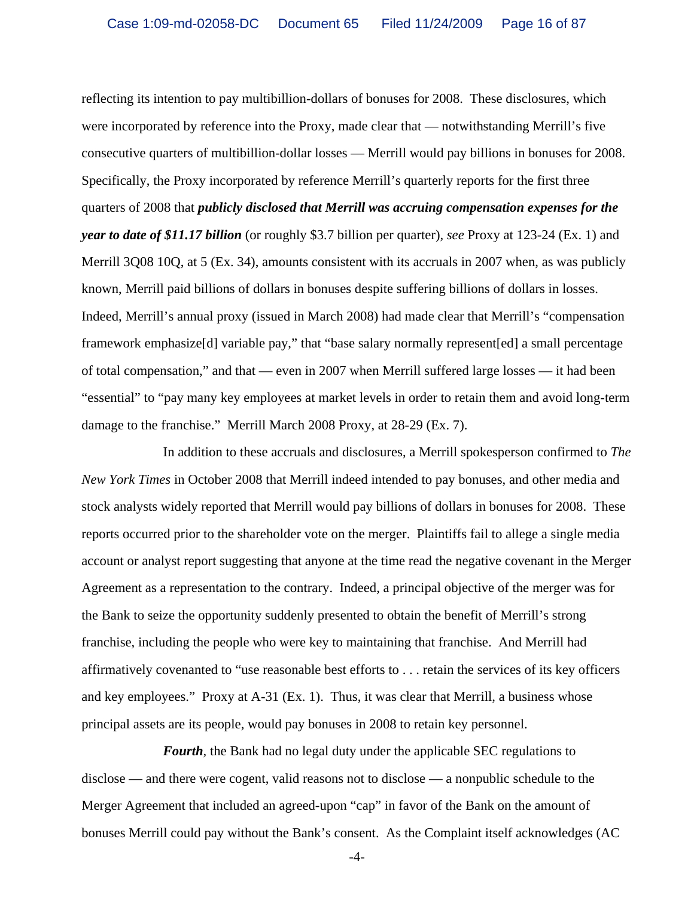reflecting its intention to pay multibillion-dollars of bonuses for 2008. These disclosures, which were incorporated by reference into the Proxy, made clear that — notwithstanding Merrill's five consecutive quarters of multibillion-dollar losses — Merrill would pay billions in bonuses for 2008. Specifically, the Proxy incorporated by reference Merrill's quarterly reports for the first three quarters of 2008 that *publicly disclosed that Merrill was accruing compensation expenses for the year to date of \$11.17 billion* (or roughly \$3.7 billion per quarter), *see* Proxy at 123-24 (Ex. 1) and Merrill 3Q08 10Q, at 5 (Ex. 34), amounts consistent with its accruals in 2007 when, as was publicly known, Merrill paid billions of dollars in bonuses despite suffering billions of dollars in losses. Indeed, Merrill's annual proxy (issued in March 2008) had made clear that Merrill's "compensation framework emphasize[d] variable pay," that "base salary normally represent[ed] a small percentage of total compensation," and that — even in 2007 when Merrill suffered large losses — it had been "essential" to "pay many key employees at market levels in order to retain them and avoid long-term damage to the franchise." Merrill March 2008 Proxy, at 28-29 (Ex. 7).

In addition to these accruals and disclosures, a Merrill spokesperson confirmed to *The New York Times* in October 2008 that Merrill indeed intended to pay bonuses, and other media and stock analysts widely reported that Merrill would pay billions of dollars in bonuses for 2008. These reports occurred prior to the shareholder vote on the merger. Plaintiffs fail to allege a single media account or analyst report suggesting that anyone at the time read the negative covenant in the Merger Agreement as a representation to the contrary. Indeed, a principal objective of the merger was for the Bank to seize the opportunity suddenly presented to obtain the benefit of Merrill's strong franchise, including the people who were key to maintaining that franchise. And Merrill had affirmatively covenanted to "use reasonable best efforts to . . . retain the services of its key officers and key employees." Proxy at A-31 (Ex. 1). Thus, it was clear that Merrill, a business whose principal assets are its people, would pay bonuses in 2008 to retain key personnel.

*Fourth*, the Bank had no legal duty under the applicable SEC regulations to disclose — and there were cogent, valid reasons not to disclose — a nonpublic schedule to the Merger Agreement that included an agreed-upon "cap" in favor of the Bank on the amount of bonuses Merrill could pay without the Bank's consent. As the Complaint itself acknowledges (AC

-4-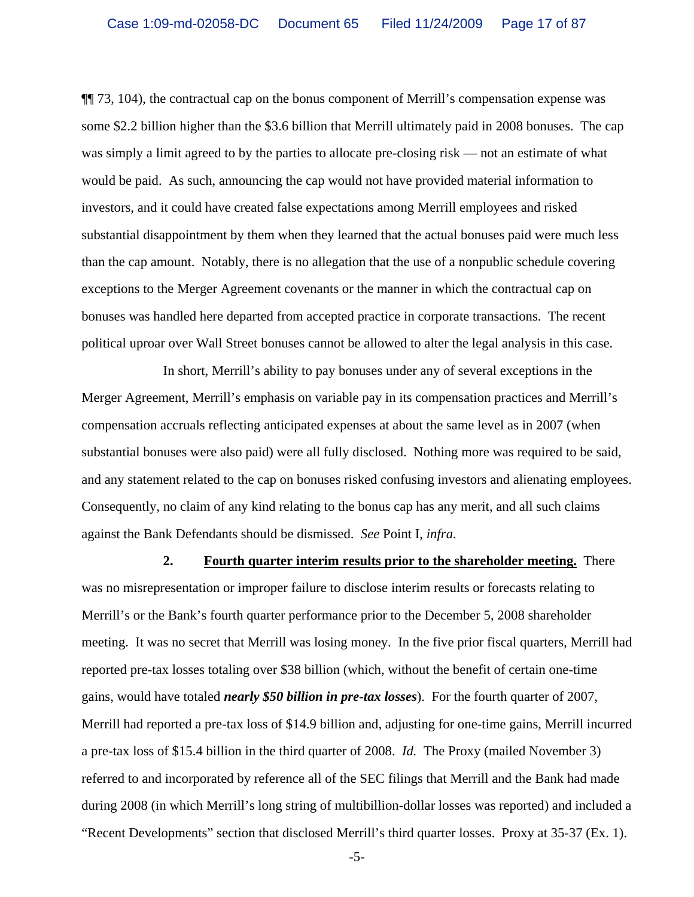¶¶ 73, 104), the contractual cap on the bonus component of Merrill's compensation expense was some \$2.2 billion higher than the \$3.6 billion that Merrill ultimately paid in 2008 bonuses. The cap was simply a limit agreed to by the parties to allocate pre-closing risk — not an estimate of what would be paid. As such, announcing the cap would not have provided material information to investors, and it could have created false expectations among Merrill employees and risked substantial disappointment by them when they learned that the actual bonuses paid were much less than the cap amount. Notably, there is no allegation that the use of a nonpublic schedule covering exceptions to the Merger Agreement covenants or the manner in which the contractual cap on bonuses was handled here departed from accepted practice in corporate transactions. The recent political uproar over Wall Street bonuses cannot be allowed to alter the legal analysis in this case.

In short, Merrill's ability to pay bonuses under any of several exceptions in the Merger Agreement, Merrill's emphasis on variable pay in its compensation practices and Merrill's compensation accruals reflecting anticipated expenses at about the same level as in 2007 (when substantial bonuses were also paid) were all fully disclosed. Nothing more was required to be said, and any statement related to the cap on bonuses risked confusing investors and alienating employees. Consequently, no claim of any kind relating to the bonus cap has any merit, and all such claims against the Bank Defendants should be dismissed. *See* Point I, *infra*.

**2. Fourth quarter interim results prior to the shareholder meeting.** There was no misrepresentation or improper failure to disclose interim results or forecasts relating to Merrill's or the Bank's fourth quarter performance prior to the December 5, 2008 shareholder meeting. It was no secret that Merrill was losing money. In the five prior fiscal quarters, Merrill had reported pre-tax losses totaling over \$38 billion (which, without the benefit of certain one-time gains, would have totaled *nearly \$50 billion in pre-tax losses*). For the fourth quarter of 2007, Merrill had reported a pre-tax loss of \$14.9 billion and, adjusting for one-time gains, Merrill incurred a pre-tax loss of \$15.4 billion in the third quarter of 2008. *Id.* The Proxy (mailed November 3) referred to and incorporated by reference all of the SEC filings that Merrill and the Bank had made during 2008 (in which Merrill's long string of multibillion-dollar losses was reported) and included a "Recent Developments" section that disclosed Merrill's third quarter losses. Proxy at 35-37 (Ex. 1).

-5-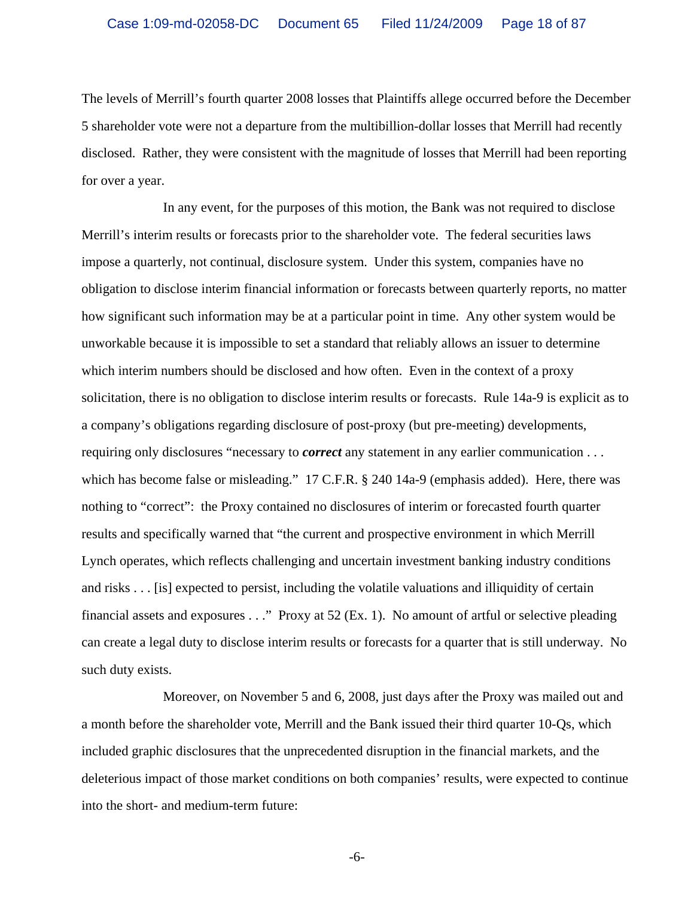The levels of Merrill's fourth quarter 2008 losses that Plaintiffs allege occurred before the December 5 shareholder vote were not a departure from the multibillion-dollar losses that Merrill had recently disclosed. Rather, they were consistent with the magnitude of losses that Merrill had been reporting for over a year.

In any event, for the purposes of this motion, the Bank was not required to disclose Merrill's interim results or forecasts prior to the shareholder vote. The federal securities laws impose a quarterly, not continual, disclosure system. Under this system, companies have no obligation to disclose interim financial information or forecasts between quarterly reports, no matter how significant such information may be at a particular point in time. Any other system would be unworkable because it is impossible to set a standard that reliably allows an issuer to determine which interim numbers should be disclosed and how often. Even in the context of a proxy solicitation, there is no obligation to disclose interim results or forecasts. Rule 14a-9 is explicit as to a company's obligations regarding disclosure of post-proxy (but pre-meeting) developments, requiring only disclosures "necessary to *correct* any statement in any earlier communication . . . which has become false or misleading." 17 C.F.R. § 240 14a-9 (emphasis added). Here, there was nothing to "correct": the Proxy contained no disclosures of interim or forecasted fourth quarter results and specifically warned that "the current and prospective environment in which Merrill Lynch operates, which reflects challenging and uncertain investment banking industry conditions and risks . . . [is] expected to persist, including the volatile valuations and illiquidity of certain financial assets and exposures . . ." Proxy at 52 (Ex. 1). No amount of artful or selective pleading can create a legal duty to disclose interim results or forecasts for a quarter that is still underway. No such duty exists.

Moreover, on November 5 and 6, 2008, just days after the Proxy was mailed out and a month before the shareholder vote, Merrill and the Bank issued their third quarter 10-Qs, which included graphic disclosures that the unprecedented disruption in the financial markets, and the deleterious impact of those market conditions on both companies' results, were expected to continue into the short- and medium-term future:

-6-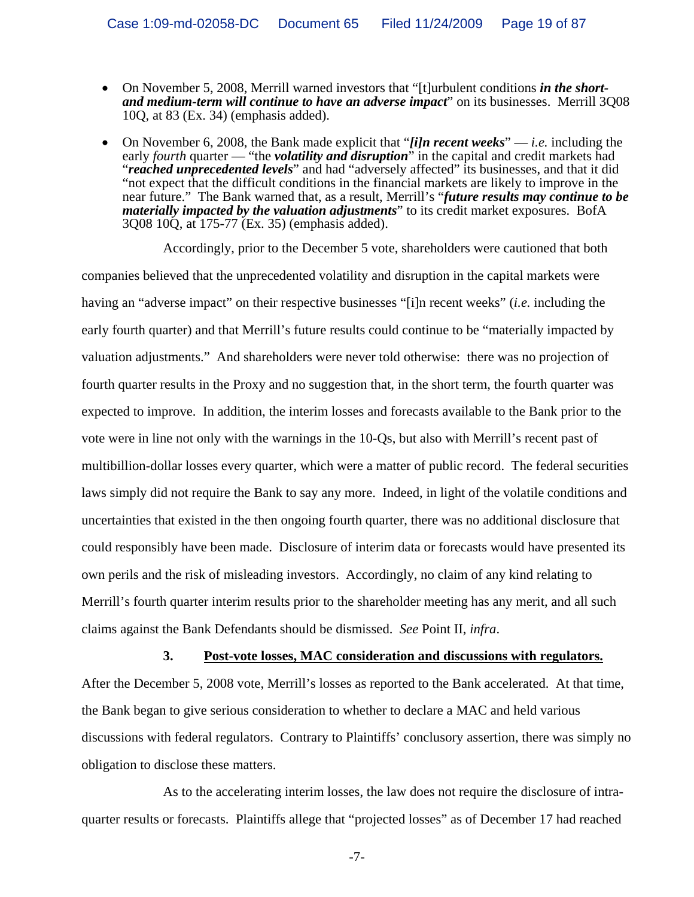- On November 5, 2008, Merrill warned investors that "[t]urbulent conditions *in the shortand medium-term will continue to have an adverse impact*" on its businesses. Merrill 3Q08 10Q, at 83 (Ex. 34) (emphasis added).
- On November 6, 2008, the Bank made explicit that "*[i]n recent weeks*" *i.e.* including the early *fourth* quarter "the *volatility and disruption*" in the capital and credit markets had "reached unprecedented levels" and had "adversely affected" its businesses, and that it did "not expect that the difficult conditions in the financial markets are likely to improve in the near future." The Bank warned that, as a result, Merrill's "*future results may continue to be materially impacted by the valuation adjustments*" to its credit market exposures. BofA 3Q08 10Q, at 175-77 (Ex. 35) (emphasis added).

Accordingly, prior to the December 5 vote, shareholders were cautioned that both companies believed that the unprecedented volatility and disruption in the capital markets were having an "adverse impact" on their respective businesses "[i]n recent weeks" (*i.e.* including the early fourth quarter) and that Merrill's future results could continue to be "materially impacted by valuation adjustments." And shareholders were never told otherwise: there was no projection of fourth quarter results in the Proxy and no suggestion that, in the short term, the fourth quarter was expected to improve. In addition, the interim losses and forecasts available to the Bank prior to the vote were in line not only with the warnings in the 10-Qs, but also with Merrill's recent past of multibillion-dollar losses every quarter, which were a matter of public record. The federal securities laws simply did not require the Bank to say any more. Indeed, in light of the volatile conditions and uncertainties that existed in the then ongoing fourth quarter, there was no additional disclosure that could responsibly have been made. Disclosure of interim data or forecasts would have presented its own perils and the risk of misleading investors. Accordingly, no claim of any kind relating to Merrill's fourth quarter interim results prior to the shareholder meeting has any merit, and all such claims against the Bank Defendants should be dismissed. *See* Point II, *infra*.

# **3. Post-vote losses, MAC consideration and discussions with regulators.** After the December 5, 2008 vote, Merrill's losses as reported to the Bank accelerated. At that time, the Bank began to give serious consideration to whether to declare a MAC and held various discussions with federal regulators. Contrary to Plaintiffs' conclusory assertion, there was simply no

obligation to disclose these matters.

As to the accelerating interim losses, the law does not require the disclosure of intraquarter results or forecasts. Plaintiffs allege that "projected losses" as of December 17 had reached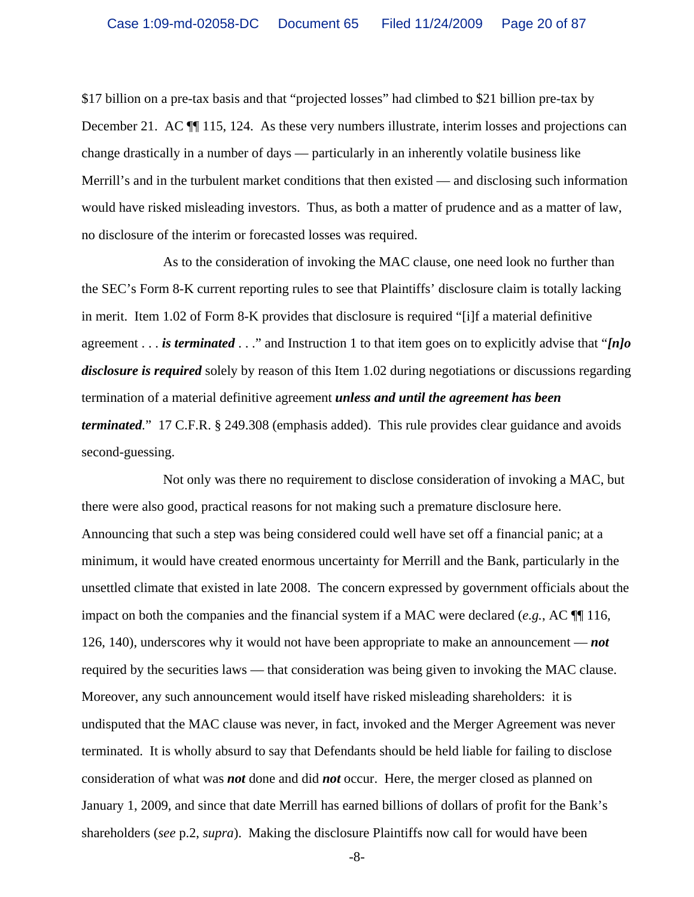\$17 billion on a pre-tax basis and that "projected losses" had climbed to \$21 billion pre-tax by December 21. AC ¶¶ 115, 124. As these very numbers illustrate, interim losses and projections can change drastically in a number of days — particularly in an inherently volatile business like Merrill's and in the turbulent market conditions that then existed — and disclosing such information would have risked misleading investors. Thus, as both a matter of prudence and as a matter of law, no disclosure of the interim or forecasted losses was required.

As to the consideration of invoking the MAC clause, one need look no further than the SEC's Form 8-K current reporting rules to see that Plaintiffs' disclosure claim is totally lacking in merit. Item 1.02 of Form 8-K provides that disclosure is required "[i]f a material definitive agreement . . . *is terminated* . . ." and Instruction 1 to that item goes on to explicitly advise that "*[n]o disclosure is required* solely by reason of this Item 1.02 during negotiations or discussions regarding termination of a material definitive agreement *unless and until the agreement has been terminated.*" 17 C.F.R. § 249.308 (emphasis added). This rule provides clear guidance and avoids second-guessing.

Not only was there no requirement to disclose consideration of invoking a MAC, but there were also good, practical reasons for not making such a premature disclosure here. Announcing that such a step was being considered could well have set off a financial panic; at a minimum, it would have created enormous uncertainty for Merrill and the Bank, particularly in the unsettled climate that existed in late 2008. The concern expressed by government officials about the impact on both the companies and the financial system if a MAC were declared (*e.g.*, AC ¶¶ 116, 126, 140), underscores why it would not have been appropriate to make an announcement — *not* required by the securities laws — that consideration was being given to invoking the MAC clause. Moreover, any such announcement would itself have risked misleading shareholders: it is undisputed that the MAC clause was never, in fact, invoked and the Merger Agreement was never terminated. It is wholly absurd to say that Defendants should be held liable for failing to disclose consideration of what was *not* done and did *not* occur. Here, the merger closed as planned on January 1, 2009, and since that date Merrill has earned billions of dollars of profit for the Bank's shareholders (*see* p.2, *supra*). Making the disclosure Plaintiffs now call for would have been

-8-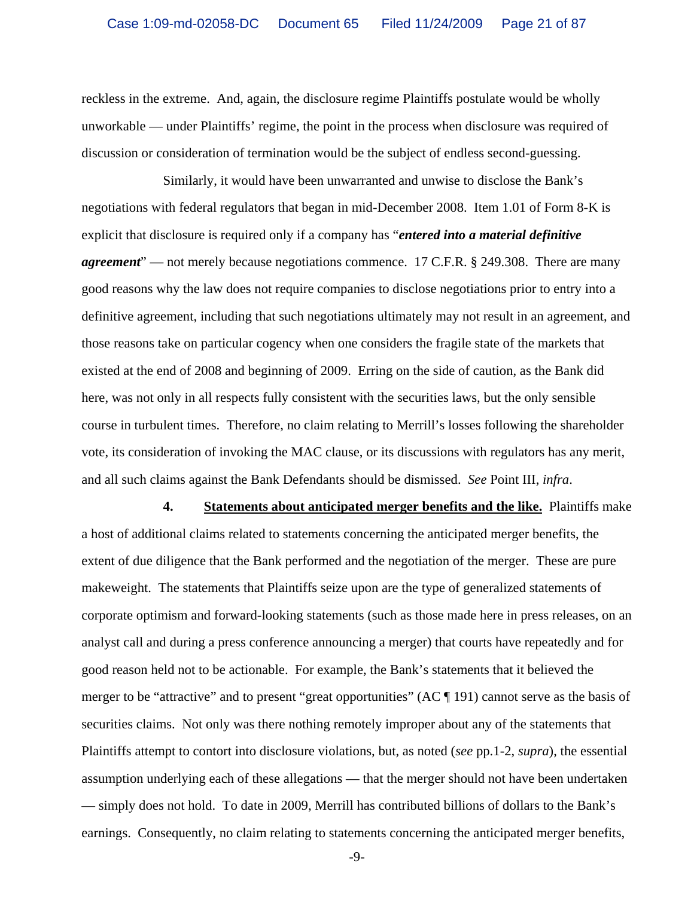reckless in the extreme. And, again, the disclosure regime Plaintiffs postulate would be wholly unworkable — under Plaintiffs' regime, the point in the process when disclosure was required of discussion or consideration of termination would be the subject of endless second-guessing.

Similarly, it would have been unwarranted and unwise to disclose the Bank's negotiations with federal regulators that began in mid-December 2008. Item 1.01 of Form 8-K is explicit that disclosure is required only if a company has "*entered into a material definitive agreement*" — not merely because negotiations commence. 17 C.F.R. § 249.308. There are many good reasons why the law does not require companies to disclose negotiations prior to entry into a definitive agreement, including that such negotiations ultimately may not result in an agreement, and those reasons take on particular cogency when one considers the fragile state of the markets that existed at the end of 2008 and beginning of 2009. Erring on the side of caution, as the Bank did here, was not only in all respects fully consistent with the securities laws, but the only sensible course in turbulent times. Therefore, no claim relating to Merrill's losses following the shareholder vote, its consideration of invoking the MAC clause, or its discussions with regulators has any merit, and all such claims against the Bank Defendants should be dismissed. *See* Point III, *infra*.

**4. Statements about anticipated merger benefits and the like.** Plaintiffs make a host of additional claims related to statements concerning the anticipated merger benefits, the extent of due diligence that the Bank performed and the negotiation of the merger. These are pure makeweight. The statements that Plaintiffs seize upon are the type of generalized statements of corporate optimism and forward-looking statements (such as those made here in press releases, on an analyst call and during a press conference announcing a merger) that courts have repeatedly and for good reason held not to be actionable. For example, the Bank's statements that it believed the merger to be "attractive" and to present "great opportunities" (AC ¶ 191) cannot serve as the basis of securities claims. Not only was there nothing remotely improper about any of the statements that Plaintiffs attempt to contort into disclosure violations, but, as noted (*see* pp.1-2, *supra*), the essential assumption underlying each of these allegations — that the merger should not have been undertaken — simply does not hold. To date in 2009, Merrill has contributed billions of dollars to the Bank's earnings. Consequently, no claim relating to statements concerning the anticipated merger benefits,

-9-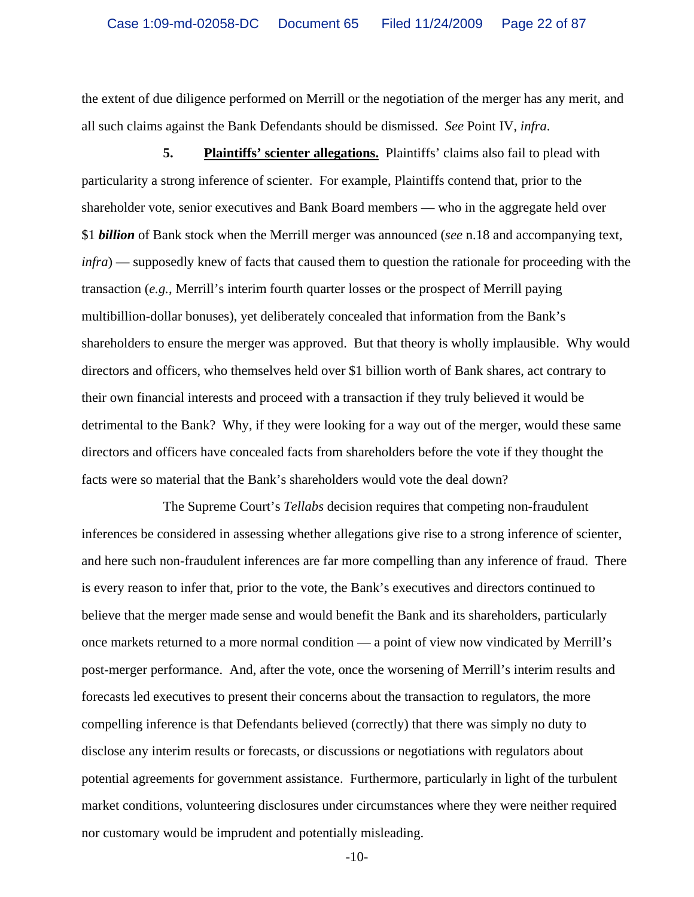the extent of due diligence performed on Merrill or the negotiation of the merger has any merit, and all such claims against the Bank Defendants should be dismissed. *See* Point IV, *infra*.

**5.** Plaintiffs' scienter allegations. Plaintiffs' claims also fail to plead with particularity a strong inference of scienter. For example, Plaintiffs contend that, prior to the shareholder vote, senior executives and Bank Board members — who in the aggregate held over \$1 *billion* of Bank stock when the Merrill merger was announced (*see* n.18 and accompanying text, *infra*) — supposedly knew of facts that caused them to question the rationale for proceeding with the transaction (*e.g.*, Merrill's interim fourth quarter losses or the prospect of Merrill paying multibillion-dollar bonuses), yet deliberately concealed that information from the Bank's shareholders to ensure the merger was approved. But that theory is wholly implausible. Why would directors and officers, who themselves held over \$1 billion worth of Bank shares, act contrary to their own financial interests and proceed with a transaction if they truly believed it would be detrimental to the Bank? Why, if they were looking for a way out of the merger, would these same directors and officers have concealed facts from shareholders before the vote if they thought the facts were so material that the Bank's shareholders would vote the deal down?

The Supreme Court's *Tellabs* decision requires that competing non-fraudulent inferences be considered in assessing whether allegations give rise to a strong inference of scienter, and here such non-fraudulent inferences are far more compelling than any inference of fraud. There is every reason to infer that, prior to the vote, the Bank's executives and directors continued to believe that the merger made sense and would benefit the Bank and its shareholders, particularly once markets returned to a more normal condition — a point of view now vindicated by Merrill's post-merger performance. And, after the vote, once the worsening of Merrill's interim results and forecasts led executives to present their concerns about the transaction to regulators, the more compelling inference is that Defendants believed (correctly) that there was simply no duty to disclose any interim results or forecasts, or discussions or negotiations with regulators about potential agreements for government assistance. Furthermore, particularly in light of the turbulent market conditions, volunteering disclosures under circumstances where they were neither required nor customary would be imprudent and potentially misleading.

-10-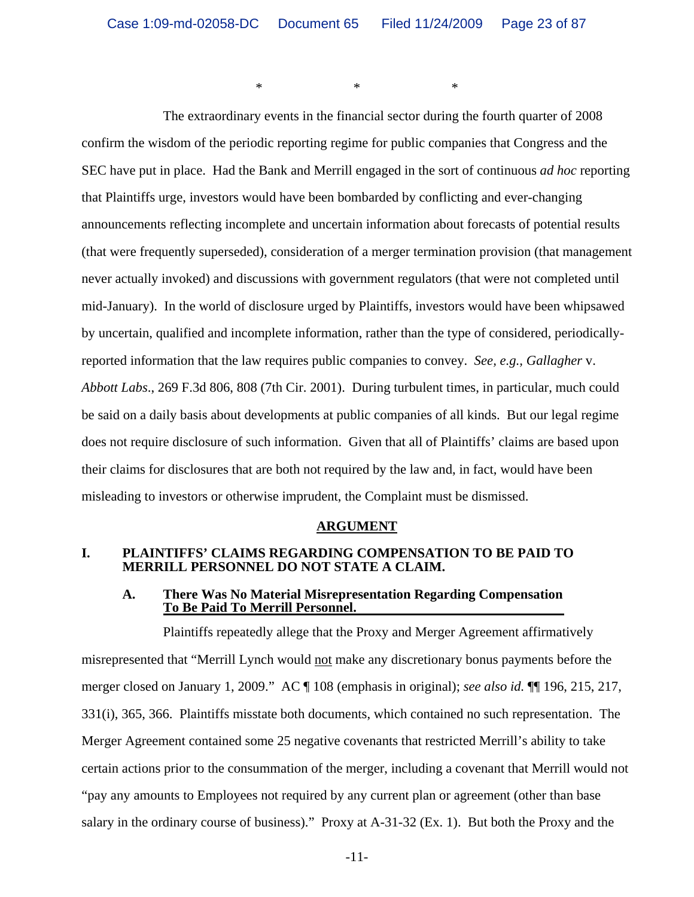$*$   $*$   $*$ 

The extraordinary events in the financial sector during the fourth quarter of 2008 confirm the wisdom of the periodic reporting regime for public companies that Congress and the SEC have put in place. Had the Bank and Merrill engaged in the sort of continuous *ad hoc* reporting that Plaintiffs urge, investors would have been bombarded by conflicting and ever-changing announcements reflecting incomplete and uncertain information about forecasts of potential results (that were frequently superseded), consideration of a merger termination provision (that management never actually invoked) and discussions with government regulators (that were not completed until mid-January). In the world of disclosure urged by Plaintiffs, investors would have been whipsawed by uncertain, qualified and incomplete information, rather than the type of considered, periodicallyreported information that the law requires public companies to convey. *See, e.g., Gallagher* v. *Abbott Labs*., 269 F.3d 806, 808 (7th Cir. 2001). During turbulent times, in particular, much could be said on a daily basis about developments at public companies of all kinds. But our legal regime does not require disclosure of such information. Given that all of Plaintiffs' claims are based upon their claims for disclosures that are both not required by the law and, in fact, would have been misleading to investors or otherwise imprudent, the Complaint must be dismissed.

#### **ARGUMENT**

#### **I. PLAINTIFFS' CLAIMS REGARDING COMPENSATION TO BE PAID TO MERRILL PERSONNEL DO NOT STATE A CLAIM.**

#### **A. There Was No Material Misrepresentation Regarding Compensation To Be Paid To Merrill Personnel.**

Plaintiffs repeatedly allege that the Proxy and Merger Agreement affirmatively misrepresented that "Merrill Lynch would not make any discretionary bonus payments before the merger closed on January 1, 2009." AC ¶ 108 (emphasis in original); *see also id.* ¶¶ 196, 215, 217, 331(i), 365, 366. Plaintiffs misstate both documents, which contained no such representation. The Merger Agreement contained some 25 negative covenants that restricted Merrill's ability to take certain actions prior to the consummation of the merger, including a covenant that Merrill would not "pay any amounts to Employees not required by any current plan or agreement (other than base salary in the ordinary course of business)." Proxy at A-31-32 (Ex. 1). But both the Proxy and the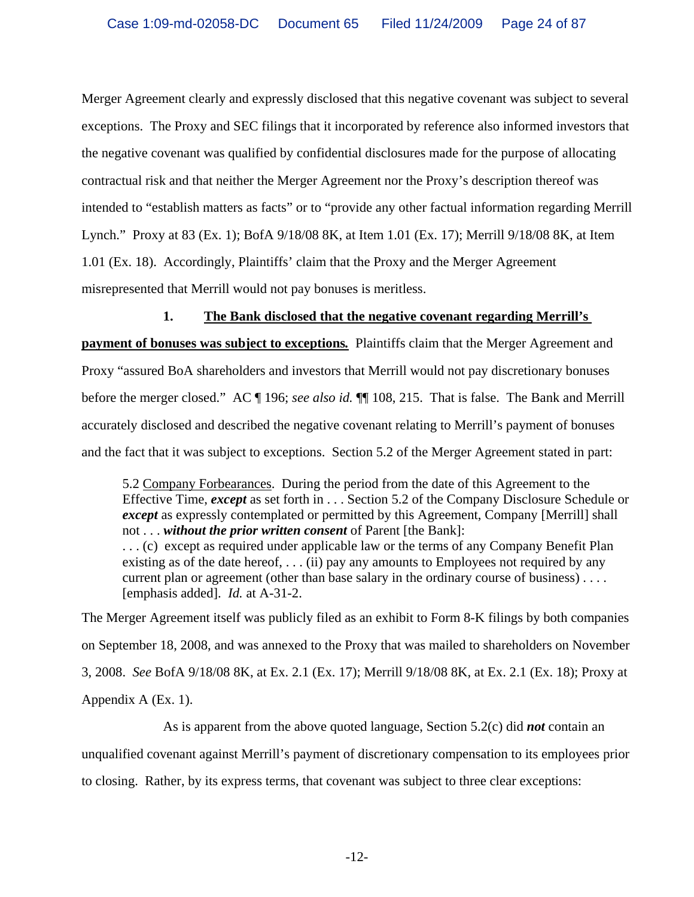Merger Agreement clearly and expressly disclosed that this negative covenant was subject to several exceptions. The Proxy and SEC filings that it incorporated by reference also informed investors that the negative covenant was qualified by confidential disclosures made for the purpose of allocating contractual risk and that neither the Merger Agreement nor the Proxy's description thereof was intended to "establish matters as facts" or to "provide any other factual information regarding Merrill Lynch." Proxy at 83 (Ex. 1); BofA 9/18/08 8K, at Item 1.01 (Ex. 17); Merrill 9/18/08 8K, at Item 1.01 (Ex. 18). Accordingly, Plaintiffs' claim that the Proxy and the Merger Agreement misrepresented that Merrill would not pay bonuses is meritless.

#### **1. The Bank disclosed that the negative covenant regarding Merrill's**

**payment of bonuses was subject to exceptions***.* Plaintiffs claim that the Merger Agreement and Proxy "assured BoA shareholders and investors that Merrill would not pay discretionary bonuses before the merger closed." AC ¶ 196; *see also id.* ¶¶ 108, 215. That is false. The Bank and Merrill accurately disclosed and described the negative covenant relating to Merrill's payment of bonuses and the fact that it was subject to exceptions. Section 5.2 of the Merger Agreement stated in part:

5.2 Company Forbearances. During the period from the date of this Agreement to the Effective Time, *except* as set forth in . . . Section 5.2 of the Company Disclosure Schedule or *except* as expressly contemplated or permitted by this Agreement, Company [Merrill] shall not . . . *without the prior written consent* of Parent [the Bank]: . . . (c) except as required under applicable law or the terms of any Company Benefit Plan existing as of the date hereof,  $\dots$  (ii) pay any amounts to Employees not required by any current plan or agreement (other than base salary in the ordinary course of business) . . . . [emphasis added]. *Id.* at A-31-2.

The Merger Agreement itself was publicly filed as an exhibit to Form 8-K filings by both companies on September 18, 2008, and was annexed to the Proxy that was mailed to shareholders on November 3, 2008. *See* BofA 9/18/08 8K, at Ex. 2.1 (Ex. 17); Merrill 9/18/08 8K, at Ex. 2.1 (Ex. 18); Proxy at Appendix A (Ex. 1).

As is apparent from the above quoted language, Section 5.2(c) did *not* contain an unqualified covenant against Merrill's payment of discretionary compensation to its employees prior to closing. Rather, by its express terms, that covenant was subject to three clear exceptions: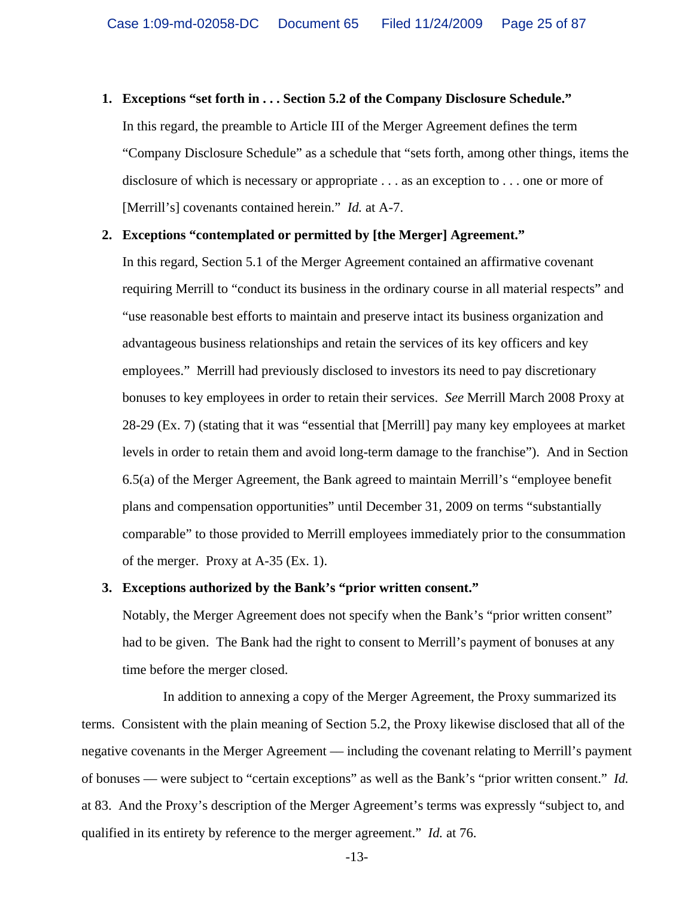#### **1. Exceptions "set forth in . . . Section 5.2 of the Company Disclosure Schedule."**

In this regard, the preamble to Article III of the Merger Agreement defines the term "Company Disclosure Schedule" as a schedule that "sets forth, among other things, items the disclosure of which is necessary or appropriate . . . as an exception to . . . one or more of [Merrill's] covenants contained herein." *Id.* at A-7.

#### **2. Exceptions "contemplated or permitted by [the Merger] Agreement."**

In this regard, Section 5.1 of the Merger Agreement contained an affirmative covenant requiring Merrill to "conduct its business in the ordinary course in all material respects" and "use reasonable best efforts to maintain and preserve intact its business organization and advantageous business relationships and retain the services of its key officers and key employees." Merrill had previously disclosed to investors its need to pay discretionary bonuses to key employees in order to retain their services. *See* Merrill March 2008 Proxy at 28-29 (Ex. 7) (stating that it was "essential that [Merrill] pay many key employees at market levels in order to retain them and avoid long-term damage to the franchise"). And in Section 6.5(a) of the Merger Agreement, the Bank agreed to maintain Merrill's "employee benefit plans and compensation opportunities" until December 31, 2009 on terms "substantially comparable" to those provided to Merrill employees immediately prior to the consummation of the merger. Proxy at A-35 (Ex. 1).

#### **3. Exceptions authorized by the Bank's "prior written consent."**

Notably, the Merger Agreement does not specify when the Bank's "prior written consent" had to be given. The Bank had the right to consent to Merrill's payment of bonuses at any time before the merger closed.

In addition to annexing a copy of the Merger Agreement, the Proxy summarized its terms. Consistent with the plain meaning of Section 5.2, the Proxy likewise disclosed that all of the negative covenants in the Merger Agreement –– including the covenant relating to Merrill's payment of bonuses –– were subject to "certain exceptions" as well as the Bank's "prior written consent." *Id.* at 83. And the Proxy's description of the Merger Agreement's terms was expressly "subject to, and qualified in its entirety by reference to the merger agreement." *Id.* at 76.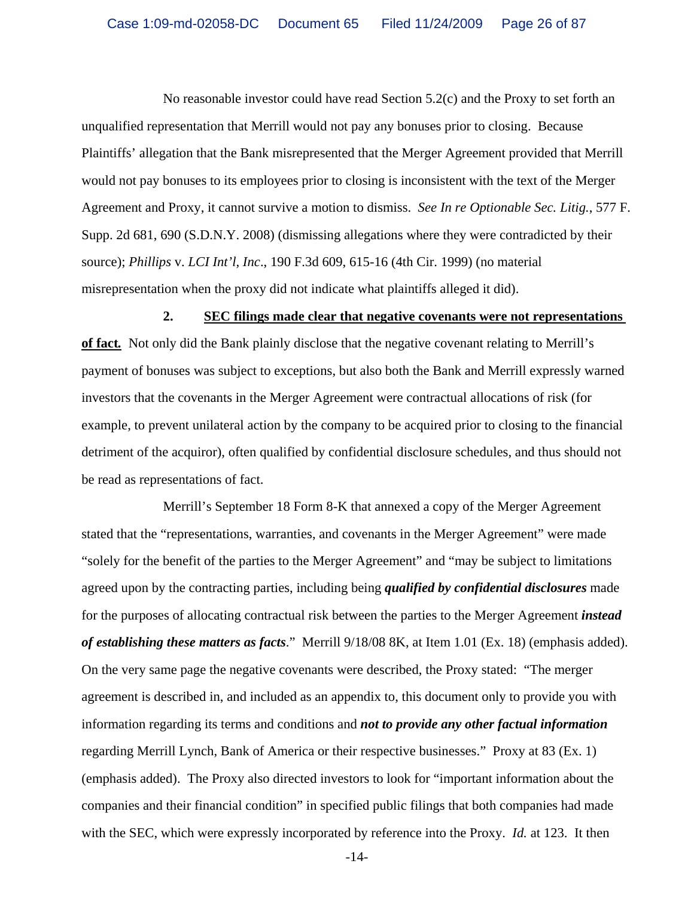No reasonable investor could have read Section 5.2(c) and the Proxy to set forth an unqualified representation that Merrill would not pay any bonuses prior to closing. Because Plaintiffs' allegation that the Bank misrepresented that the Merger Agreement provided that Merrill would not pay bonuses to its employees prior to closing is inconsistent with the text of the Merger Agreement and Proxy, it cannot survive a motion to dismiss. *See In re Optionable Sec. Litig.*, 577 F. Supp. 2d 681, 690 (S.D.N.Y. 2008) (dismissing allegations where they were contradicted by their source); *Phillips* v. *LCI Int'l, Inc*., 190 F.3d 609, 615-16 (4th Cir. 1999) (no material misrepresentation when the proxy did not indicate what plaintiffs alleged it did).

#### **2. SEC filings made clear that negative covenants were not representations**

**of fact***.* Not only did the Bank plainly disclose that the negative covenant relating to Merrill's payment of bonuses was subject to exceptions, but also both the Bank and Merrill expressly warned investors that the covenants in the Merger Agreement were contractual allocations of risk (for example, to prevent unilateral action by the company to be acquired prior to closing to the financial detriment of the acquiror), often qualified by confidential disclosure schedules, and thus should not be read as representations of fact.

Merrill's September 18 Form 8-K that annexed a copy of the Merger Agreement stated that the "representations, warranties, and covenants in the Merger Agreement" were made "solely for the benefit of the parties to the Merger Agreement" and "may be subject to limitations agreed upon by the contracting parties, including being *qualified by confidential disclosures* made for the purposes of allocating contractual risk between the parties to the Merger Agreement *instead of establishing these matters as facts*." Merrill 9/18/08 8K, at Item 1.01 (Ex. 18) (emphasis added). On the very same page the negative covenants were described, the Proxy stated: "The merger agreement is described in, and included as an appendix to, this document only to provide you with information regarding its terms and conditions and *not to provide any other factual information* regarding Merrill Lynch, Bank of America or their respective businesses." Proxy at 83 (Ex. 1) (emphasis added). The Proxy also directed investors to look for "important information about the companies and their financial condition" in specified public filings that both companies had made with the SEC, which were expressly incorporated by reference into the Proxy. *Id.* at 123. It then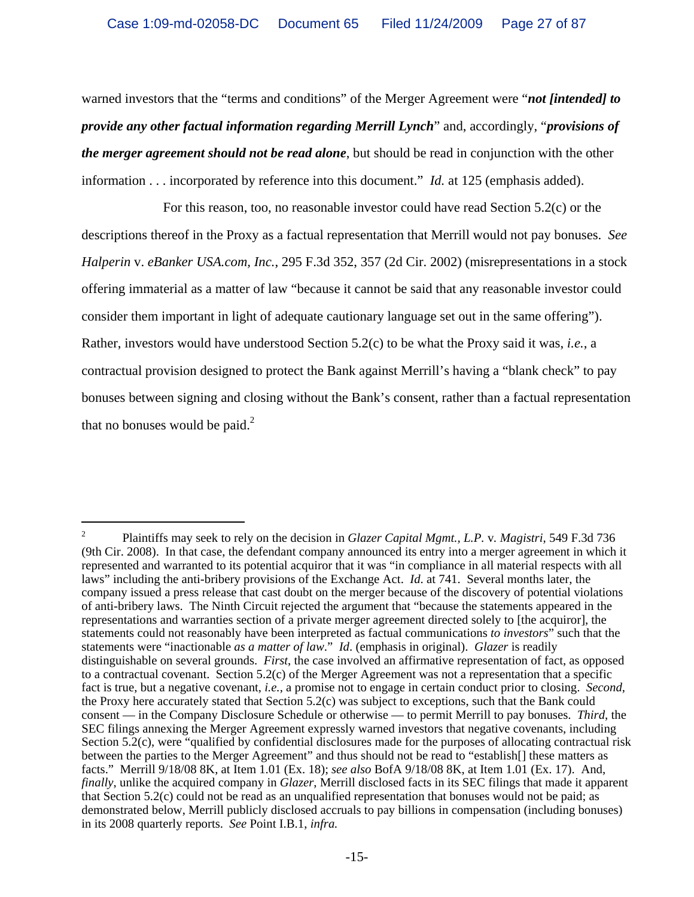warned investors that the "terms and conditions" of the Merger Agreement were "*not [intended] to provide any other factual information regarding Merrill Lynch*" and, accordingly, "*provisions of the merger agreement should not be read alone*, but should be read in conjunction with the other information . . . incorporated by reference into this document." *Id.* at 125 (emphasis added).

For this reason, too, no reasonable investor could have read Section 5.2(c) or the descriptions thereof in the Proxy as a factual representation that Merrill would not pay bonuses. *See Halperin* v. *eBanker USA.com, Inc.*, 295 F.3d 352, 357 (2d Cir. 2002) (misrepresentations in a stock offering immaterial as a matter of law "because it cannot be said that any reasonable investor could consider them important in light of adequate cautionary language set out in the same offering"). Rather, investors would have understood Section 5.2(c) to be what the Proxy said it was, *i.e.*, a contractual provision designed to protect the Bank against Merrill's having a "blank check" to pay bonuses between signing and closing without the Bank's consent, rather than a factual representation that no bonuses would be paid. $<sup>2</sup>$ </sup>

<sup>2</sup> Plaintiffs may seek to rely on the decision in *Glazer Capital Mgmt., L.P.* v*. Magistri*, 549 F.3d 736 (9th Cir. 2008). In that case, the defendant company announced its entry into a merger agreement in which it represented and warranted to its potential acquiror that it was "in compliance in all material respects with all laws" including the anti-bribery provisions of the Exchange Act. *Id*. at 741. Several months later, the company issued a press release that cast doubt on the merger because of the discovery of potential violations of anti-bribery laws. The Ninth Circuit rejected the argument that "because the statements appeared in the representations and warranties section of a private merger agreement directed solely to [the acquiror], the statements could not reasonably have been interpreted as factual communications *to investors*" such that the statements were "inactionable *as a matter of law*." *Id*. (emphasis in original). *Glazer* is readily distinguishable on several grounds. *First*, the case involved an affirmative representation of fact, as opposed to a contractual covenant. Section 5.2(c) of the Merger Agreement was not a representation that a specific fact is true, but a negative covenant, *i.e.*, a promise not to engage in certain conduct prior to closing. *Second*, the Proxy here accurately stated that Section 5.2(c) was subject to exceptions, such that the Bank could consent — in the Company Disclosure Schedule or otherwise — to permit Merrill to pay bonuses. *Third*, the SEC filings annexing the Merger Agreement expressly warned investors that negative covenants, including Section 5.2(c), were "qualified by confidential disclosures made for the purposes of allocating contractual risk between the parties to the Merger Agreement" and thus should not be read to "establish[] these matters as facts." Merrill 9/18/08 8K, at Item 1.01 (Ex. 18); *see also* BofA 9/18/08 8K, at Item 1.01 (Ex. 17). And, *finally*, unlike the acquired company in *Glazer*, Merrill disclosed facts in its SEC filings that made it apparent that Section 5.2(c) could not be read as an unqualified representation that bonuses would not be paid; as demonstrated below, Merrill publicly disclosed accruals to pay billions in compensation (including bonuses) in its 2008 quarterly reports. *See* Point I.B.1, *infra.*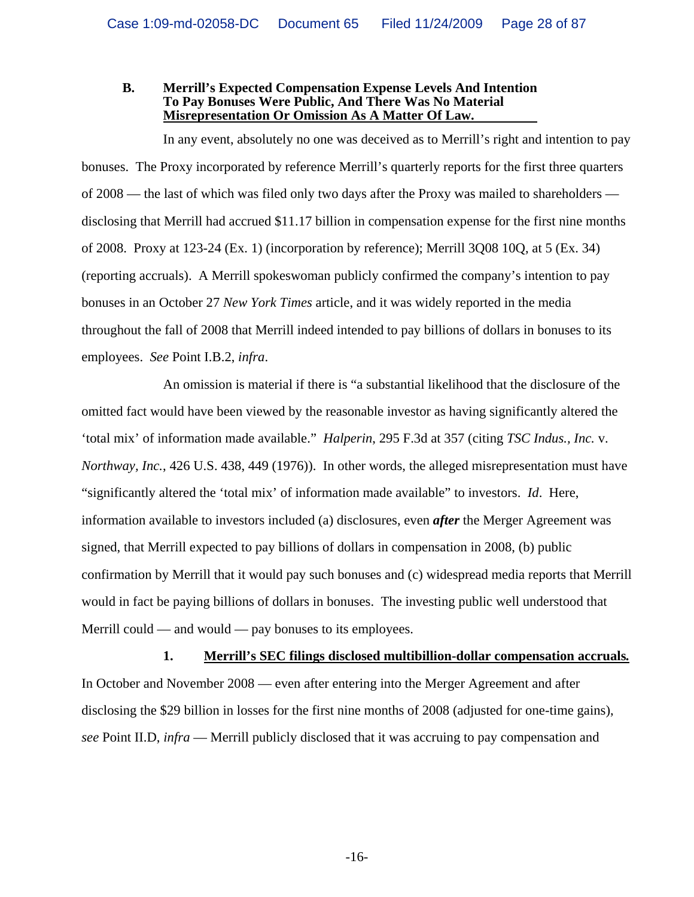#### **B. Merrill's Expected Compensation Expense Levels And Intention To Pay Bonuses Were Public, And There Was No Material Misrepresentation Or Omission As A Matter Of Law.**

In any event, absolutely no one was deceived as to Merrill's right and intention to pay bonuses. The Proxy incorporated by reference Merrill's quarterly reports for the first three quarters of 2008 — the last of which was filed only two days after the Proxy was mailed to shareholders disclosing that Merrill had accrued \$11.17 billion in compensation expense for the first nine months of 2008. Proxy at 123-24 (Ex. 1) (incorporation by reference); Merrill 3Q08 10Q, at 5 (Ex. 34) (reporting accruals). A Merrill spokeswoman publicly confirmed the company's intention to pay bonuses in an October 27 *New York Times* article, and it was widely reported in the media throughout the fall of 2008 that Merrill indeed intended to pay billions of dollars in bonuses to its employees. *See* Point I.B.2, *infra*.

An omission is material if there is "a substantial likelihood that the disclosure of the omitted fact would have been viewed by the reasonable investor as having significantly altered the 'total mix' of information made available." *Halperin*, 295 F.3d at 357 (citing *TSC Indus., Inc.* v. *Northway, Inc.*, 426 U.S. 438, 449 (1976)). In other words, the alleged misrepresentation must have "significantly altered the 'total mix' of information made available" to investors. *Id*. Here, information available to investors included (a) disclosures, even *after* the Merger Agreement was signed, that Merrill expected to pay billions of dollars in compensation in 2008, (b) public confirmation by Merrill that it would pay such bonuses and (c) widespread media reports that Merrill would in fact be paying billions of dollars in bonuses. The investing public well understood that Merrill could — and would — pay bonuses to its employees.

**1. Merrill's SEC filings disclosed multibillion-dollar compensation accruals***.* In October and November 2008 — even after entering into the Merger Agreement and after disclosing the \$29 billion in losses for the first nine months of 2008 (adjusted for one-time gains), *see* Point II.D, *infra* — Merrill publicly disclosed that it was accruing to pay compensation and

-16-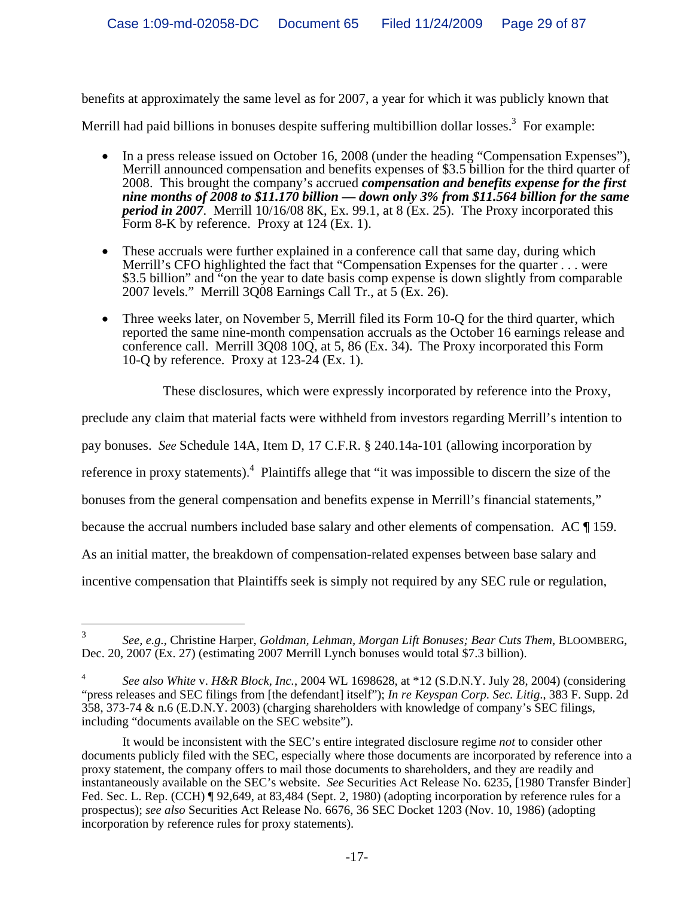benefits at approximately the same level as for 2007, a year for which it was publicly known that

Merrill had paid billions in bonuses despite suffering multibillion dollar losses.<sup>3</sup> For example:

- In a press release issued on October 16, 2008 (under the heading "Compensation Expenses"), Merrill announced compensation and benefits expenses of \$3.5 billion for the third quarter of 2008. This brought the company's accrued *compensation and benefits expense for the first nine months of 2008 to \$11.170 billion — down only 3% from \$11.564 billion for the same period in 2007*. Merrill 10/16/08 8K, Ex. 99.1, at 8 (Ex. 25). The Proxy incorporated this Form 8-K by reference. Proxy at 124 (Ex. 1).
- These accruals were further explained in a conference call that same day, during which Merrill's CFO highlighted the fact that "Compensation Expenses for the quarter . . . were \$3.5 billion" and "on the year to date basis comp expense is down slightly from comparable 2007 levels." Merrill 3Q08 Earnings Call Tr., at 5 (Ex. 26).
- Three weeks later, on November 5, Merrill filed its Form 10-O for the third quarter, which reported the same nine-month compensation accruals as the October 16 earnings release and conference call. Merrill 3Q08 10Q, at 5, 86 (Ex. 34). The Proxy incorporated this Form 10-Q by reference. Proxy at 123-24 (Ex. 1).

These disclosures, which were expressly incorporated by reference into the Proxy,

preclude any claim that material facts were withheld from investors regarding Merrill's intention to

pay bonuses. *See* Schedule 14A, Item D, 17 C.F.R. § 240.14a-101 (allowing incorporation by

reference in proxy statements).<sup>4</sup> Plaintiffs allege that "it was impossible to discern the size of the

bonuses from the general compensation and benefits expense in Merrill's financial statements,"

because the accrual numbers included base salary and other elements of compensation. AC ¶ 159.

As an initial matter, the breakdown of compensation-related expenses between base salary and

incentive compensation that Plaintiffs seek is simply not required by any SEC rule or regulation,

 $\frac{1}{3}$  *See, e.g.*, Christine Harper, *Goldman, Lehman, Morgan Lift Bonuses; Bear Cuts Them*, BLOOMBERG, Dec. 20, 2007 (Ex. 27) (estimating 2007 Merrill Lynch bonuses would total \$7.3 billion).

<sup>4</sup> *See also White* v. *H&R Block, Inc.*, 2004 WL 1698628, at \*12 (S.D.N.Y. July 28, 2004) (considering "press releases and SEC filings from [the defendant] itself"); *In re Keyspan Corp. Sec. Litig*., 383 F. Supp. 2d 358, 373-74 & n.6 (E.D.N.Y. 2003) (charging shareholders with knowledge of company's SEC filings, including "documents available on the SEC website").

It would be inconsistent with the SEC's entire integrated disclosure regime *not* to consider other documents publicly filed with the SEC, especially where those documents are incorporated by reference into a proxy statement, the company offers to mail those documents to shareholders, and they are readily and instantaneously available on the SEC's website. *See* Securities Act Release No. 6235, [1980 Transfer Binder] Fed. Sec. L. Rep. (CCH) ¶ 92,649, at 83,484 (Sept. 2, 1980) (adopting incorporation by reference rules for a prospectus); *see also* Securities Act Release No. 6676, 36 SEC Docket 1203 (Nov. 10, 1986) (adopting incorporation by reference rules for proxy statements).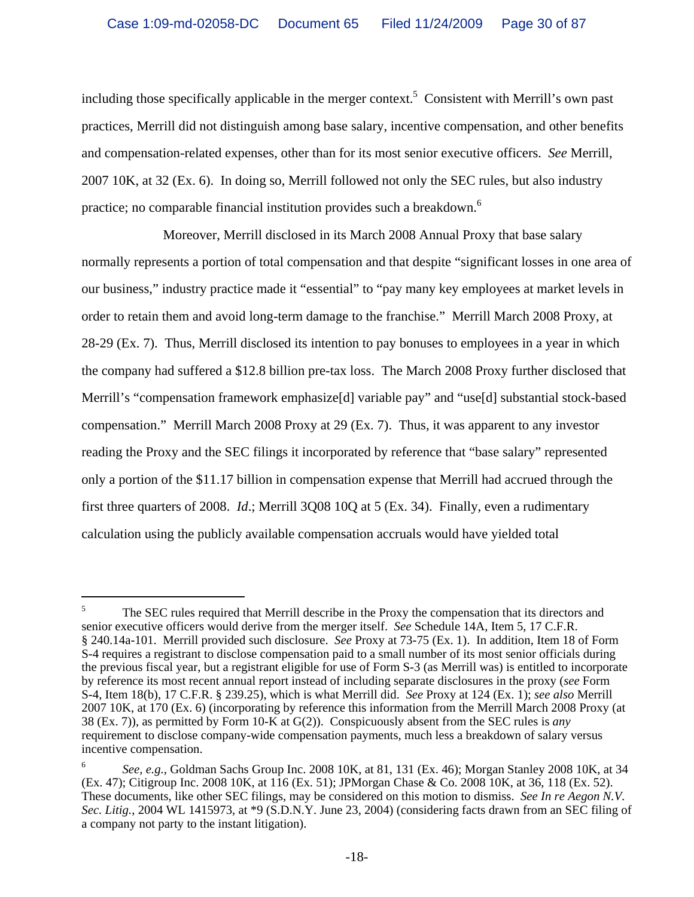including those specifically applicable in the merger context.<sup>5</sup> Consistent with Merrill's own past practices, Merrill did not distinguish among base salary, incentive compensation, and other benefits and compensation-related expenses, other than for its most senior executive officers. *See* Merrill, 2007 10K, at 32 (Ex. 6). In doing so, Merrill followed not only the SEC rules, but also industry practice; no comparable financial institution provides such a breakdown.<sup>6</sup>

Moreover, Merrill disclosed in its March 2008 Annual Proxy that base salary normally represents a portion of total compensation and that despite "significant losses in one area of our business," industry practice made it "essential" to "pay many key employees at market levels in order to retain them and avoid long-term damage to the franchise." Merrill March 2008 Proxy, at 28-29 (Ex. 7). Thus, Merrill disclosed its intention to pay bonuses to employees in a year in which the company had suffered a \$12.8 billion pre-tax loss. The March 2008 Proxy further disclosed that Merrill's "compensation framework emphasize[d] variable pay" and "use[d] substantial stock-based compensation." Merrill March 2008 Proxy at 29 (Ex. 7). Thus, it was apparent to any investor reading the Proxy and the SEC filings it incorporated by reference that "base salary" represented only a portion of the \$11.17 billion in compensation expense that Merrill had accrued through the first three quarters of 2008. *Id*.; Merrill 3Q08 10Q at 5 (Ex. 34). Finally, even a rudimentary calculation using the publicly available compensation accruals would have yielded total

<sup>5</sup> The SEC rules required that Merrill describe in the Proxy the compensation that its directors and senior executive officers would derive from the merger itself. *See* Schedule 14A, Item 5, 17 C.F.R. § 240.14a-101. Merrill provided such disclosure. *See* Proxy at 73-75 (Ex. 1). In addition, Item 18 of Form S-4 requires a registrant to disclose compensation paid to a small number of its most senior officials during the previous fiscal year, but a registrant eligible for use of Form S-3 (as Merrill was) is entitled to incorporate by reference its most recent annual report instead of including separate disclosures in the proxy (*see* Form S-4, Item 18(b), 17 C.F.R. § 239.25), which is what Merrill did. *See* Proxy at 124 (Ex. 1); *see also* Merrill 2007 10K, at 170 (Ex. 6) (incorporating by reference this information from the Merrill March 2008 Proxy (at 38 (Ex. 7)), as permitted by Form 10-K at G(2)). Conspicuously absent from the SEC rules is *any* requirement to disclose company-wide compensation payments, much less a breakdown of salary versus incentive compensation.

<sup>6</sup> *See, e.g.*, Goldman Sachs Group Inc. 2008 10K, at 81, 131 (Ex. 46); Morgan Stanley 2008 10K, at 34 (Ex. 47); Citigroup Inc. 2008 10K, at 116 (Ex. 51); JPMorgan Chase & Co. 2008 10K, at 36, 118 (Ex. 52). These documents, like other SEC filings, may be considered on this motion to dismiss. *See In re Aegon N.V. Sec. Litig.*, 2004 WL 1415973, at \*9 (S.D.N.Y. June 23, 2004) (considering facts drawn from an SEC filing of a company not party to the instant litigation).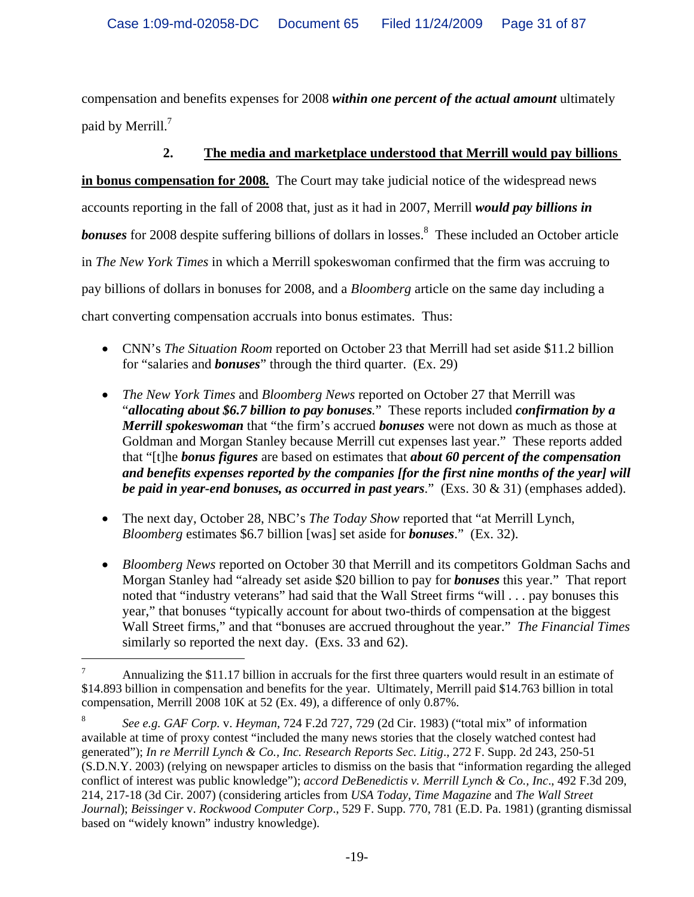compensation and benefits expenses for 2008 *within one percent of the actual amount* ultimately paid by Merrill. $^7$ 

### **2. The media and marketplace understood that Merrill would pay billions**

**in bonus compensation for 2008***.* The Court may take judicial notice of the widespread news accounts reporting in the fall of 2008 that, just as it had in 2007, Merrill *would pay billions in*  **bonuses** for 2008 despite suffering billions of dollars in losses.<sup>8</sup> These included an October article in *The New York Times* in which a Merrill spokeswoman confirmed that the firm was accruing to pay billions of dollars in bonuses for 2008, and a *Bloomberg* article on the same day including a chart converting compensation accruals into bonus estimates. Thus:

- CNN's *The Situation Room* reported on October 23 that Merrill had set aside \$11.2 billion for "salaries and *bonuses*" through the third quarter. (Ex. 29)
- *The New York Times* and *Bloomberg News* reported on October 27 that Merrill was "*allocating about \$6.7 billion to pay bonuses.*" These reports included *confirmation by a Merrill spokeswoman* that "the firm's accrued *bonuses* were not down as much as those at Goldman and Morgan Stanley because Merrill cut expenses last year." These reports added that "[t]he *bonus figures* are based on estimates that *about 60 percent of the compensation and benefits expenses reported by the companies [for the first nine months of the year] will be paid in year-end bonuses, as occurred in past years*." (Exs. 30 & 31) (emphases added).
- The next day, October 28, NBC's *The Today Show* reported that "at Merrill Lynch, *Bloomberg* estimates \$6.7 billion [was] set aside for *bonuses*." (Ex. 32).
- *Bloomberg News* reported on October 30 that Merrill and its competitors Goldman Sachs and Morgan Stanley had "already set aside \$20 billion to pay for *bonuses* this year." That report noted that "industry veterans" had said that the Wall Street firms "will . . . pay bonuses this year," that bonuses "typically account for about two-thirds of compensation at the biggest Wall Street firms," and that "bonuses are accrued throughout the year." *The Financial Times* similarly so reported the next day. (Exs. 33 and 62).

<sup>7</sup> Annualizing the \$11.17 billion in accruals for the first three quarters would result in an estimate of \$14.893 billion in compensation and benefits for the year. Ultimately, Merrill paid \$14.763 billion in total compensation, Merrill 2008 10K at 52 (Ex. 49), a difference of only 0.87%.

<sup>8</sup> *See e.g. GAF Corp.* v. *Heyman*, 724 F.2d 727, 729 (2d Cir. 1983) ("total mix" of information available at time of proxy contest "included the many news stories that the closely watched contest had generated"); *In re Merrill Lynch & Co., Inc. Research Reports Sec. Litig*., 272 F. Supp. 2d 243, 250-51 (S.D.N.Y. 2003) (relying on newspaper articles to dismiss on the basis that "information regarding the alleged conflict of interest was public knowledge"); *accord DeBenedictis v. Merrill Lynch & Co., Inc*., 492 F.3d 209, 214, 217-18 (3d Cir. 2007) (considering articles from *USA Today*, *Time Magazine* and *The Wall Street Journal*); *Beissinger* v. *Rockwood Computer Corp*., 529 F. Supp. 770, 781 (E.D. Pa. 1981) (granting dismissal based on "widely known" industry knowledge).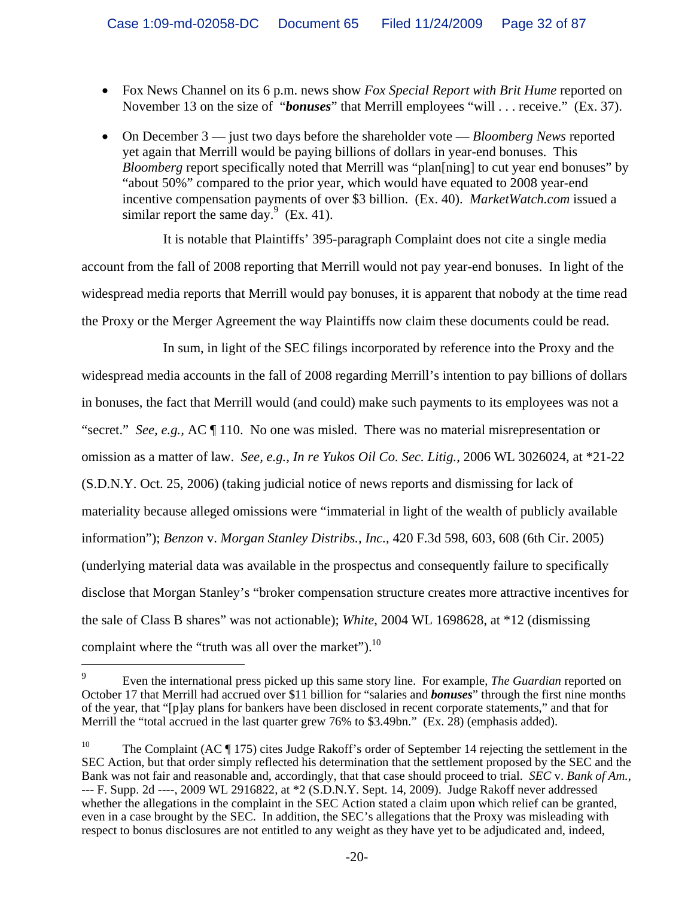- Fox News Channel on its 6 p.m. news show *Fox Special Report with Brit Hume* reported on November 13 on the size of "*bonuses*" that Merrill employees "will . . . receive." (Ex. 37).
- On December 3 just two days before the shareholder vote *Bloomberg News* reported yet again that Merrill would be paying billions of dollars in year-end bonuses. This *Bloomberg* report specifically noted that Merrill was "plan[ning] to cut year end bonuses" by "about 50%" compared to the prior year, which would have equated to 2008 year-end incentive compensation payments of over \$3 billion. (Ex. 40). *MarketWatch.com* issued a similar report the same day.  $(Ex. 41)$ .

It is notable that Plaintiffs' 395-paragraph Complaint does not cite a single media account from the fall of 2008 reporting that Merrill would not pay year-end bonuses. In light of the widespread media reports that Merrill would pay bonuses, it is apparent that nobody at the time read the Proxy or the Merger Agreement the way Plaintiffs now claim these documents could be read.

In sum, in light of the SEC filings incorporated by reference into the Proxy and the widespread media accounts in the fall of 2008 regarding Merrill's intention to pay billions of dollars in bonuses, the fact that Merrill would (and could) make such payments to its employees was not a "secret." *See, e.g.,* AC ¶ 110. No one was misled. There was no material misrepresentation or omission as a matter of law. *See, e.g., In re Yukos Oil Co. Sec. Litig.*, 2006 WL 3026024, at \*21-22 (S.D.N.Y. Oct. 25, 2006) (taking judicial notice of news reports and dismissing for lack of materiality because alleged omissions were "immaterial in light of the wealth of publicly available information"); *Benzon* v. *Morgan Stanley Distribs., Inc.*, 420 F.3d 598, 603, 608 (6th Cir. 2005) (underlying material data was available in the prospectus and consequently failure to specifically disclose that Morgan Stanley's "broker compensation structure creates more attractive incentives for the sale of Class B shares" was not actionable); *White*, 2004 WL 1698628, at \*12 (dismissing complaint where the "truth was all over the market").<sup>10</sup>

<sup>9</sup> Even the international press picked up this same story line. For example, *The Guardian* reported on October 17 that Merrill had accrued over \$11 billion for "salaries and *bonuses*" through the first nine months of the year, that "[p]ay plans for bankers have been disclosed in recent corporate statements," and that for Merrill the "total accrued in the last quarter grew 76% to \$3.49bn." (Ex. 28) (emphasis added).

<sup>&</sup>lt;sup>10</sup> The Complaint (AC  $\P$  175) cites Judge Rakoff's order of September 14 rejecting the settlement in the SEC Action, but that order simply reflected his determination that the settlement proposed by the SEC and the Bank was not fair and reasonable and, accordingly, that that case should proceed to trial. *SEC* v. *Bank of Am.*, --- F. Supp. 2d ----, 2009 WL 2916822, at \*2 (S.D.N.Y. Sept. 14, 2009). Judge Rakoff never addressed whether the allegations in the complaint in the SEC Action stated a claim upon which relief can be granted, even in a case brought by the SEC. In addition, the SEC's allegations that the Proxy was misleading with respect to bonus disclosures are not entitled to any weight as they have yet to be adjudicated and, indeed,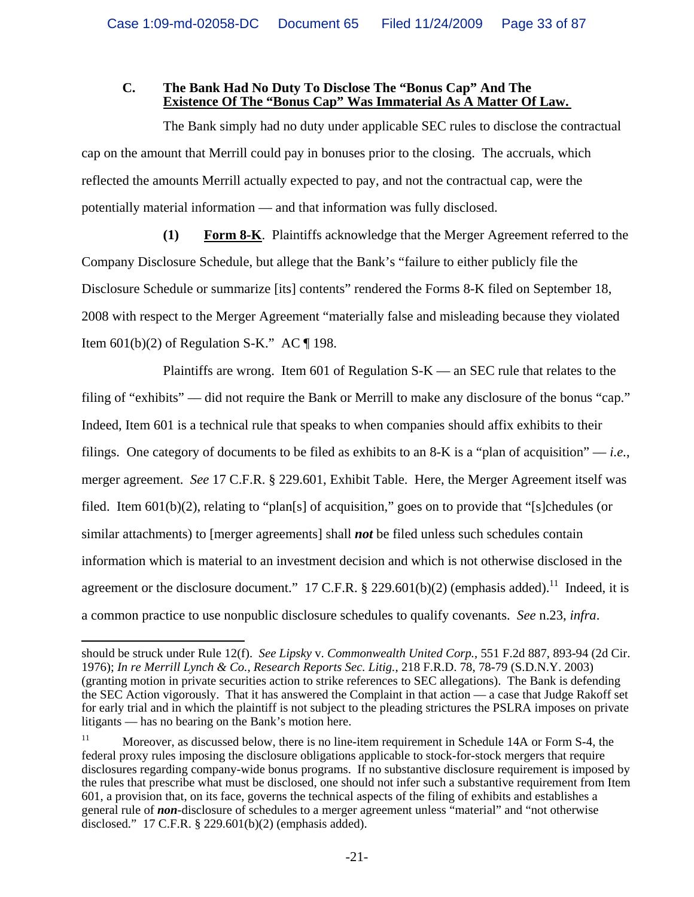#### **C. The Bank Had No Duty To Disclose The "Bonus Cap" And The Existence Of The "Bonus Cap" Was Immaterial As A Matter Of Law.**

The Bank simply had no duty under applicable SEC rules to disclose the contractual cap on the amount that Merrill could pay in bonuses prior to the closing. The accruals, which reflected the amounts Merrill actually expected to pay, and not the contractual cap, were the potentially material information — and that information was fully disclosed.

**(1) Form 8-K**. Plaintiffs acknowledge that the Merger Agreement referred to the Company Disclosure Schedule, but allege that the Bank's "failure to either publicly file the Disclosure Schedule or summarize [its] contents" rendered the Forms 8-K filed on September 18, 2008 with respect to the Merger Agreement "materially false and misleading because they violated Item  $601(b)(2)$  of Regulation S-K." AC  $\P$  198.

Plaintiffs are wrong. Item 601 of Regulation  $S-K$  — an SEC rule that relates to the filing of "exhibits" –– did not require the Bank or Merrill to make any disclosure of the bonus "cap." Indeed, Item 601 is a technical rule that speaks to when companies should affix exhibits to their filings. One category of documents to be filed as exhibits to an 8-K is a "plan of acquisition" –– *i.e.*, merger agreement. *See* 17 C.F.R. § 229.601, Exhibit Table. Here, the Merger Agreement itself was filed. Item 601(b)(2), relating to "plan[s] of acquisition," goes on to provide that "[s]chedules (or similar attachments) to [merger agreements] shall *not* be filed unless such schedules contain information which is material to an investment decision and which is not otherwise disclosed in the agreement or the disclosure document." 17 C.F.R.  $\S$  229.601(b)(2) (emphasis added).<sup>11</sup> Indeed, it is a common practice to use nonpublic disclosure schedules to qualify covenants. *See* n.23, *infra*.

 $\overline{\phantom{0}}$ should be struck under Rule 12(f). *See Lipsky* v. *Commonwealth United Corp.*, 551 F.2d 887, 893-94 (2d Cir. 1976); *In re Merrill Lynch & Co., Research Reports Sec. Litig.*, 218 F.R.D. 78, 78-79 (S.D.N.Y. 2003) (granting motion in private securities action to strike references to SEC allegations). The Bank is defending the SEC Action vigorously. That it has answered the Complaint in that action — a case that Judge Rakoff set for early trial and in which the plaintiff is not subject to the pleading strictures the PSLRA imposes on private litigants — has no bearing on the Bank's motion here.

<sup>&</sup>lt;sup>11</sup> Moreover, as discussed below, there is no line-item requirement in Schedule 14A or Form S-4, the federal proxy rules imposing the disclosure obligations applicable to stock-for-stock mergers that require disclosures regarding company-wide bonus programs. If no substantive disclosure requirement is imposed by the rules that prescribe what must be disclosed, one should not infer such a substantive requirement from Item 601, a provision that, on its face, governs the technical aspects of the filing of exhibits and establishes a general rule of *non*-disclosure of schedules to a merger agreement unless "material" and "not otherwise disclosed." 17 C.F.R. § 229.601(b)(2) (emphasis added).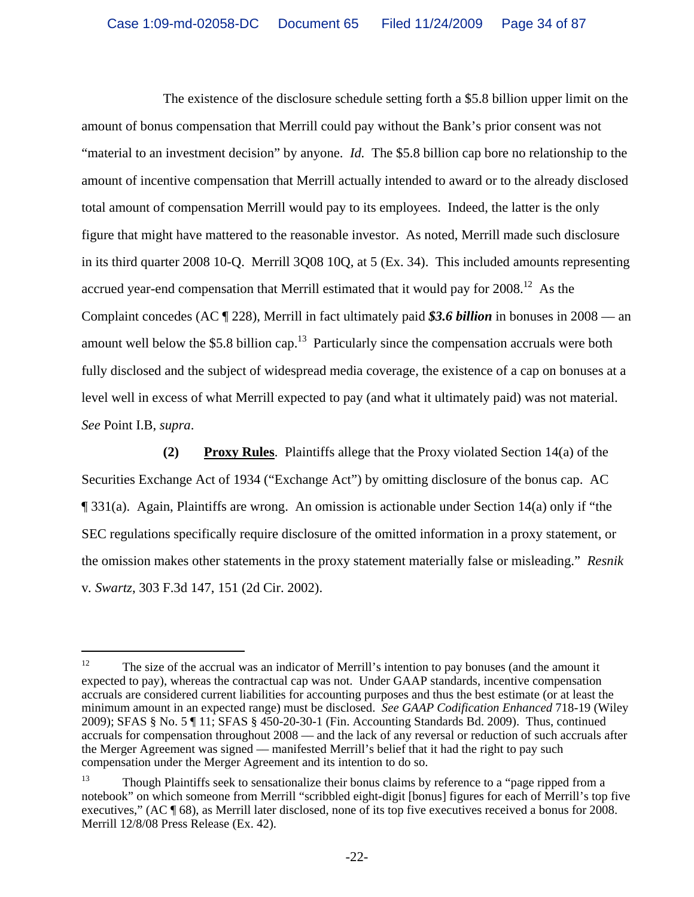The existence of the disclosure schedule setting forth a \$5.8 billion upper limit on the amount of bonus compensation that Merrill could pay without the Bank's prior consent was not "material to an investment decision" by anyone. *Id.* The \$5.8 billion cap bore no relationship to the amount of incentive compensation that Merrill actually intended to award or to the already disclosed total amount of compensation Merrill would pay to its employees. Indeed, the latter is the only figure that might have mattered to the reasonable investor. As noted, Merrill made such disclosure in its third quarter 2008 10-Q. Merrill 3Q08 10Q, at 5 (Ex. 34). This included amounts representing accrued year-end compensation that Merrill estimated that it would pay for  $2008<sup>12</sup>$  As the Complaint concedes (AC ¶ 228), Merrill in fact ultimately paid *\$3.6 billion* in bonuses in 2008 –– an amount well below the \$5.8 billion cap.<sup>13</sup> Particularly since the compensation accruals were both fully disclosed and the subject of widespread media coverage, the existence of a cap on bonuses at a level well in excess of what Merrill expected to pay (and what it ultimately paid) was not material. *See* Point I.B, *supra*.

**(2) Proxy Rules**. Plaintiffs allege that the Proxy violated Section 14(a) of the Securities Exchange Act of 1934 ("Exchange Act") by omitting disclosure of the bonus cap. AC ¶ 331(a). Again, Plaintiffs are wrong. An omission is actionable under Section 14(a) only if "the SEC regulations specifically require disclosure of the omitted information in a proxy statement, or the omission makes other statements in the proxy statement materially false or misleading." *Resnik*  v*. Swartz*, 303 F.3d 147, 151 (2d Cir. 2002).

 $12$  The size of the accrual was an indicator of Merrill's intention to pay bonuses (and the amount it expected to pay), whereas the contractual cap was not. Under GAAP standards, incentive compensation accruals are considered current liabilities for accounting purposes and thus the best estimate (or at least the minimum amount in an expected range) must be disclosed. *See GAAP Codification Enhanced* 718-19 (Wiley 2009); SFAS § No. 5 ¶ 11; SFAS § 450-20-30-1 (Fin. Accounting Standards Bd. 2009). Thus, continued accruals for compensation throughout 2008 –– and the lack of any reversal or reduction of such accruals after the Merger Agreement was signed –– manifested Merrill's belief that it had the right to pay such compensation under the Merger Agreement and its intention to do so.

<sup>&</sup>lt;sup>13</sup> Though Plaintiffs seek to sensationalize their bonus claims by reference to a "page ripped from a notebook" on which someone from Merrill "scribbled eight-digit [bonus] figures for each of Merrill's top five executives," (AC ¶ 68), as Merrill later disclosed, none of its top five executives received a bonus for 2008. Merrill 12/8/08 Press Release (Ex. 42).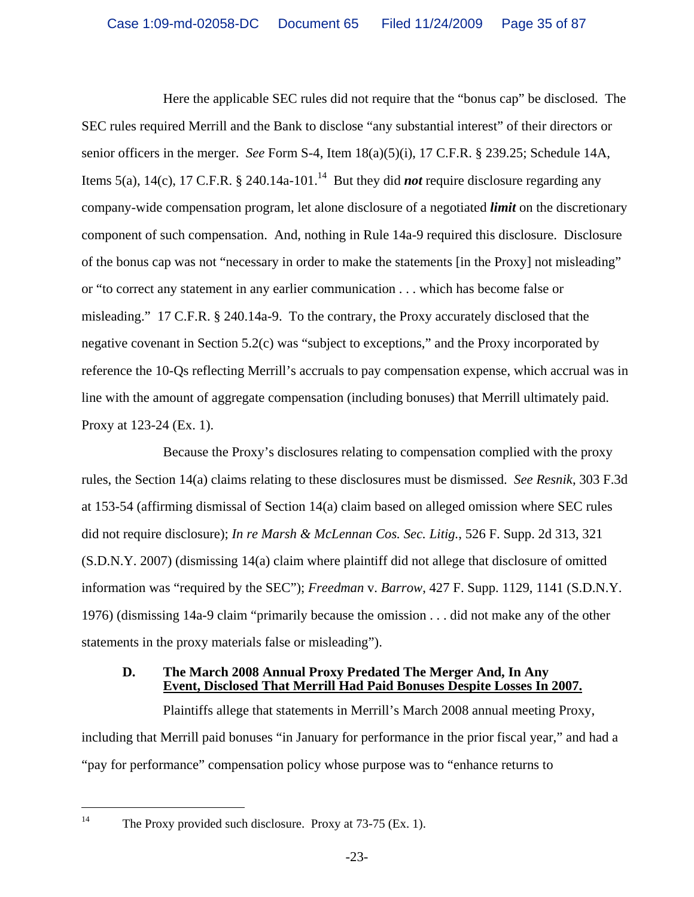Here the applicable SEC rules did not require that the "bonus cap" be disclosed. The SEC rules required Merrill and the Bank to disclose "any substantial interest" of their directors or senior officers in the merger. *See* Form S-4, Item 18(a)(5)(i), 17 C.F.R. § 239.25; Schedule 14A, Items 5(a), 14(c), 17 C.F.R. § 240.14a-101.<sup>14</sup> But they did *not* require disclosure regarding any company-wide compensation program, let alone disclosure of a negotiated *limit* on the discretionary component of such compensation. And, nothing in Rule 14a-9 required this disclosure. Disclosure of the bonus cap was not "necessary in order to make the statements [in the Proxy] not misleading" or "to correct any statement in any earlier communication . . . which has become false or misleading." 17 C.F.R. § 240.14a-9. To the contrary, the Proxy accurately disclosed that the negative covenant in Section 5.2(c) was "subject to exceptions," and the Proxy incorporated by reference the 10-Qs reflecting Merrill's accruals to pay compensation expense, which accrual was in line with the amount of aggregate compensation (including bonuses) that Merrill ultimately paid. Proxy at 123-24 (Ex. 1).

Because the Proxy's disclosures relating to compensation complied with the proxy rules, the Section 14(a) claims relating to these disclosures must be dismissed. *See Resnik*, 303 F.3d at 153-54 (affirming dismissal of Section 14(a) claim based on alleged omission where SEC rules did not require disclosure); *In re Marsh & McLennan Cos. Sec. Litig.*, 526 F. Supp. 2d 313, 321 (S.D.N.Y. 2007) (dismissing 14(a) claim where plaintiff did not allege that disclosure of omitted information was "required by the SEC"); *Freedman* v. *Barrow*, 427 F. Supp. 1129, 1141 (S.D.N.Y. 1976) (dismissing 14a-9 claim "primarily because the omission . . . did not make any of the other statements in the proxy materials false or misleading").

#### **D. The March 2008 Annual Proxy Predated The Merger And, In Any Event, Disclosed That Merrill Had Paid Bonuses Despite Losses In 2007.**

Plaintiffs allege that statements in Merrill's March 2008 annual meeting Proxy, including that Merrill paid bonuses "in January for performance in the prior fiscal year," and had a "pay for performance" compensation policy whose purpose was to "enhance returns to

<sup>&</sup>lt;sup>14</sup> The Proxy provided such disclosure. Proxy at  $73-75$  (Ex. 1).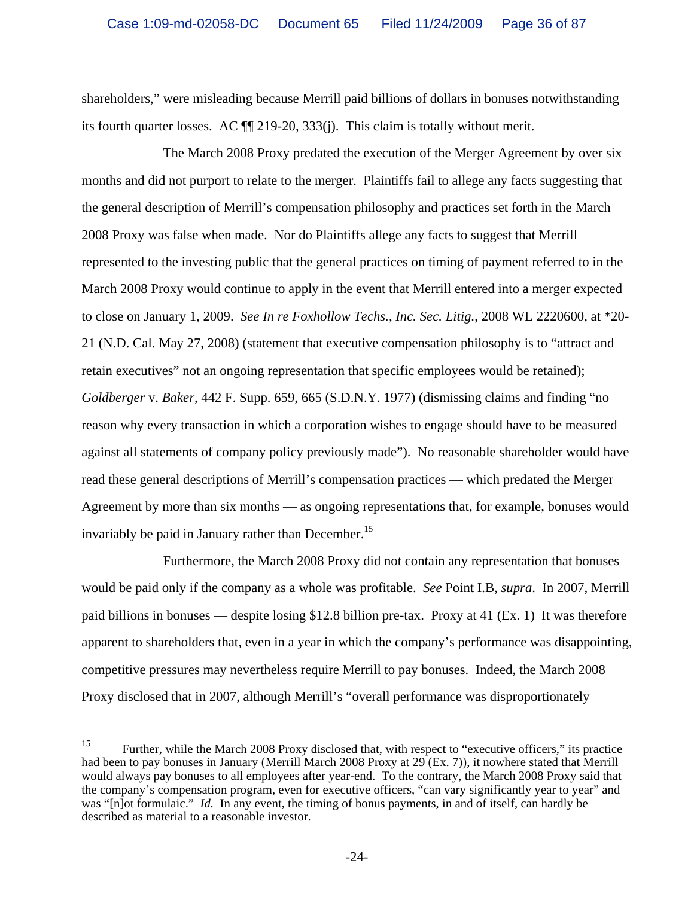shareholders," were misleading because Merrill paid billions of dollars in bonuses notwithstanding its fourth quarter losses. AC ¶¶ 219-20, 333(j). This claim is totally without merit.

The March 2008 Proxy predated the execution of the Merger Agreement by over six months and did not purport to relate to the merger. Plaintiffs fail to allege any facts suggesting that the general description of Merrill's compensation philosophy and practices set forth in the March 2008 Proxy was false when made. Nor do Plaintiffs allege any facts to suggest that Merrill represented to the investing public that the general practices on timing of payment referred to in the March 2008 Proxy would continue to apply in the event that Merrill entered into a merger expected to close on January 1, 2009. *See In re Foxhollow Techs., Inc. Sec. Litig.*, 2008 WL 2220600, at \*20- 21 (N.D. Cal. May 27, 2008) (statement that executive compensation philosophy is to "attract and retain executives" not an ongoing representation that specific employees would be retained); *Goldberger* v. *Baker*, 442 F. Supp. 659, 665 (S.D.N.Y. 1977) (dismissing claims and finding "no reason why every transaction in which a corporation wishes to engage should have to be measured against all statements of company policy previously made"). No reasonable shareholder would have read these general descriptions of Merrill's compensation practices –– which predated the Merger Agreement by more than six months –– as ongoing representations that, for example, bonuses would invariably be paid in January rather than December.<sup>15</sup>

Furthermore, the March 2008 Proxy did not contain any representation that bonuses would be paid only if the company as a whole was profitable. *See* Point I.B, *supra*. In 2007, Merrill paid billions in bonuses — despite losing \$12.8 billion pre-tax. Proxy at 41 (Ex. 1) It was therefore apparent to shareholders that, even in a year in which the company's performance was disappointing, competitive pressures may nevertheless require Merrill to pay bonuses. Indeed, the March 2008 Proxy disclosed that in 2007, although Merrill's "overall performance was disproportionately

<sup>&</sup>lt;sup>15</sup> Further, while the March 2008 Proxy disclosed that, with respect to "executive officers," its practice had been to pay bonuses in January (Merrill March 2008 Proxy at 29 (Ex. 7)), it nowhere stated that Merrill would always pay bonuses to all employees after year-end. To the contrary, the March 2008 Proxy said that the company's compensation program, even for executive officers, "can vary significantly year to year" and was "[n]ot formulaic." *Id.* In any event, the timing of bonus payments, in and of itself, can hardly be described as material to a reasonable investor.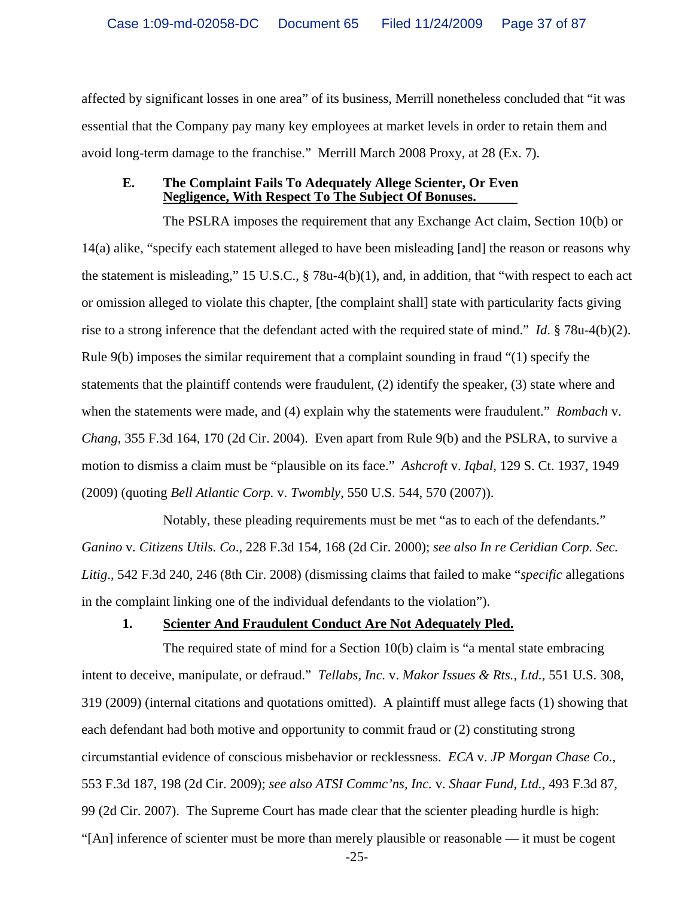affected by significant losses in one area" of its business, Merrill nonetheless concluded that "it was essential that the Company pay many key employees at market levels in order to retain them and avoid long-term damage to the franchise." Merrill March 2008 Proxy, at 28 (Ex. 7).

#### **E. The Complaint Fails To Adequately Allege Scienter, Or Even Negligence, With Respect To The Subject Of Bonuses.**

The PSLRA imposes the requirement that any Exchange Act claim, Section 10(b) or 14(a) alike, "specify each statement alleged to have been misleading [and] the reason or reasons why the statement is misleading," 15 U.S.C., § 78u-4(b)(1), and, in addition, that "with respect to each act or omission alleged to violate this chapter, [the complaint shall] state with particularity facts giving rise to a strong inference that the defendant acted with the required state of mind." *Id*. § 78u-4(b)(2). Rule 9(b) imposes the similar requirement that a complaint sounding in fraud "(1) specify the statements that the plaintiff contends were fraudulent, (2) identify the speaker, (3) state where and when the statements were made, and (4) explain why the statements were fraudulent." *Rombach* v. *Chang*, 355 F.3d 164, 170 (2d Cir. 2004). Even apart from Rule 9(b) and the PSLRA, to survive a motion to dismiss a claim must be "plausible on its face." *Ashcroft* v. *Iqbal*, 129 S. Ct. 1937, 1949 (2009) (quoting *Bell Atlantic Corp.* v. *Twombly*, 550 U.S. 544, 570 (2007)).

Notably, these pleading requirements must be met "as to each of the defendants." *Ganino* v*. Citizens Utils. Co*., 228 F.3d 154, 168 (2d Cir. 2000); *see also In re Ceridian Corp. Sec. Litig*., 542 F.3d 240, 246 (8th Cir. 2008) (dismissing claims that failed to make "*specific* allegations in the complaint linking one of the individual defendants to the violation").

### **1. Scienter And Fraudulent Conduct Are Not Adequately Pled.**

The required state of mind for a Section 10(b) claim is "a mental state embracing intent to deceive, manipulate, or defraud." *Tellabs, Inc.* v. *Makor Issues & Rts., Ltd.*, 551 U.S. 308, 319 (2009) (internal citations and quotations omitted). A plaintiff must allege facts (1) showing that each defendant had both motive and opportunity to commit fraud or (2) constituting strong circumstantial evidence of conscious misbehavior or recklessness. *ECA* v. *JP Morgan Chase Co.*, 553 F.3d 187, 198 (2d Cir. 2009); *see also ATSI Commc'ns, Inc.* v. *Shaar Fund, Ltd.*, 493 F.3d 87, 99 (2d Cir. 2007). The Supreme Court has made clear that the scienter pleading hurdle is high: "[An] inference of scienter must be more than merely plausible or reasonable — it must be cogent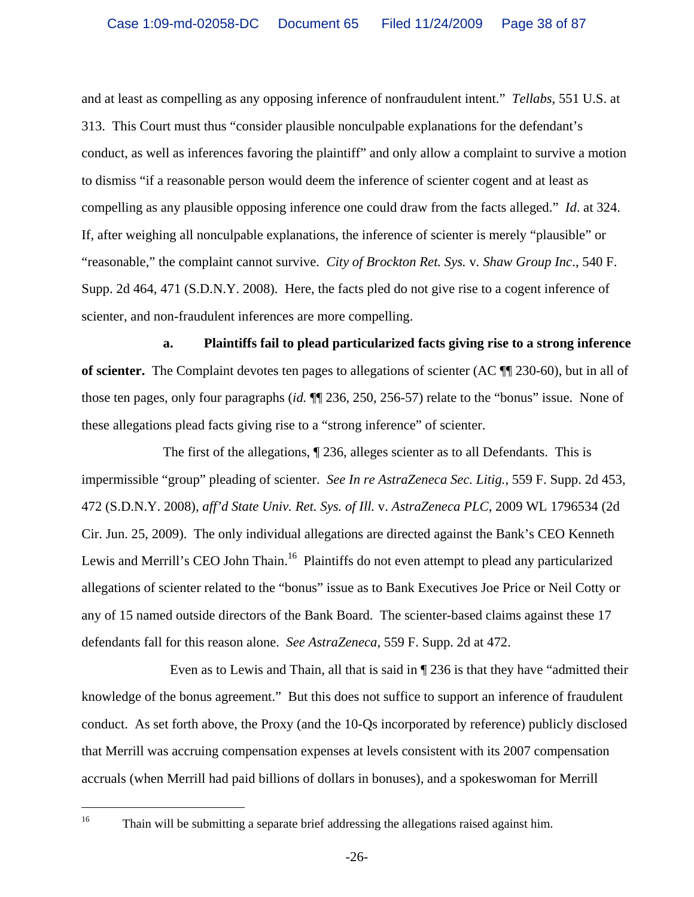and at least as compelling as any opposing inference of nonfraudulent intent." *Tellabs*, 551 U.S. at 313. This Court must thus "consider plausible nonculpable explanations for the defendant's conduct, as well as inferences favoring the plaintiff" and only allow a complaint to survive a motion to dismiss "if a reasonable person would deem the inference of scienter cogent and at least as compelling as any plausible opposing inference one could draw from the facts alleged." *Id*. at 324. If, after weighing all nonculpable explanations, the inference of scienter is merely "plausible" or "reasonable," the complaint cannot survive. *City of Brockton Ret. Sys.* v*. Shaw Group Inc*., 540 F. Supp. 2d 464, 471 (S.D.N.Y. 2008). Here, the facts pled do not give rise to a cogent inference of scienter, and non-fraudulent inferences are more compelling.

**a. Plaintiffs fail to plead particularized facts giving rise to a strong inference of scienter.** The Complaint devotes ten pages to allegations of scienter (AC ¶¶ 230-60), but in all of those ten pages, only four paragraphs (*id.* ¶¶ 236, 250, 256-57) relate to the "bonus" issue. None of these allegations plead facts giving rise to a "strong inference" of scienter.

The first of the allegations, ¶ 236, alleges scienter as to all Defendants. This is impermissible "group" pleading of scienter. *See In re AstraZeneca Sec. Litig.*, 559 F. Supp. 2d 453, 472 (S.D.N.Y. 2008), *aff'd State Univ. Ret. Sys. of Ill.* v. *AstraZeneca PLC*, 2009 WL 1796534 (2d Cir. Jun. 25, 2009). The only individual allegations are directed against the Bank's CEO Kenneth Lewis and Merrill's CEO John Thain.<sup>16</sup> Plaintiffs do not even attempt to plead any particularized allegations of scienter related to the "bonus" issue as to Bank Executives Joe Price or Neil Cotty or any of 15 named outside directors of the Bank Board. The scienter-based claims against these 17 defendants fall for this reason alone. *See AstraZeneca*, 559 F. Supp. 2d at 472.

 Even as to Lewis and Thain, all that is said in ¶ 236 is that they have "admitted their knowledge of the bonus agreement." But this does not suffice to support an inference of fraudulent conduct. As set forth above, the Proxy (and the 10-Qs incorporated by reference) publicly disclosed that Merrill was accruing compensation expenses at levels consistent with its 2007 compensation accruals (when Merrill had paid billions of dollars in bonuses), and a spokeswoman for Merrill

<sup>&</sup>lt;sup>16</sup> Thain will be submitting a separate brief addressing the allegations raised against him.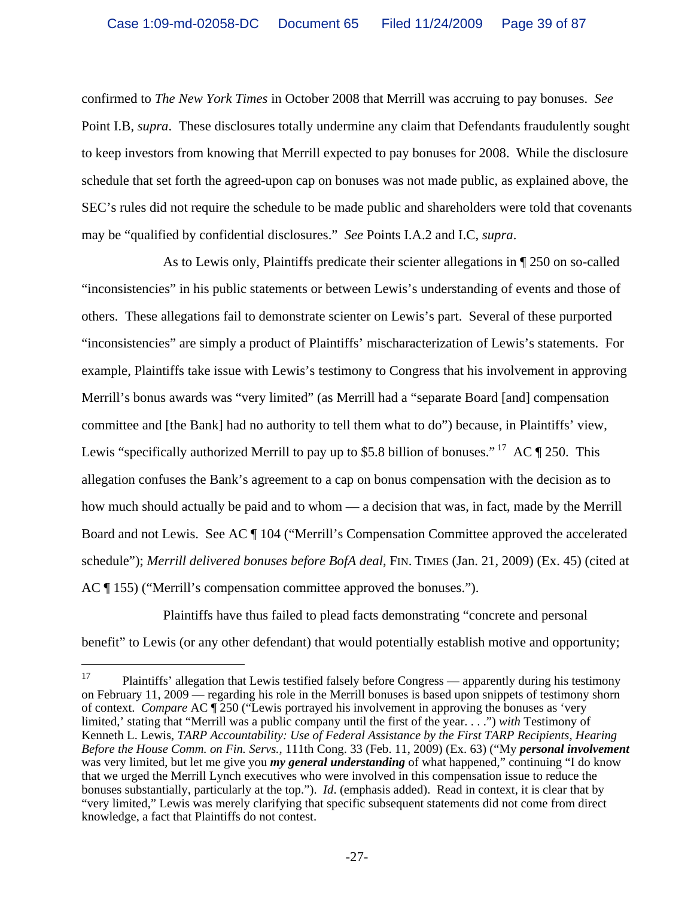confirmed to *The New York Times* in October 2008 that Merrill was accruing to pay bonuses. *See*  Point I.B, *supra*. These disclosures totally undermine any claim that Defendants fraudulently sought to keep investors from knowing that Merrill expected to pay bonuses for 2008. While the disclosure schedule that set forth the agreed-upon cap on bonuses was not made public, as explained above, the SEC's rules did not require the schedule to be made public and shareholders were told that covenants may be "qualified by confidential disclosures." *See* Points I.A.2 and I.C, *supra*.

As to Lewis only, Plaintiffs predicate their scienter allegations in ¶ 250 on so-called "inconsistencies" in his public statements or between Lewis's understanding of events and those of others. These allegations fail to demonstrate scienter on Lewis's part. Several of these purported "inconsistencies" are simply a product of Plaintiffs' mischaracterization of Lewis's statements. For example, Plaintiffs take issue with Lewis's testimony to Congress that his involvement in approving Merrill's bonus awards was "very limited" (as Merrill had a "separate Board [and] compensation committee and [the Bank] had no authority to tell them what to do") because, in Plaintiffs' view, Lewis "specifically authorized Merrill to pay up to \$5.8 billion of bonuses."<sup>17</sup> AC ¶ 250. This allegation confuses the Bank's agreement to a cap on bonus compensation with the decision as to how much should actually be paid and to whom — a decision that was, in fact, made by the Merrill Board and not Lewis. See AC ¶ 104 ("Merrill's Compensation Committee approved the accelerated schedule"); *Merrill delivered bonuses before BofA deal*, FIN. TIMES (Jan. 21, 2009) (Ex. 45) (cited at AC ¶ 155) ("Merrill's compensation committee approved the bonuses.").

Plaintiffs have thus failed to plead facts demonstrating "concrete and personal benefit" to Lewis (or any other defendant) that would potentially establish motive and opportunity;

<sup>17</sup> 17 Plaintiffs' allegation that Lewis testified falsely before Congress — apparently during his testimony on February 11, 2009 — regarding his role in the Merrill bonuses is based upon snippets of testimony shorn of context. *Compare* AC ¶ 250 ("Lewis portrayed his involvement in approving the bonuses as 'very limited,' stating that "Merrill was a public company until the first of the year. . . .") *with* Testimony of Kenneth L. Lewis, *TARP Accountability: Use of Federal Assistance by the First TARP Recipients, Hearing Before the House Comm. on Fin. Servs.*, 111th Cong. 33 (Feb. 11, 2009) (Ex. 63) ("My *personal involvement* was very limited, but let me give you *my general understanding* of what happened," continuing "I do know that we urged the Merrill Lynch executives who were involved in this compensation issue to reduce the bonuses substantially, particularly at the top."). *Id*. (emphasis added). Read in context, it is clear that by "very limited," Lewis was merely clarifying that specific subsequent statements did not come from direct knowledge, a fact that Plaintiffs do not contest.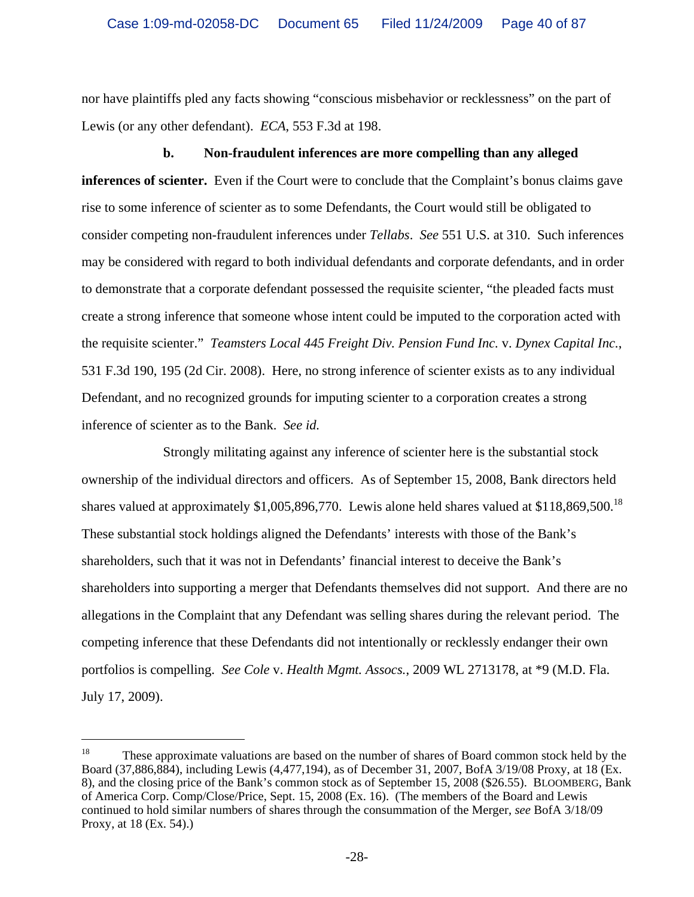nor have plaintiffs pled any facts showing "conscious misbehavior or recklessness" on the part of Lewis (or any other defendant). *ECA*, 553 F.3d at 198.

# **b. Non-fraudulent inferences are more compelling than any alleged**

**inferences of scienter.** Even if the Court were to conclude that the Complaint's bonus claims gave rise to some inference of scienter as to some Defendants, the Court would still be obligated to consider competing non-fraudulent inferences under *Tellabs*. *See* 551 U.S. at 310. Such inferences may be considered with regard to both individual defendants and corporate defendants, and in order to demonstrate that a corporate defendant possessed the requisite scienter, "the pleaded facts must create a strong inference that someone whose intent could be imputed to the corporation acted with the requisite scienter." *Teamsters Local 445 Freight Div. Pension Fund Inc.* v. *Dynex Capital Inc.*, 531 F.3d 190, 195 (2d Cir. 2008). Here, no strong inference of scienter exists as to any individual Defendant, and no recognized grounds for imputing scienter to a corporation creates a strong inference of scienter as to the Bank. *See id.* 

Strongly militating against any inference of scienter here is the substantial stock ownership of the individual directors and officers. As of September 15, 2008, Bank directors held shares valued at approximately \$1,005,896,770. Lewis alone held shares valued at \$118,869,500.<sup>18</sup> These substantial stock holdings aligned the Defendants' interests with those of the Bank's shareholders, such that it was not in Defendants' financial interest to deceive the Bank's shareholders into supporting a merger that Defendants themselves did not support. And there are no allegations in the Complaint that any Defendant was selling shares during the relevant period. The competing inference that these Defendants did not intentionally or recklessly endanger their own portfolios is compelling. *See Cole* v. *Health Mgmt. Assocs.*, 2009 WL 2713178, at \*9 (M.D. Fla. July 17, 2009).

<sup>&</sup>lt;sup>18</sup> These approximate valuations are based on the number of shares of Board common stock held by the Board (37,886,884), including Lewis (4,477,194), as of December 31, 2007, BofA 3/19/08 Proxy, at 18 (Ex. 8), and the closing price of the Bank's common stock as of September 15, 2008 (\$26.55). BLOOMBERG, Bank of America Corp. Comp/Close/Price, Sept. 15, 2008 (Ex. 16). (The members of the Board and Lewis continued to hold similar numbers of shares through the consummation of the Merger, *see* BofA 3/18/09 Proxy, at 18 (Ex. 54).)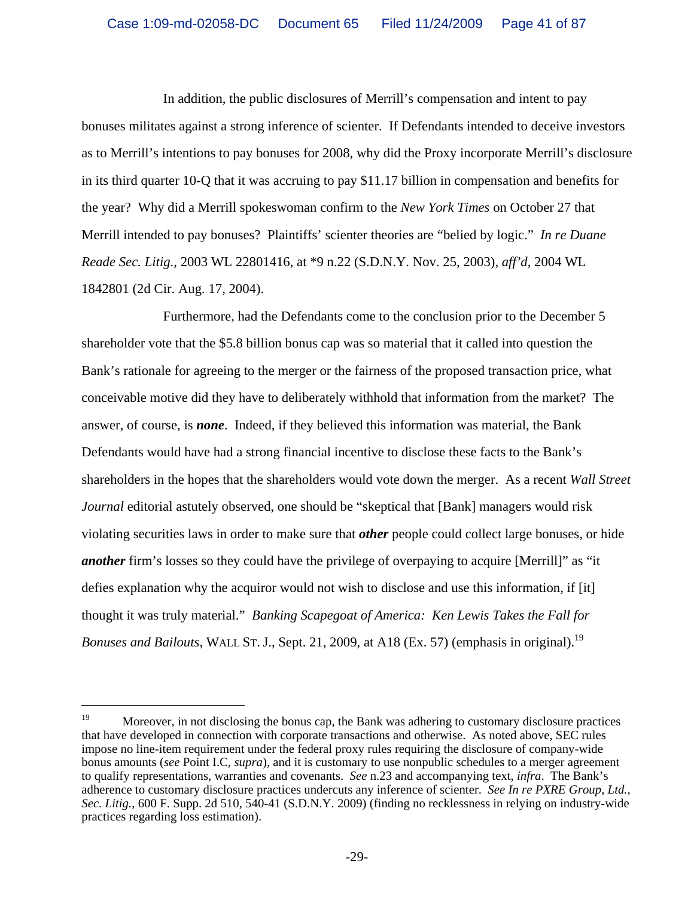In addition, the public disclosures of Merrill's compensation and intent to pay bonuses militates against a strong inference of scienter. If Defendants intended to deceive investors as to Merrill's intentions to pay bonuses for 2008, why did the Proxy incorporate Merrill's disclosure in its third quarter 10-Q that it was accruing to pay \$11.17 billion in compensation and benefits for the year? Why did a Merrill spokeswoman confirm to the *New York Times* on October 27 that Merrill intended to pay bonuses? Plaintiffs' scienter theories are "belied by logic." *In re Duane Reade Sec. Litig.*, 2003 WL 22801416, at \*9 n.22 (S.D.N.Y. Nov. 25, 2003), *aff'd*, 2004 WL 1842801 (2d Cir. Aug. 17, 2004).

Furthermore, had the Defendants come to the conclusion prior to the December 5 shareholder vote that the \$5.8 billion bonus cap was so material that it called into question the Bank's rationale for agreeing to the merger or the fairness of the proposed transaction price, what conceivable motive did they have to deliberately withhold that information from the market? The answer, of course, is *none*. Indeed, if they believed this information was material, the Bank Defendants would have had a strong financial incentive to disclose these facts to the Bank's shareholders in the hopes that the shareholders would vote down the merger. As a recent *Wall Street Journal* editorial astutely observed, one should be "skeptical that [Bank] managers would risk violating securities laws in order to make sure that *other* people could collect large bonuses, or hide *another* firm's losses so they could have the privilege of overpaying to acquire [Merrill]" as "it defies explanation why the acquiror would not wish to disclose and use this information, if [it] thought it was truly material." *Banking Scapegoat of America: Ken Lewis Takes the Fall for Bonuses and Bailouts*, WALL ST. J., Sept. 21, 2009, at A18 (Ex. 57) (emphasis in original).<sup>19</sup>

<sup>&</sup>lt;sup>19</sup> Moreover, in not disclosing the bonus cap, the Bank was adhering to customary disclosure practices that have developed in connection with corporate transactions and otherwise. As noted above, SEC rules impose no line-item requirement under the federal proxy rules requiring the disclosure of company-wide bonus amounts (*see* Point I.C, *supra*), and it is customary to use nonpublic schedules to a merger agreement to qualify representations, warranties and covenants. *See* n.23 and accompanying text, *infra*. The Bank's adherence to customary disclosure practices undercuts any inference of scienter. *See In re PXRE Group, Ltd., Sec. Litig.*, 600 F. Supp. 2d 510, 540-41 (S.D.N.Y. 2009) (finding no recklessness in relying on industry-wide practices regarding loss estimation).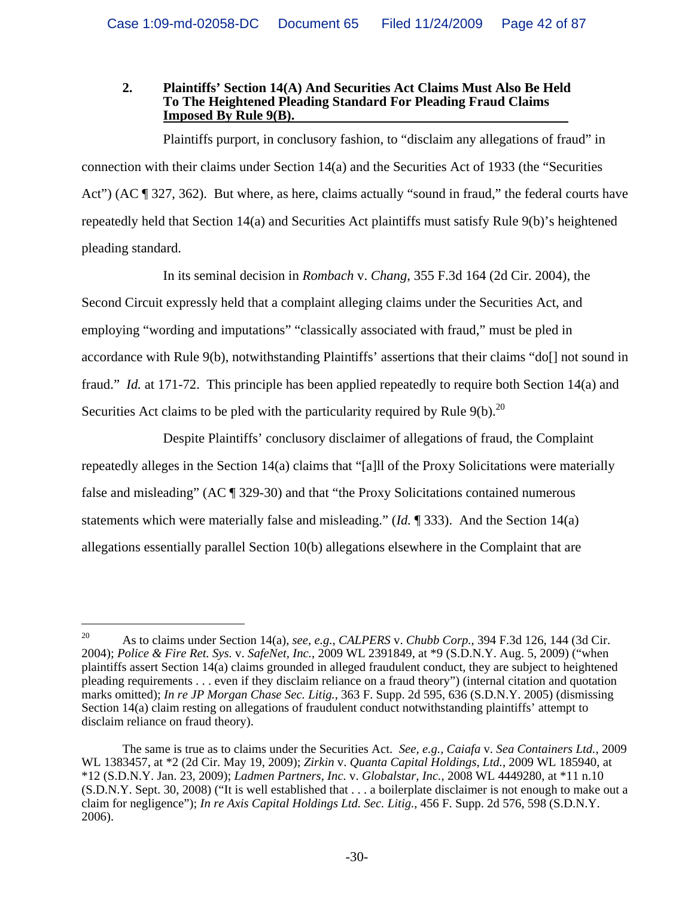#### **2. Plaintiffs' Section 14(A) And Securities Act Claims Must Also Be Held To The Heightened Pleading Standard For Pleading Fraud Claims Imposed By Rule 9(B).**

Plaintiffs purport, in conclusory fashion, to "disclaim any allegations of fraud" in connection with their claims under Section 14(a) and the Securities Act of 1933 (the "Securities Act") (AC ¶ 327, 362). But where, as here, claims actually "sound in fraud," the federal courts have repeatedly held that Section 14(a) and Securities Act plaintiffs must satisfy Rule 9(b)'s heightened pleading standard.

In its seminal decision in *Rombach* v. *Chang*, 355 F.3d 164 (2d Cir. 2004), the Second Circuit expressly held that a complaint alleging claims under the Securities Act, and employing "wording and imputations" "classically associated with fraud," must be pled in accordance with Rule 9(b), notwithstanding Plaintiffs' assertions that their claims "do[] not sound in fraud." *Id.* at 171-72. This principle has been applied repeatedly to require both Section 14(a) and Securities Act claims to be pled with the particularity required by Rule  $9(b)$ .<sup>20</sup>

Despite Plaintiffs' conclusory disclaimer of allegations of fraud, the Complaint repeatedly alleges in the Section 14(a) claims that "[a]ll of the Proxy Solicitations were materially false and misleading" (AC ¶ 329-30) and that "the Proxy Solicitations contained numerous statements which were materially false and misleading." (*Id.* ¶ 333). And the Section 14(a) allegations essentially parallel Section 10(b) allegations elsewhere in the Complaint that are

<sup>20</sup> As to claims under Section 14(a), *see, e.g.*, *CALPERS* v. *Chubb Corp.*, 394 F.3d 126, 144 (3d Cir. 2004); *Police & Fire Ret. Sys.* v. *SafeNet, Inc.*, 2009 WL 2391849, at \*9 (S.D.N.Y. Aug. 5, 2009) ("when plaintiffs assert Section 14(a) claims grounded in alleged fraudulent conduct, they are subject to heightened pleading requirements . . . even if they disclaim reliance on a fraud theory") (internal citation and quotation marks omitted); *In re JP Morgan Chase Sec. Litig.*, 363 F. Supp. 2d 595, 636 (S.D.N.Y. 2005) (dismissing Section 14(a) claim resting on allegations of fraudulent conduct notwithstanding plaintiffs' attempt to disclaim reliance on fraud theory).

The same is true as to claims under the Securities Act. *See, e.g., Caiafa* v. *Sea Containers Ltd.*, 2009 WL 1383457, at \*2 (2d Cir. May 19, 2009); *Zirkin* v. *Quanta Capital Holdings, Ltd.*, 2009 WL 185940, at \*12 (S.D.N.Y. Jan. 23, 2009); *Ladmen Partners, Inc.* v. *Globalstar, Inc.*, 2008 WL 4449280, at \*11 n.10 (S.D.N.Y. Sept. 30, 2008) ("It is well established that . . . a boilerplate disclaimer is not enough to make out a claim for negligence"); *In re Axis Capital Holdings Ltd. Sec. Litig.*, 456 F. Supp. 2d 576, 598 (S.D.N.Y. 2006).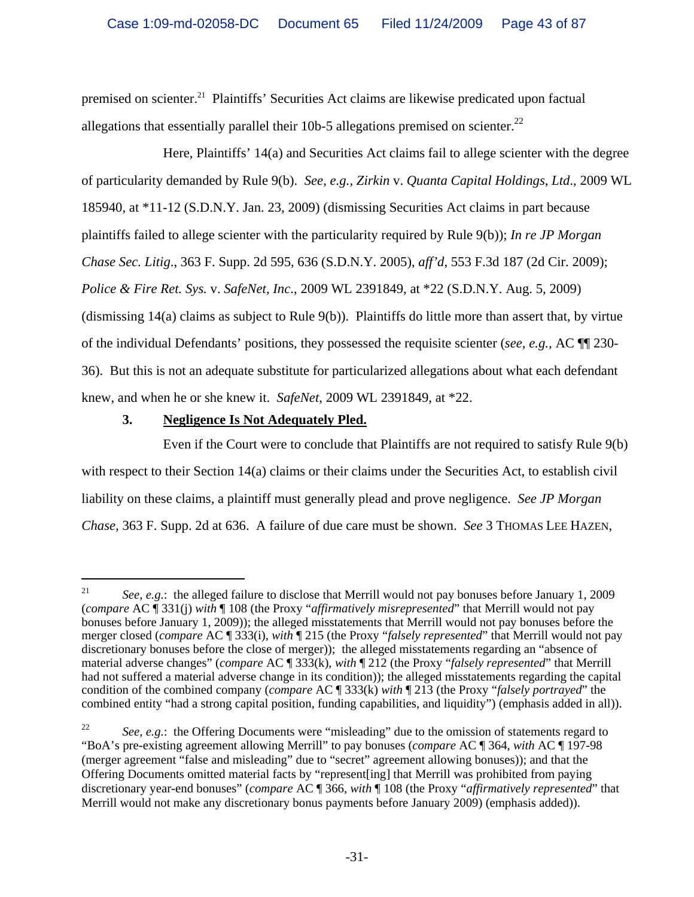premised on scienter.<sup>21</sup> Plaintiffs' Securities Act claims are likewise predicated upon factual allegations that essentially parallel their 10b-5 allegations premised on scienter.<sup>22</sup>

Here, Plaintiffs' 14(a) and Securities Act claims fail to allege scienter with the degree of particularity demanded by Rule 9(b). *See, e.g., Zirkin* v. *Quanta Capital Holdings*, *Ltd*., 2009 WL 185940, at \*11-12 (S.D.N.Y. Jan. 23, 2009) (dismissing Securities Act claims in part because plaintiffs failed to allege scienter with the particularity required by Rule 9(b)); *In re JP Morgan Chase Sec. Litig*., 363 F. Supp. 2d 595, 636 (S.D.N.Y. 2005), *aff'd*, 553 F.3d 187 (2d Cir. 2009); *Police & Fire Ret. Sys.* v. *SafeNet, Inc*., 2009 WL 2391849, at \*22 (S.D.N.Y. Aug. 5, 2009) (dismissing 14(a) claims as subject to Rule 9(b)). Plaintiffs do little more than assert that, by virtue of the individual Defendants' positions, they possessed the requisite scienter (*see, e.g.,* AC ¶¶ 230- 36). But this is not an adequate substitute for particularized allegations about what each defendant knew, and when he or she knew it. *SafeNet*, 2009 WL 2391849, at \*22.

# **3. Negligence Is Not Adequately Pled.**

i

Even if the Court were to conclude that Plaintiffs are not required to satisfy Rule 9(b) with respect to their Section 14(a) claims or their claims under the Securities Act, to establish civil liability on these claims, a plaintiff must generally plead and prove negligence. *See JP Morgan Chase,* 363 F. Supp. 2d at 636. A failure of due care must be shown. *See* 3 THOMAS LEE HAZEN,

<sup>&</sup>lt;sup>21</sup> *See, e.g.*: the alleged failure to disclose that Merrill would not pay bonuses before January 1, 2009 (*compare* AC ¶ 331(j) *with* ¶ 108 (the Proxy "*affirmatively misrepresented*" that Merrill would not pay bonuses before January 1, 2009)); the alleged misstatements that Merrill would not pay bonuses before the merger closed (*compare* AC ¶ 333(i), *with* ¶ 215 (the Proxy "*falsely represented*" that Merrill would not pay discretionary bonuses before the close of merger)); the alleged misstatements regarding an "absence of material adverse changes" (*compare* AC ¶ 333(k), *with* ¶ 212 (the Proxy "*falsely represented*" that Merrill had not suffered a material adverse change in its condition)); the alleged misstatements regarding the capital condition of the combined company (*compare* AC ¶ 333(k) *with* ¶ 213 (the Proxy "*falsely portrayed*" the combined entity "had a strong capital position, funding capabilities, and liquidity") (emphasis added in all)).

<sup>&</sup>lt;sup>22</sup> *See, e.g.*: the Offering Documents were "misleading" due to the omission of statements regard to "BoA's pre-existing agreement allowing Merrill" to pay bonuses (*compare* AC ¶ 364, *with* AC ¶ 197-98 (merger agreement "false and misleading" due to "secret" agreement allowing bonuses)); and that the Offering Documents omitted material facts by "represent[ing] that Merrill was prohibited from paying discretionary year-end bonuses" (*compare* AC ¶ 366, *with* ¶ 108 (the Proxy "*affirmatively represented*" that Merrill would not make any discretionary bonus payments before January 2009) (emphasis added)).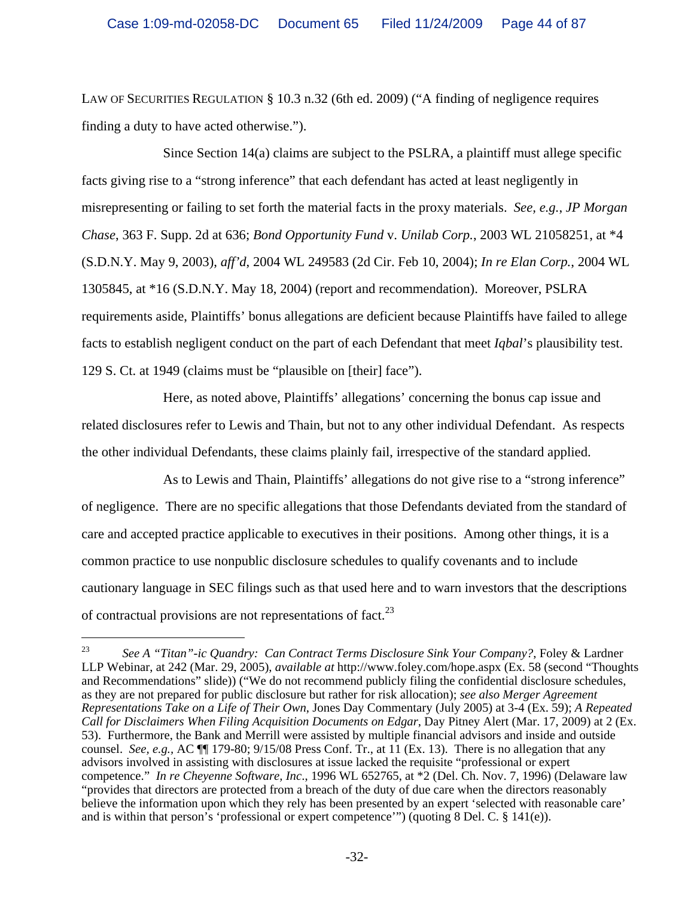LAW OF SECURITIES REGULATION § 10.3 n.32 (6th ed. 2009) ("A finding of negligence requires finding a duty to have acted otherwise.").

Since Section 14(a) claims are subject to the PSLRA, a plaintiff must allege specific facts giving rise to a "strong inference" that each defendant has acted at least negligently in misrepresenting or failing to set forth the material facts in the proxy materials. *See, e.g.*, *JP Morgan Chase*, 363 F. Supp. 2d at 636; *Bond Opportunity Fund* v. *Unilab Corp.*, 2003 WL 21058251, at \*4 (S.D.N.Y. May 9, 2003), *aff'd*, 2004 WL 249583 (2d Cir. Feb 10, 2004); *In re Elan Corp.*, 2004 WL 1305845, at \*16 (S.D.N.Y. May 18, 2004) (report and recommendation). Moreover, PSLRA requirements aside, Plaintiffs' bonus allegations are deficient because Plaintiffs have failed to allege facts to establish negligent conduct on the part of each Defendant that meet *Iqbal*'s plausibility test. 129 S. Ct. at 1949 (claims must be "plausible on [their] face").

Here, as noted above, Plaintiffs' allegations' concerning the bonus cap issue and related disclosures refer to Lewis and Thain, but not to any other individual Defendant. As respects the other individual Defendants, these claims plainly fail, irrespective of the standard applied.

As to Lewis and Thain, Plaintiffs' allegations do not give rise to a "strong inference" of negligence. There are no specific allegations that those Defendants deviated from the standard of care and accepted practice applicable to executives in their positions. Among other things, it is a common practice to use nonpublic disclosure schedules to qualify covenants and to include cautionary language in SEC filings such as that used here and to warn investors that the descriptions of contractual provisions are not representations of fact.<sup>23</sup>

<sup>23</sup> *See A "Titan"-ic Quandry: Can Contract Terms Disclosure Sink Your Company?*, Foley & Lardner LLP Webinar, at 242 (Mar. 29, 2005), *available at* http://www.foley.com/hope.aspx (Ex. 58 (second "Thoughts and Recommendations" slide)) ("We do not recommend publicly filing the confidential disclosure schedules, as they are not prepared for public disclosure but rather for risk allocation); *see also Merger Agreement Representations Take on a Life of Their Own*, Jones Day Commentary (July 2005) at 3-4 (Ex. 59); *A Repeated Call for Disclaimers When Filing Acquisition Documents on Edgar*, Day Pitney Alert (Mar. 17, 2009) at 2 (Ex. 53). Furthermore, the Bank and Merrill were assisted by multiple financial advisors and inside and outside counsel. *See, e.g.,* AC ¶¶ 179-80; 9/15/08 Press Conf. Tr., at 11 (Ex. 13). There is no allegation that any advisors involved in assisting with disclosures at issue lacked the requisite "professional or expert competence." *In re Cheyenne Software, Inc*., 1996 WL 652765, at \*2 (Del. Ch. Nov. 7, 1996) (Delaware law "provides that directors are protected from a breach of the duty of due care when the directors reasonably believe the information upon which they rely has been presented by an expert 'selected with reasonable care' and is within that person's 'professional or expert competence'") (quoting 8 Del. C.  $\S$  141(e)).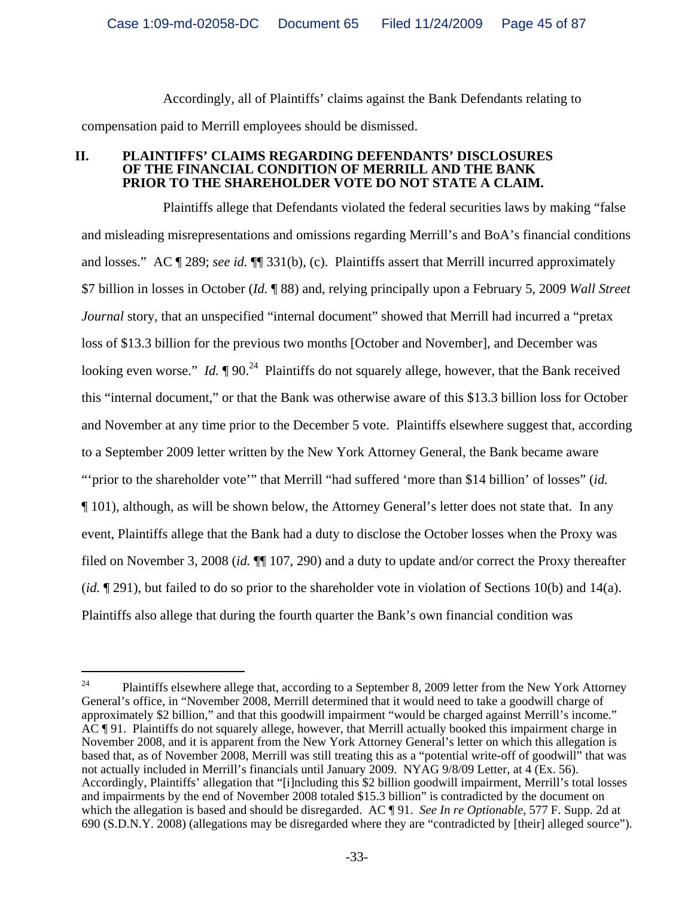Accordingly, all of Plaintiffs' claims against the Bank Defendants relating to compensation paid to Merrill employees should be dismissed.

#### **II. PLAINTIFFS' CLAIMS REGARDING DEFENDANTS' DISCLOSURES OF THE FINANCIAL CONDITION OF MERRILL AND THE BANK PRIOR TO THE SHAREHOLDER VOTE DO NOT STATE A CLAIM.**

Plaintiffs allege that Defendants violated the federal securities laws by making "false and misleading misrepresentations and omissions regarding Merrill's and BoA's financial conditions and losses." AC ¶ 289; *see id.* ¶¶ 331(b), (c). Plaintiffs assert that Merrill incurred approximately \$7 billion in losses in October (*Id.* ¶ 88) and, relying principally upon a February 5, 2009 *Wall Street Journal* story, that an unspecified "internal document" showed that Merrill had incurred a "pretax loss of \$13.3 billion for the previous two months [October and November], and December was looking even worse." *Id.*  $\sqrt{90.24}$  Plaintiffs do not squarely allege, however, that the Bank received this "internal document," or that the Bank was otherwise aware of this \$13.3 billion loss for October and November at any time prior to the December 5 vote. Plaintiffs elsewhere suggest that, according to a September 2009 letter written by the New York Attorney General, the Bank became aware "'prior to the shareholder vote'" that Merrill "had suffered 'more than \$14 billion' of losses" (*id.* ¶ 101), although, as will be shown below, the Attorney General's letter does not state that. In any event, Plaintiffs allege that the Bank had a duty to disclose the October losses when the Proxy was filed on November 3, 2008 (*id.* ¶¶ 107, 290) and a duty to update and/or correct the Proxy thereafter (*id.* ¶ 291), but failed to do so prior to the shareholder vote in violation of Sections 10(b) and 14(a). Plaintiffs also allege that during the fourth quarter the Bank's own financial condition was

 $24$  Plaintiffs elsewhere allege that, according to a September 8, 2009 letter from the New York Attorney General's office, in "November 2008, Merrill determined that it would need to take a goodwill charge of approximately \$2 billion," and that this goodwill impairment "would be charged against Merrill's income." AC ¶ 91. Plaintiffs do not squarely allege, however, that Merrill actually booked this impairment charge in November 2008, and it is apparent from the New York Attorney General's letter on which this allegation is based that, as of November 2008, Merrill was still treating this as a "potential write-off of goodwill" that was not actually included in Merrill's financials until January 2009. NYAG 9/8/09 Letter, at 4 (Ex. 56). Accordingly, Plaintiffs' allegation that "[i]ncluding this \$2 billion goodwill impairment, Merrill's total losses and impairments by the end of November 2008 totaled \$15.3 billion" is contradicted by the document on which the allegation is based and should be disregarded. AC ¶ 91. *See In re Optionable*, 577 F. Supp. 2d at 690 (S.D.N.Y. 2008) (allegations may be disregarded where they are "contradicted by [their] alleged source").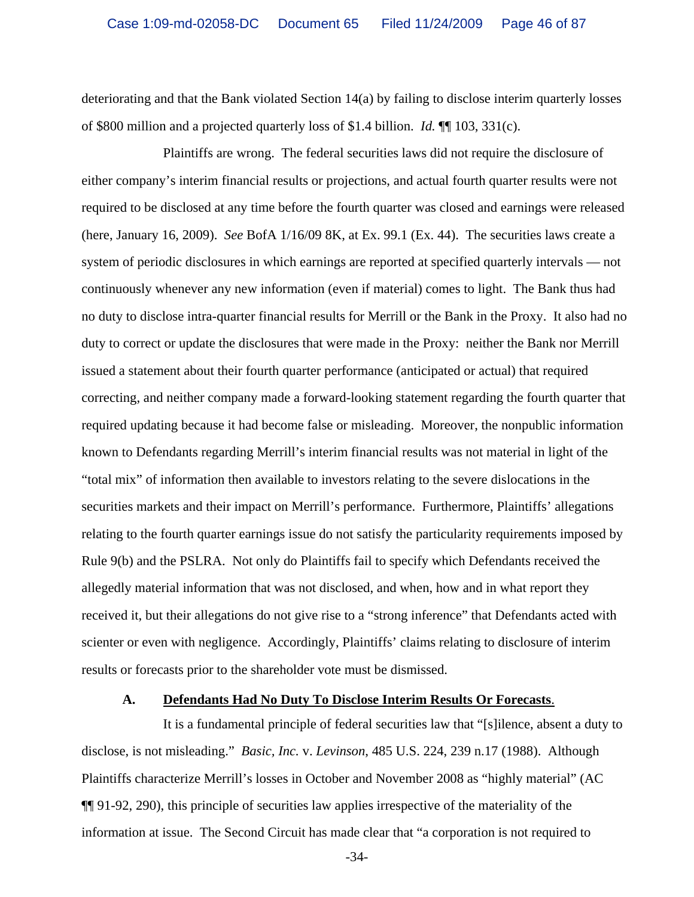deteriorating and that the Bank violated Section 14(a) by failing to disclose interim quarterly losses of \$800 million and a projected quarterly loss of \$1.4 billion. *Id.* ¶¶ 103, 331(c).

Plaintiffs are wrong. The federal securities laws did not require the disclosure of either company's interim financial results or projections, and actual fourth quarter results were not required to be disclosed at any time before the fourth quarter was closed and earnings were released (here, January 16, 2009). *See* BofA 1/16/09 8K, at Ex. 99.1 (Ex. 44). The securities laws create a system of periodic disclosures in which earnings are reported at specified quarterly intervals — not continuously whenever any new information (even if material) comes to light. The Bank thus had no duty to disclose intra-quarter financial results for Merrill or the Bank in the Proxy. It also had no duty to correct or update the disclosures that were made in the Proxy: neither the Bank nor Merrill issued a statement about their fourth quarter performance (anticipated or actual) that required correcting, and neither company made a forward-looking statement regarding the fourth quarter that required updating because it had become false or misleading. Moreover, the nonpublic information known to Defendants regarding Merrill's interim financial results was not material in light of the "total mix" of information then available to investors relating to the severe dislocations in the securities markets and their impact on Merrill's performance. Furthermore, Plaintiffs' allegations relating to the fourth quarter earnings issue do not satisfy the particularity requirements imposed by Rule 9(b) and the PSLRA. Not only do Plaintiffs fail to specify which Defendants received the allegedly material information that was not disclosed, and when, how and in what report they received it, but their allegations do not give rise to a "strong inference" that Defendants acted with scienter or even with negligence. Accordingly, Plaintiffs' claims relating to disclosure of interim results or forecasts prior to the shareholder vote must be dismissed.

### **A. Defendants Had No Duty To Disclose Interim Results Or Forecasts**.

It is a fundamental principle of federal securities law that "[s]ilence, absent a duty to disclose, is not misleading." *Basic, Inc.* v. *Levinson*, 485 U.S. 224, 239 n.17 (1988). Although Plaintiffs characterize Merrill's losses in October and November 2008 as "highly material" (AC ¶¶ 91-92, 290), this principle of securities law applies irrespective of the materiality of the information at issue. The Second Circuit has made clear that "a corporation is not required to

-34-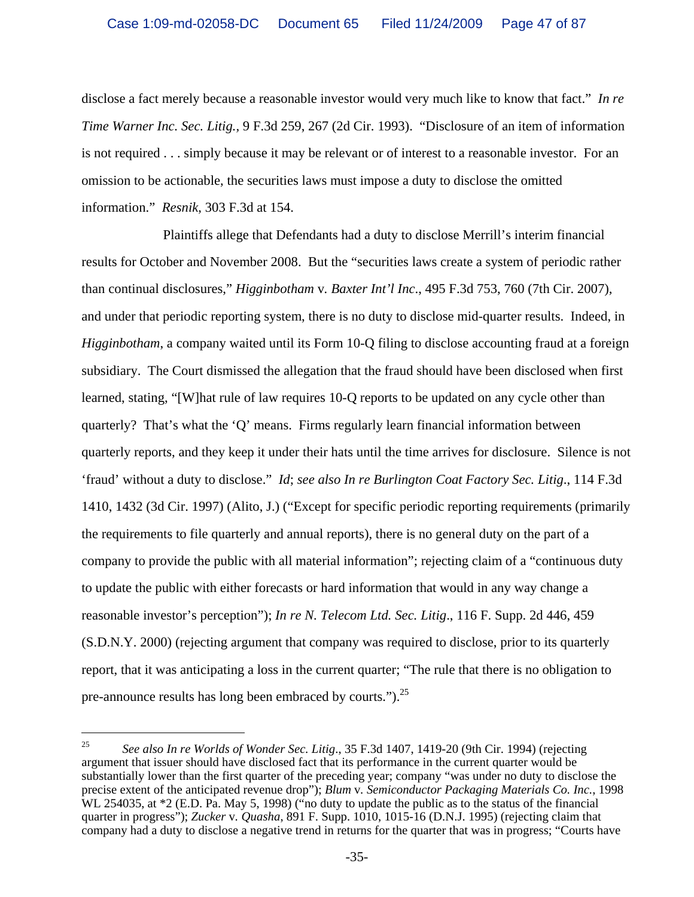disclose a fact merely because a reasonable investor would very much like to know that fact." *In re Time Warner Inc. Sec. Litig.,* 9 F.3d 259, 267 (2d Cir. 1993). "Disclosure of an item of information is not required . . . simply because it may be relevant or of interest to a reasonable investor. For an omission to be actionable, the securities laws must impose a duty to disclose the omitted information." *Resnik*, 303 F.3d at 154.

Plaintiffs allege that Defendants had a duty to disclose Merrill's interim financial results for October and November 2008. But the "securities laws create a system of periodic rather than continual disclosures," *Higginbotham* v*. Baxter Int'l Inc*., 495 F.3d 753, 760 (7th Cir. 2007), and under that periodic reporting system, there is no duty to disclose mid-quarter results. Indeed, in *Higginbotham*, a company waited until its Form 10-Q filing to disclose accounting fraud at a foreign subsidiary. The Court dismissed the allegation that the fraud should have been disclosed when first learned, stating, "[W]hat rule of law requires 10-Q reports to be updated on any cycle other than quarterly? That's what the 'Q' means. Firms regularly learn financial information between quarterly reports, and they keep it under their hats until the time arrives for disclosure. Silence is not 'fraud' without a duty to disclose." *Id*; *see also In re Burlington Coat Factory Sec. Litig*., 114 F.3d 1410, 1432 (3d Cir. 1997) (Alito, J.) ("Except for specific periodic reporting requirements (primarily the requirements to file quarterly and annual reports), there is no general duty on the part of a company to provide the public with all material information"; rejecting claim of a "continuous duty to update the public with either forecasts or hard information that would in any way change a reasonable investor's perception"); *In re N. Telecom Ltd. Sec. Litig*., 116 F. Supp. 2d 446, 459 (S.D.N.Y. 2000) (rejecting argument that company was required to disclose, prior to its quarterly report, that it was anticipating a loss in the current quarter; "The rule that there is no obligation to pre-announce results has long been embraced by courts.").<sup>25</sup>

<sup>25</sup> *See also In re Worlds of Wonder Sec. Litig*., 35 F.3d 1407, 1419-20 (9th Cir. 1994) (rejecting argument that issuer should have disclosed fact that its performance in the current quarter would be substantially lower than the first quarter of the preceding year; company "was under no duty to disclose the precise extent of the anticipated revenue drop"); *Blum* v*. Semiconductor Packaging Materials Co. Inc.*, 1998 WL 254035, at  $*2$  (E.D. Pa. May 5, 1998) ("no duty to update the public as to the status of the financial quarter in progress"); *Zucker* v*. Quasha*, 891 F. Supp. 1010, 1015-16 (D.N.J. 1995) (rejecting claim that company had a duty to disclose a negative trend in returns for the quarter that was in progress; "Courts have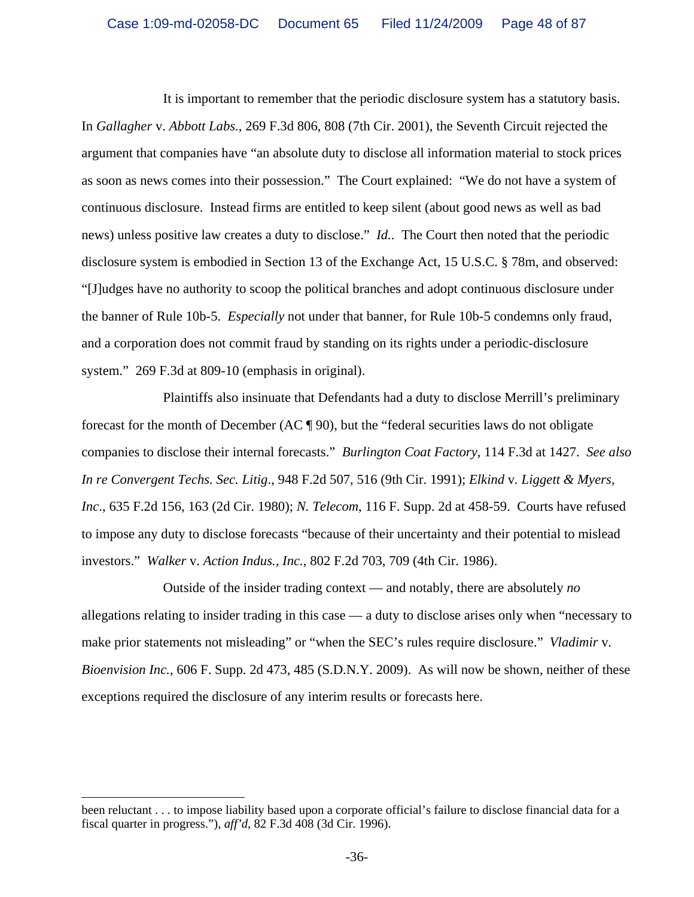It is important to remember that the periodic disclosure system has a statutory basis. In *Gallagher* v. *Abbott Labs.*, 269 F.3d 806, 808 (7th Cir. 2001), the Seventh Circuit rejected the argument that companies have "an absolute duty to disclose all information material to stock prices as soon as news comes into their possession." The Court explained: "We do not have a system of continuous disclosure. Instead firms are entitled to keep silent (about good news as well as bad news) unless positive law creates a duty to disclose." *Id.*. The Court then noted that the periodic disclosure system is embodied in Section 13 of the Exchange Act, 15 U.S.C. § 78m, and observed: "[J]udges have no authority to scoop the political branches and adopt continuous disclosure under the banner of Rule 10b-5. *Especially* not under that banner, for Rule 10b-5 condemns only fraud, and a corporation does not commit fraud by standing on its rights under a periodic-disclosure system." 269 F.3d at 809-10 (emphasis in original).

Plaintiffs also insinuate that Defendants had a duty to disclose Merrill's preliminary forecast for the month of December (AC ¶ 90), but the "federal securities laws do not obligate companies to disclose their internal forecasts." *Burlington Coat Factory*, 114 F.3d at 1427. *See also In re Convergent Techs. Sec. Litig*., 948 F.2d 507, 516 (9th Cir. 1991); *Elkind* v*. Liggett & Myers, Inc*., 635 F.2d 156, 163 (2d Cir. 1980); *N. Telecom*, 116 F. Supp. 2d at 458-59. Courts have refused to impose any duty to disclose forecasts "because of their uncertainty and their potential to mislead investors." *Walker* v. *Action Indus., Inc.*, 802 F.2d 703, 709 (4th Cir. 1986).

Outside of the insider trading context — and notably, there are absolutely *no* allegations relating to insider trading in this case — a duty to disclose arises only when "necessary to make prior statements not misleading" or "when the SEC's rules require disclosure." *Vladimir* v*. Bioenvision Inc.*, 606 F. Supp. 2d 473, 485 (S.D.N.Y. 2009). As will now be shown, neither of these exceptions required the disclosure of any interim results or forecasts here.

i<br>Li been reluctant . . . to impose liability based upon a corporate official's failure to disclose financial data for a fiscal quarter in progress."), *aff'd*, 82 F.3d 408 (3d Cir. 1996).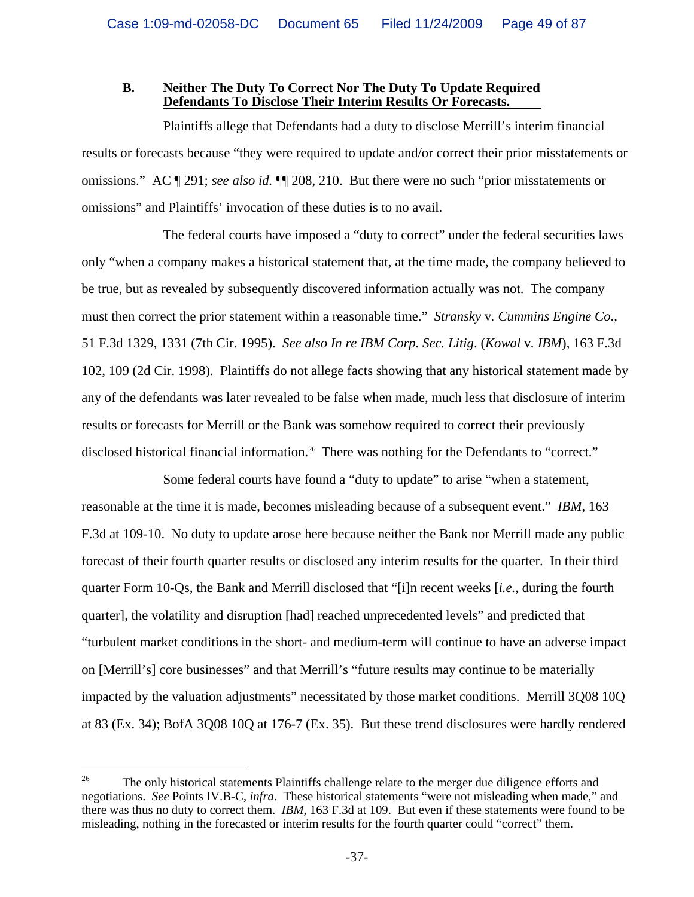#### **B. Neither The Duty To Correct Nor The Duty To Update Required Defendants To Disclose Their Interim Results Or Forecasts.**

Plaintiffs allege that Defendants had a duty to disclose Merrill's interim financial results or forecasts because "they were required to update and/or correct their prior misstatements or omissions." AC ¶ 291; *see also id.* ¶¶ 208, 210. But there were no such "prior misstatements or omissions" and Plaintiffs' invocation of these duties is to no avail.

The federal courts have imposed a "duty to correct" under the federal securities laws only "when a company makes a historical statement that, at the time made, the company believed to be true, but as revealed by subsequently discovered information actually was not. The company must then correct the prior statement within a reasonable time." *Stransky* v*. Cummins Engine Co*., 51 F.3d 1329, 1331 (7th Cir. 1995). *See also In re IBM Corp. Sec. Litig*. (*Kowal* v*. IBM*), 163 F.3d 102, 109 (2d Cir. 1998). Plaintiffs do not allege facts showing that any historical statement made by any of the defendants was later revealed to be false when made, much less that disclosure of interim results or forecasts for Merrill or the Bank was somehow required to correct their previously disclosed historical financial information.<sup>26</sup> There was nothing for the Defendants to "correct."

Some federal courts have found a "duty to update" to arise "when a statement, reasonable at the time it is made, becomes misleading because of a subsequent event." *IBM*, 163 F.3d at 109-10. No duty to update arose here because neither the Bank nor Merrill made any public forecast of their fourth quarter results or disclosed any interim results for the quarter. In their third quarter Form 10-Qs, the Bank and Merrill disclosed that "[i]n recent weeks [*i.e.*, during the fourth quarter], the volatility and disruption [had] reached unprecedented levels" and predicted that "turbulent market conditions in the short- and medium-term will continue to have an adverse impact on [Merrill's] core businesses" and that Merrill's "future results may continue to be materially impacted by the valuation adjustments" necessitated by those market conditions. Merrill 3Q08 10Q at 83 (Ex. 34); BofA 3Q08 10Q at 176-7 (Ex. 35). But these trend disclosures were hardly rendered

<sup>&</sup>lt;sup>26</sup> The only historical statements Plaintiffs challenge relate to the merger due diligence efforts and negotiations. *See* Points IV.B-C, *infra*. These historical statements "were not misleading when made," and there was thus no duty to correct them. *IBM*, 163 F.3d at 109. But even if these statements were found to be misleading, nothing in the forecasted or interim results for the fourth quarter could "correct" them.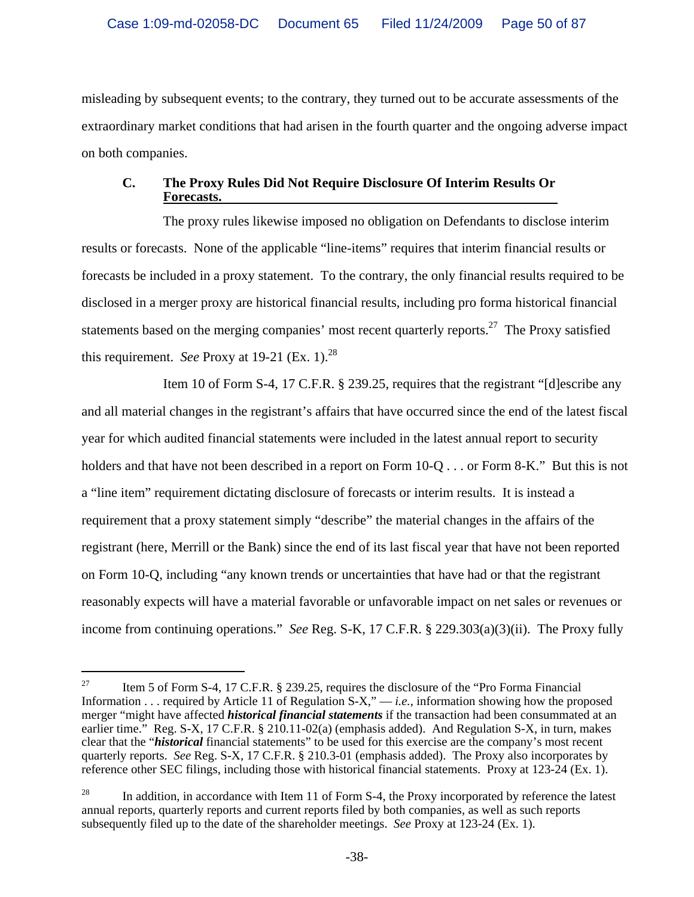misleading by subsequent events; to the contrary, they turned out to be accurate assessments of the extraordinary market conditions that had arisen in the fourth quarter and the ongoing adverse impact on both companies.

# **C. The Proxy Rules Did Not Require Disclosure Of Interim Results Or Forecasts.**

The proxy rules likewise imposed no obligation on Defendants to disclose interim results or forecasts. None of the applicable "line-items" requires that interim financial results or forecasts be included in a proxy statement. To the contrary, the only financial results required to be disclosed in a merger proxy are historical financial results, including pro forma historical financial statements based on the merging companies' most recent quarterly reports.<sup>27</sup> The Proxy satisfied this requirement. *See* Proxy at 19-21 (Ex. 1).<sup>28</sup>

Item 10 of Form S-4, 17 C.F.R. § 239.25, requires that the registrant "[d]escribe any and all material changes in the registrant's affairs that have occurred since the end of the latest fiscal year for which audited financial statements were included in the latest annual report to security holders and that have not been described in a report on Form 10-Q . . . or Form 8-K." But this is not a "line item" requirement dictating disclosure of forecasts or interim results. It is instead a requirement that a proxy statement simply "describe" the material changes in the affairs of the registrant (here, Merrill or the Bank) since the end of its last fiscal year that have not been reported on Form 10-Q, including "any known trends or uncertainties that have had or that the registrant reasonably expects will have a material favorable or unfavorable impact on net sales or revenues or income from continuing operations." *See* Reg. S-K, 17 C.F.R. § 229.303(a)(3)(ii). The Proxy fully

<sup>&</sup>lt;sup>27</sup> Item 5 of Form S-4, 17 C.F.R. § 239.25, requires the disclosure of the "Pro Forma Financial" Information . . . required by Article 11 of Regulation S-X," — *i.e.*, information showing how the proposed merger "might have affected *historical financial statements* if the transaction had been consummated at an earlier time." Reg. S-X, 17 C.F.R. § 210.11-02(a) (emphasis added). And Regulation S-X, in turn, makes clear that the "*historical* financial statements" to be used for this exercise are the company's most recent quarterly reports. *See* Reg. S-X, 17 C.F.R. § 210.3-01 (emphasis added). The Proxy also incorporates by reference other SEC filings, including those with historical financial statements. Proxy at 123-24 (Ex. 1).

<sup>&</sup>lt;sup>28</sup> In addition, in accordance with Item 11 of Form S-4, the Proxy incorporated by reference the latest annual reports, quarterly reports and current reports filed by both companies, as well as such reports subsequently filed up to the date of the shareholder meetings. *See* Proxy at 123-24 (Ex. 1).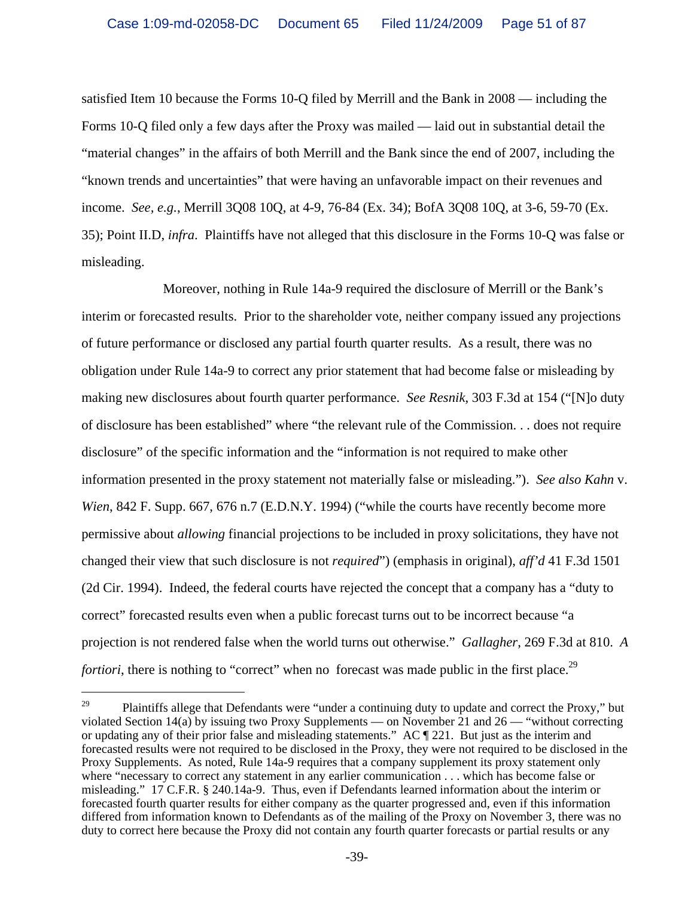satisfied Item 10 because the Forms 10-Q filed by Merrill and the Bank in 2008 — including the Forms 10-Q filed only a few days after the Proxy was mailed — laid out in substantial detail the "material changes" in the affairs of both Merrill and the Bank since the end of 2007, including the "known trends and uncertainties" that were having an unfavorable impact on their revenues and income. *See, e.g.*, Merrill 3Q08 10Q, at 4-9, 76-84 (Ex. 34); BofA 3Q08 10Q, at 3-6, 59-70 (Ex. 35); Point II.D, *infra*. Plaintiffs have not alleged that this disclosure in the Forms 10-Q was false or misleading.

Moreover, nothing in Rule 14a-9 required the disclosure of Merrill or the Bank's interim or forecasted results. Prior to the shareholder vote, neither company issued any projections of future performance or disclosed any partial fourth quarter results. As a result, there was no obligation under Rule 14a-9 to correct any prior statement that had become false or misleading by making new disclosures about fourth quarter performance. *See Resnik*, 303 F.3d at 154 ("[N]o duty of disclosure has been established" where "the relevant rule of the Commission. . . does not require disclosure" of the specific information and the "information is not required to make other information presented in the proxy statement not materially false or misleading."). *See also Kahn* v. *Wien*, 842 F. Supp. 667, 676 n.7 (E.D.N.Y. 1994) ("while the courts have recently become more permissive about *allowing* financial projections to be included in proxy solicitations, they have not changed their view that such disclosure is not *required*") (emphasis in original), *aff'd* 41 F.3d 1501 (2d Cir. 1994). Indeed, the federal courts have rejected the concept that a company has a "duty to correct" forecasted results even when a public forecast turns out to be incorrect because "a projection is not rendered false when the world turns out otherwise." *Gallagher*, 269 F.3d at 810. *A fortiori*, there is nothing to "correct" when no forecast was made public in the first place.<sup>29</sup>

 $29$  Plaintiffs allege that Defendants were "under a continuing duty to update and correct the Proxy," but violated Section 14(a) by issuing two Proxy Supplements — on November 21 and 26 — "without correcting or updating any of their prior false and misleading statements." AC ¶ 221. But just as the interim and forecasted results were not required to be disclosed in the Proxy, they were not required to be disclosed in the Proxy Supplements. As noted, Rule 14a-9 requires that a company supplement its proxy statement only where "necessary to correct any statement in any earlier communication . . . which has become false or misleading." 17 C.F.R. § 240.14a-9. Thus, even if Defendants learned information about the interim or forecasted fourth quarter results for either company as the quarter progressed and, even if this information differed from information known to Defendants as of the mailing of the Proxy on November 3, there was no duty to correct here because the Proxy did not contain any fourth quarter forecasts or partial results or any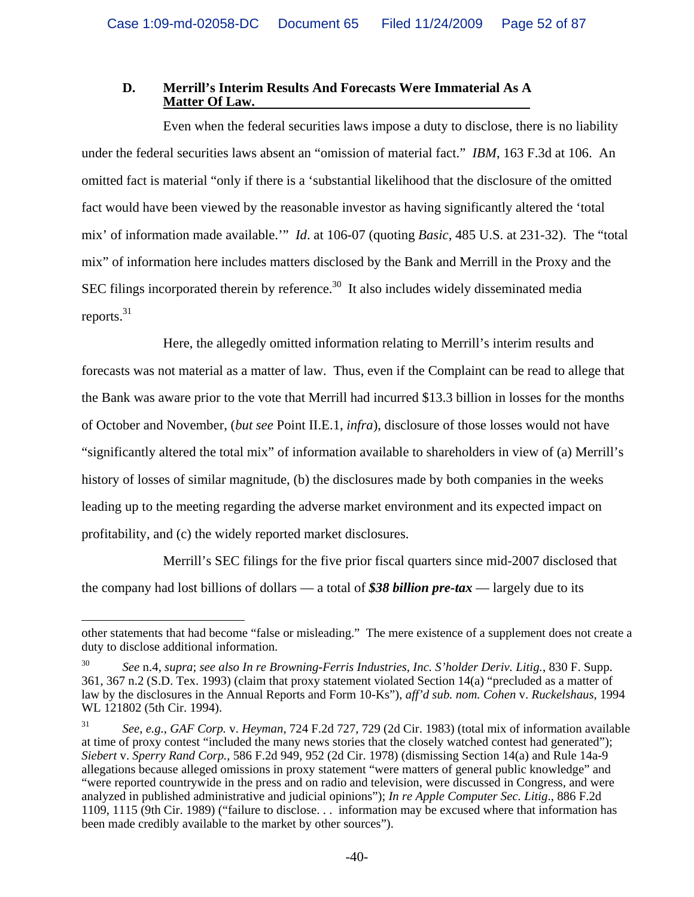## **D. Merrill's Interim Results And Forecasts Were Immaterial As A Matter Of Law.**

Even when the federal securities laws impose a duty to disclose, there is no liability under the federal securities laws absent an "omission of material fact." *IBM*, 163 F.3d at 106. An omitted fact is material "only if there is a 'substantial likelihood that the disclosure of the omitted fact would have been viewed by the reasonable investor as having significantly altered the 'total mix' of information made available.'" *Id*. at 106-07 (quoting *Basic*, 485 U.S. at 231-32). The "total mix" of information here includes matters disclosed by the Bank and Merrill in the Proxy and the SEC filings incorporated therein by reference. $30$  It also includes widely disseminated media reports.<sup>31</sup>

Here, the allegedly omitted information relating to Merrill's interim results and forecasts was not material as a matter of law. Thus, even if the Complaint can be read to allege that the Bank was aware prior to the vote that Merrill had incurred \$13.3 billion in losses for the months of October and November, (*but see* Point II.E.1, *infra*), disclosure of those losses would not have "significantly altered the total mix" of information available to shareholders in view of (a) Merrill's history of losses of similar magnitude, (b) the disclosures made by both companies in the weeks leading up to the meeting regarding the adverse market environment and its expected impact on profitability, and (c) the widely reported market disclosures.

Merrill's SEC filings for the five prior fiscal quarters since mid-2007 disclosed that the company had lost billions of dollars –– a total of *\$38 billion pre-tax* –– largely due to its

i<br>Li other statements that had become "false or misleading." The mere existence of a supplement does not create a duty to disclose additional information.

<sup>30</sup> *See* n.4, *supra*; *see also In re Browning-Ferris Industries, Inc. S'holder Deriv. Litig.*, 830 F. Supp. 361, 367 n.2 (S.D. Tex. 1993) (claim that proxy statement violated Section 14(a) "precluded as a matter of law by the disclosures in the Annual Reports and Form 10-Ks"), *aff'd sub. nom. Cohen* v. *Ruckelshaus*, 1994 WL 121802 (5th Cir. 1994).

<sup>31</sup> *See, e.g.*, *GAF Corp.* v. *Heyman*, 724 F.2d 727, 729 (2d Cir. 1983) (total mix of information available at time of proxy contest "included the many news stories that the closely watched contest had generated"); *Siebert* v. *Sperry Rand Corp.*, 586 F.2d 949, 952 (2d Cir. 1978) (dismissing Section 14(a) and Rule 14a-9 allegations because alleged omissions in proxy statement "were matters of general public knowledge" and "were reported countrywide in the press and on radio and television, were discussed in Congress, and were analyzed in published administrative and judicial opinions"); *In re Apple Computer Sec. Litig*., 886 F.2d 1109, 1115 (9th Cir. 1989) ("failure to disclose. . . information may be excused where that information has been made credibly available to the market by other sources").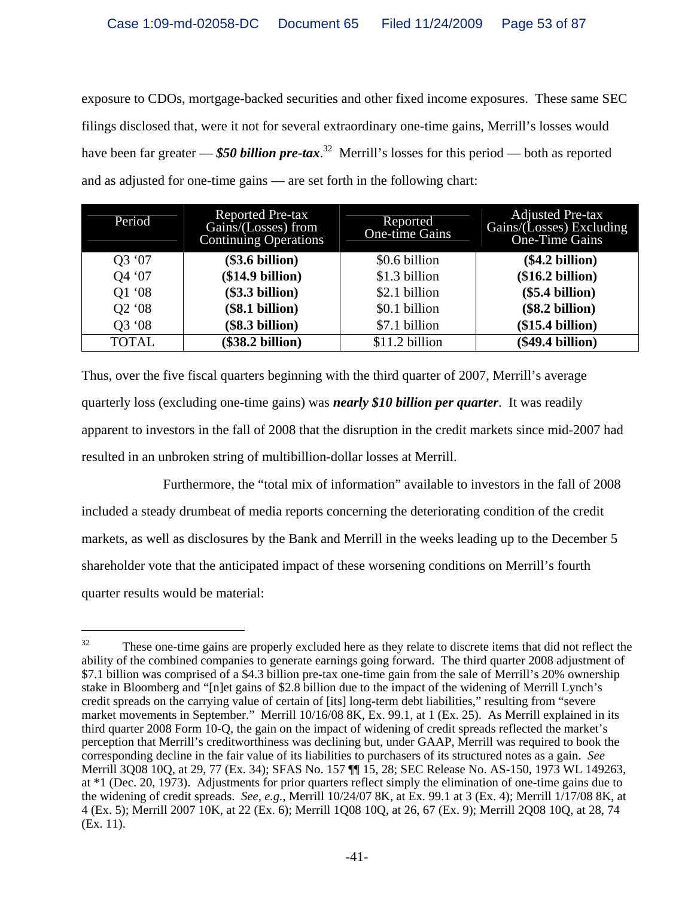exposure to CDOs, mortgage-backed securities and other fixed income exposures. These same SEC filings disclosed that, were it not for several extraordinary one-time gains, Merrill's losses would have been far greater –– *\$50 billion pre-tax*. 32 Merrill's losses for this period –– both as reported and as adjusted for one-time gains — are set forth in the following chart:

| Period                         | <b>Reported Pre-tax</b><br>Gains/(Losses) from<br><b>Continuing Operations</b> | Reported<br><b>One-time Gains</b> | <b>Adjusted Pre-tax</b><br>Gains/(Losses) Excluding<br>One-Time Gains |
|--------------------------------|--------------------------------------------------------------------------------|-----------------------------------|-----------------------------------------------------------------------|
| Q3 '07                         | (\$3.6 billion)                                                                | \$0.6 billion                     | (\$4.2 billion)                                                       |
| Q4 '07                         | (\$14.9 billion)                                                               | \$1.3 billion                     | (\$16.2 billion)                                                      |
| Q1 '08                         | $(\$3.3 billion)$                                                              | \$2.1 billion                     | $(\$5.4 billion)$                                                     |
| Q <sub>2</sub> '0 <sub>8</sub> | (\$8.1 billion)                                                                | \$0.1 billion                     | (\$8.2 billion)                                                       |
| Q3 '08                         | (\$3.3 billion)                                                                | \$7.1 billion                     | (\$15.4 billion)                                                      |
| <b>TOTAL</b>                   | (\$38.2 billion)                                                               | \$11.2 billion                    | (\$49.4 billion)                                                      |

Thus, over the five fiscal quarters beginning with the third quarter of 2007, Merrill's average quarterly loss (excluding one-time gains) was *nearly \$10 billion per quarter*. It was readily apparent to investors in the fall of 2008 that the disruption in the credit markets since mid-2007 had resulted in an unbroken string of multibillion-dollar losses at Merrill.

Furthermore, the "total mix of information" available to investors in the fall of 2008 included a steady drumbeat of media reports concerning the deteriorating condition of the credit markets, as well as disclosures by the Bank and Merrill in the weeks leading up to the December 5 shareholder vote that the anticipated impact of these worsening conditions on Merrill's fourth quarter results would be material:

<sup>&</sup>lt;sup>32</sup> These one-time gains are properly excluded here as they relate to discrete items that did not reflect the ability of the combined companies to generate earnings going forward. The third quarter 2008 adjustment of \$7.1 billion was comprised of a \$4.3 billion pre-tax one-time gain from the sale of Merrill's 20% ownership stake in Bloomberg and "[n]et gains of \$2.8 billion due to the impact of the widening of Merrill Lynch's credit spreads on the carrying value of certain of [its] long-term debt liabilities," resulting from "severe market movements in September." Merrill 10/16/08 8K, Ex. 99.1, at 1 (Ex. 25). As Merrill explained in its third quarter 2008 Form 10-Q, the gain on the impact of widening of credit spreads reflected the market's perception that Merrill's creditworthiness was declining but, under GAAP, Merrill was required to book the corresponding decline in the fair value of its liabilities to purchasers of its structured notes as a gain. *See* Merrill 3Q08 10Q, at 29, 77 (Ex. 34); SFAS No. 157 ¶¶ 15, 28; SEC Release No. AS-150, 1973 WL 149263, at \*1 (Dec. 20, 1973). Adjustments for prior quarters reflect simply the elimination of one-time gains due to the widening of credit spreads. *See, e.g.*, Merrill 10/24/07 8K, at Ex. 99.1 at 3 (Ex. 4); Merrill 1/17/08 8K, at 4 (Ex. 5); Merrill 2007 10K, at 22 (Ex. 6); Merrill 1Q08 10Q, at 26, 67 (Ex. 9); Merrill 2Q08 10Q, at 28, 74 (Ex. 11).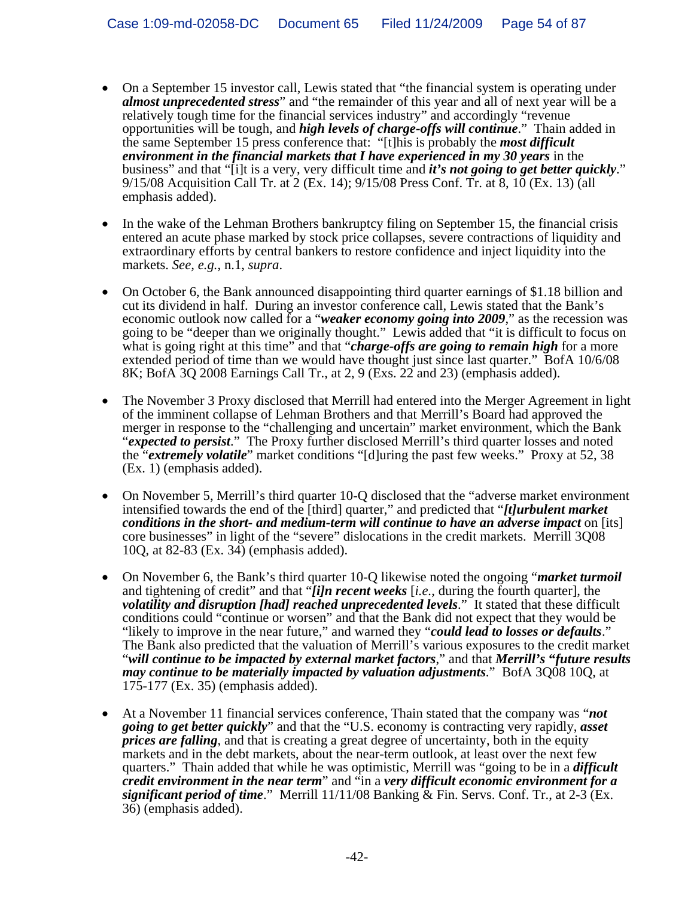- On a September 15 investor call, Lewis stated that "the financial system is operating under *almost unprecedented stress*" and "the remainder of this year and all of next year will be a relatively tough time for the financial services industry" and accordingly "revenue opportunities will be tough, and *high levels of charge-offs will continue*." Thain added in the same September 15 press conference that: "[t]his is probably the *most difficult environment in the financial markets that I have experienced in my 30 years* in the business" and that "[i]t is a very, very difficult time and *it's not going to get better quickly*." 9/15/08 Acquisition Call Tr. at 2 (Ex. 14); 9/15/08 Press Conf. Tr. at 8, 10 (Ex. 13) (all emphasis added).
- In the wake of the Lehman Brothers bankruptcy filing on September 15, the financial crisis entered an acute phase marked by stock price collapses, severe contractions of liquidity and extraordinary efforts by central bankers to restore confidence and inject liquidity into the markets. *See, e.g.*, n.1, *supra*.
- On October 6, the Bank announced disappointing third quarter earnings of \$1.18 billion and cut its dividend in half. During an investor conference call, Lewis stated that the Bank's economic outlook now called for a "*weaker economy going into 2009*," as the recession was going to be "deeper than we originally thought." Lewis added that "it is difficult to focus on what is going right at this time" and that "*charge-offs are going to remain high* for a more extended period of time than we would have thought just since last quarter." BofA 10/6/08 8K; BofA 3Q 2008 Earnings Call Tr., at 2, 9 (Exs. 22 and 23) (emphasis added).
- The November 3 Proxy disclosed that Merrill had entered into the Merger Agreement in light of the imminent collapse of Lehman Brothers and that Merrill's Board had approved the merger in response to the "challenging and uncertain" market environment, which the Bank "*expected to persist*." The Proxy further disclosed Merrill's third quarter losses and noted the "*extremely volatile*" market conditions "[d]uring the past few weeks." Proxy at 52, 38 (Ex. 1) (emphasis added).
- On November 5, Merrill's third quarter 10-Q disclosed that the "adverse market environment" intensified towards the end of the [third] quarter," and predicted that "*[t]urbulent market conditions in the short- and medium-term will continue to have an adverse impact* on [its] core businesses" in light of the "severe" dislocations in the credit markets. Merrill 3Q08 10Q, at 82-83 (Ex. 34) (emphasis added).
- On November 6, the Bank's third quarter 10-Q likewise noted the ongoing "*market turmoil* and tightening of credit" and that "*[i]n recent weeks* [*i.e.*, during the fourth quarter], the *volatility and disruption [had] reached unprecedented levels*." It stated that these difficult conditions could "continue or worsen" and that the Bank did not expect that they would be "likely to improve in the near future," and warned they "*could lead to losses or defaults*." The Bank also predicted that the valuation of Merrill's various exposures to the credit market "*will continue to be impacted by external market factors*," and that *Merrill's* **"***future results may continue to be materially impacted by valuation adjustments*." BofA 3Q08 10Q, at 175-177 (Ex. 35) (emphasis added).
- At a November 11 financial services conference, Thain stated that the company was "*not going to get better quickly*" and that the "U.S. economy is contracting very rapidly, *asset prices are falling*, and that is creating a great degree of uncertainty, both in the equity markets and in the debt markets, about the near-term outlook, at least over the next few quarters." Thain added that while he was optimistic, Merrill was "going to be in a *difficult credit environment in the near term*" and "in a *very difficult economic environment for a significant period of time*." Merrill 11/11/08 Banking & Fin. Servs. Conf. Tr., at 2-3 (Ex. 36) (emphasis added).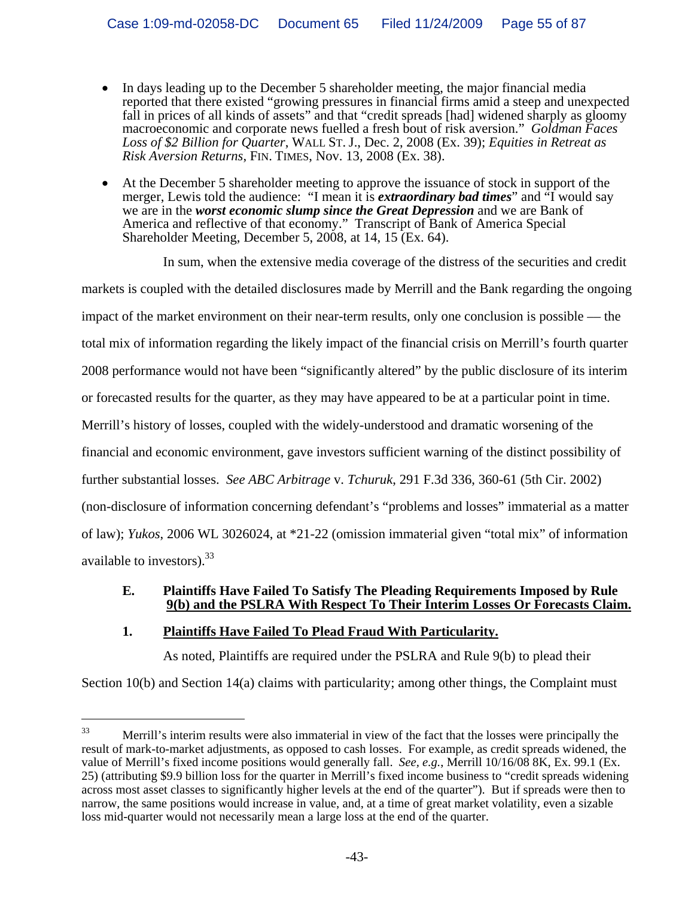- In days leading up to the December 5 shareholder meeting, the major financial media reported that there existed "growing pressures in financial firms amid a steep and unexpected fall in prices of all kinds of assets" and that "credit spreads [had] widened sharply as gloomy macroeconomic and corporate news fuelled a fresh bout of risk aversion." *Goldman Faces Loss of \$2 Billion for Quarter*, WALL ST. J., Dec. 2, 2008 (Ex. 39); *Equities in Retreat as Risk Aversion Returns*, FIN. TIMES, Nov. 13, 2008 (Ex. 38).
- At the December 5 shareholder meeting to approve the issuance of stock in support of the merger, Lewis told the audience: "I mean it is *extraordinary bad times*" and "I would say we are in the *worst economic slump since the Great Depression* and we are Bank of America and reflective of that economy." Transcript of Bank of America Special Shareholder Meeting, December 5, 2008, at 14, 15 (Ex. 64).

In sum, when the extensive media coverage of the distress of the securities and credit markets is coupled with the detailed disclosures made by Merrill and the Bank regarding the ongoing impact of the market environment on their near-term results, only one conclusion is possible –– the total mix of information regarding the likely impact of the financial crisis on Merrill's fourth quarter 2008 performance would not have been "significantly altered" by the public disclosure of its interim or forecasted results for the quarter, as they may have appeared to be at a particular point in time. Merrill's history of losses, coupled with the widely-understood and dramatic worsening of the financial and economic environment, gave investors sufficient warning of the distinct possibility of further substantial losses. *See ABC Arbitrage* v. *Tchuruk*, 291 F.3d 336, 360-61 (5th Cir. 2002) (non-disclosure of information concerning defendant's "problems and losses" immaterial as a matter of law); *Yukos*, 2006 WL 3026024, at \*21-22 (omission immaterial given "total mix" of information available to investors).<sup>33</sup>

# **E. Plaintiffs Have Failed To Satisfy The Pleading Requirements Imposed by Rule 9(b) and the PSLRA With Respect To Their Interim Losses Or Forecasts Claim.**

# **1. Plaintiffs Have Failed To Plead Fraud With Particularity.**

i<br>Li

As noted, Plaintiffs are required under the PSLRA and Rule 9(b) to plead their

Section 10(b) and Section 14(a) claims with particularity; among other things, the Complaint must

<sup>&</sup>lt;sup>33</sup> Merrill's interim results were also immaterial in view of the fact that the losses were principally the result of mark-to-market adjustments, as opposed to cash losses. For example, as credit spreads widened, the value of Merrill's fixed income positions would generally fall. *See, e.g.*, Merrill 10/16/08 8K, Ex. 99.1 (Ex. 25) (attributing \$9.9 billion loss for the quarter in Merrill's fixed income business to "credit spreads widening across most asset classes to significantly higher levels at the end of the quarter"). But if spreads were then to narrow, the same positions would increase in value, and, at a time of great market volatility, even a sizable loss mid-quarter would not necessarily mean a large loss at the end of the quarter.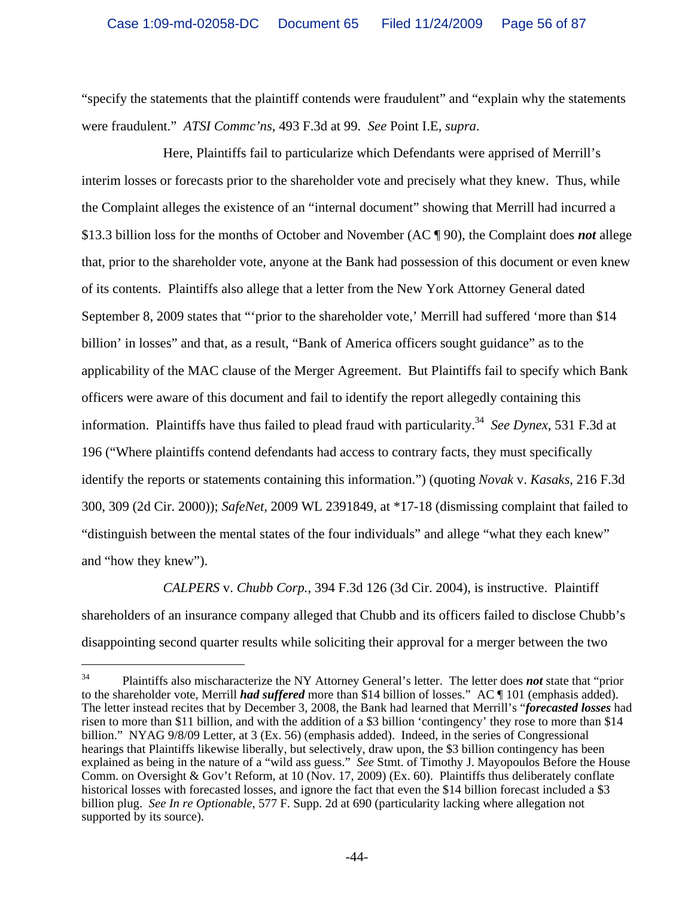"specify the statements that the plaintiff contends were fraudulent" and "explain why the statements were fraudulent." *ATSI Commc'ns*, 493 F.3d at 99. *See* Point I.E, *supra*.

Here, Plaintiffs fail to particularize which Defendants were apprised of Merrill's interim losses or forecasts prior to the shareholder vote and precisely what they knew. Thus, while the Complaint alleges the existence of an "internal document" showing that Merrill had incurred a \$13.3 billion loss for the months of October and November (AC ¶ 90), the Complaint does *not* allege that, prior to the shareholder vote, anyone at the Bank had possession of this document or even knew of its contents. Plaintiffs also allege that a letter from the New York Attorney General dated September 8, 2009 states that "'prior to the shareholder vote,' Merrill had suffered 'more than \$14 billion' in losses" and that, as a result, "Bank of America officers sought guidance" as to the applicability of the MAC clause of the Merger Agreement. But Plaintiffs fail to specify which Bank officers were aware of this document and fail to identify the report allegedly containing this information. Plaintiffs have thus failed to plead fraud with particularity.34 *See Dynex*, 531 F.3d at 196 ("Where plaintiffs contend defendants had access to contrary facts, they must specifically identify the reports or statements containing this information.") (quoting *Novak* v. *Kasaks*, 216 F.3d 300, 309 (2d Cir. 2000)); *SafeNet,* 2009 WL 2391849, at \*17-18 (dismissing complaint that failed to "distinguish between the mental states of the four individuals" and allege "what they each knew" and "how they knew").

*CALPERS* v. *Chubb Corp.*, 394 F.3d 126 (3d Cir. 2004), is instructive. Plaintiff shareholders of an insurance company alleged that Chubb and its officers failed to disclose Chubb's disappointing second quarter results while soliciting their approval for a merger between the two

<sup>34</sup> Plaintiffs also mischaracterize the NY Attorney General's letter. The letter does *not* state that "prior to the shareholder vote, Merrill *had suffered* more than \$14 billion of losses." AC ¶ 101 (emphasis added). The letter instead recites that by December 3, 2008, the Bank had learned that Merrill's "*forecasted losses* had risen to more than \$11 billion, and with the addition of a \$3 billion 'contingency' they rose to more than \$14 billion." NYAG 9/8/09 Letter, at 3 (Ex. 56) (emphasis added). Indeed, in the series of Congressional hearings that Plaintiffs likewise liberally, but selectively, draw upon, the \$3 billion contingency has been explained as being in the nature of a "wild ass guess." *See* Stmt. of Timothy J. Mayopoulos Before the House Comm. on Oversight & Gov't Reform, at 10 (Nov. 17, 2009) (Ex. 60). Plaintiffs thus deliberately conflate historical losses with forecasted losses, and ignore the fact that even the \$14 billion forecast included a \$3 billion plug. *See In re Optionable*, 577 F. Supp. 2d at 690 (particularity lacking where allegation not supported by its source).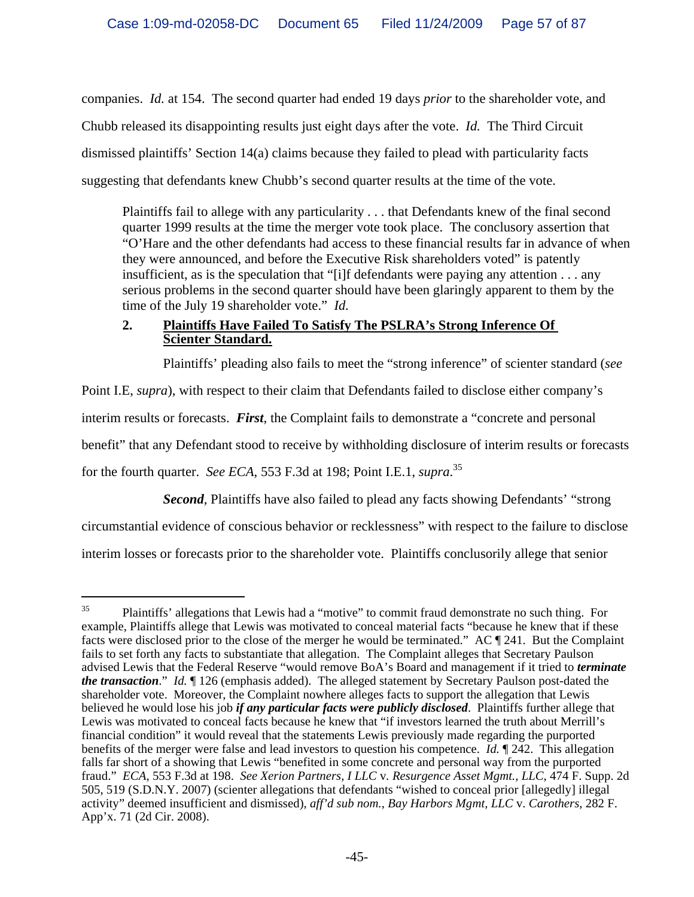companies. *Id.* at 154. The second quarter had ended 19 days *prior* to the shareholder vote, and Chubb released its disappointing results just eight days after the vote. *Id.* The Third Circuit dismissed plaintiffs' Section 14(a) claims because they failed to plead with particularity facts suggesting that defendants knew Chubb's second quarter results at the time of the vote.

Plaintiffs fail to allege with any particularity . . . that Defendants knew of the final second quarter 1999 results at the time the merger vote took place. The conclusory assertion that "O'Hare and the other defendants had access to these financial results far in advance of when they were announced, and before the Executive Risk shareholders voted" is patently insufficient, as is the speculation that "[i]f defendants were paying any attention . . . any serious problems in the second quarter should have been glaringly apparent to them by the time of the July 19 shareholder vote." *Id.*

# **2. Plaintiffs Have Failed To Satisfy The PSLRA's Strong Inference Of Scienter Standard.**

Plaintiffs' pleading also fails to meet the "strong inference" of scienter standard (*see*

Point I.E, *supra*), with respect to their claim that Defendants failed to disclose either company's

interim results or forecasts. *First*, the Complaint fails to demonstrate a "concrete and personal

benefit" that any Defendant stood to receive by withholding disclosure of interim results or forecasts

for the fourth quarter. *See ECA*, 553 F.3d at 198; Point I.E.1, *supra*. 35

i<br>Li

*Second*, Plaintiffs have also failed to plead any facts showing Defendants' "strong circumstantial evidence of conscious behavior or recklessness" with respect to the failure to disclose interim losses or forecasts prior to the shareholder vote. Plaintiffs conclusorily allege that senior

 $35$  Plaintiffs' allegations that Lewis had a "motive" to commit fraud demonstrate no such thing. For example, Plaintiffs allege that Lewis was motivated to conceal material facts "because he knew that if these facts were disclosed prior to the close of the merger he would be terminated." AC ¶ 241. But the Complaint fails to set forth any facts to substantiate that allegation. The Complaint alleges that Secretary Paulson advised Lewis that the Federal Reserve "would remove BoA's Board and management if it tried to *terminate the transaction*." *Id.* ¶ 126 (emphasis added). The alleged statement by Secretary Paulson post-dated the shareholder vote. Moreover, the Complaint nowhere alleges facts to support the allegation that Lewis believed he would lose his job *if any particular facts were publicly disclosed*. Plaintiffs further allege that Lewis was motivated to conceal facts because he knew that "if investors learned the truth about Merrill's financial condition" it would reveal that the statements Lewis previously made regarding the purported benefits of the merger were false and lead investors to question his competence. *Id.* ¶ 242. This allegation falls far short of a showing that Lewis "benefited in some concrete and personal way from the purported fraud." *ECA*, 553 F.3d at 198. *See Xerion Partners, I LLC* v*. Resurgence Asset Mgmt., LLC*, 474 F. Supp. 2d 505, 519 (S.D.N.Y. 2007) (scienter allegations that defendants "wished to conceal prior [allegedly] illegal activity" deemed insufficient and dismissed), *aff'd sub nom.*, *Bay Harbors Mgmt, LLC* v. *Carothers*, 282 F. App'x. 71 (2d Cir. 2008).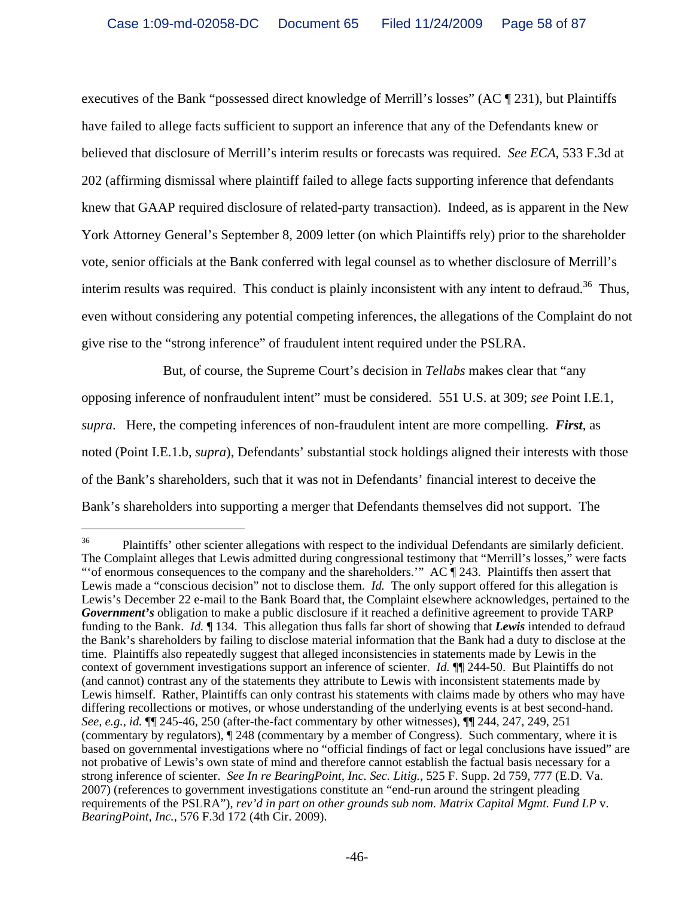executives of the Bank "possessed direct knowledge of Merrill's losses" (AC ¶ 231), but Plaintiffs have failed to allege facts sufficient to support an inference that any of the Defendants knew or believed that disclosure of Merrill's interim results or forecasts was required. *See ECA*, 533 F.3d at 202 (affirming dismissal where plaintiff failed to allege facts supporting inference that defendants knew that GAAP required disclosure of related-party transaction). Indeed, as is apparent in the New York Attorney General's September 8, 2009 letter (on which Plaintiffs rely) prior to the shareholder vote, senior officials at the Bank conferred with legal counsel as to whether disclosure of Merrill's interim results was required. This conduct is plainly inconsistent with any intent to defraud.<sup>36</sup> Thus, even without considering any potential competing inferences, the allegations of the Complaint do not give rise to the "strong inference" of fraudulent intent required under the PSLRA.

But, of course, the Supreme Court's decision in *Tellabs* makes clear that "any opposing inference of nonfraudulent intent" must be considered. 551 U.S. at 309; *see* Point I.E.1, *supra*. Here, the competing inferences of non-fraudulent intent are more compelling. *First*, as noted (Point I.E.1.b, *supra*), Defendants' substantial stock holdings aligned their interests with those of the Bank's shareholders, such that it was not in Defendants' financial interest to deceive the Bank's shareholders into supporting a merger that Defendants themselves did not support. The

<sup>&</sup>lt;sup>36</sup> Plaintiffs' other scienter allegations with respect to the individual Defendants are similarly deficient. The Complaint alleges that Lewis admitted during congressional testimony that "Merrill's losses," were facts "' of enormous consequences to the company and the shareholders." AC  $\P$  243. Plaintiffs then assert that Lewis made a "conscious decision" not to disclose them. *Id.* The only support offered for this allegation is Lewis's December 22 e-mail to the Bank Board that, the Complaint elsewhere acknowledges, pertained to the *Government's* obligation to make a public disclosure if it reached a definitive agreement to provide TARP funding to the Bank. *Id.* ¶ 134. This allegation thus falls far short of showing that *Lewis* intended to defraud the Bank's shareholders by failing to disclose material information that the Bank had a duty to disclose at the time. Plaintiffs also repeatedly suggest that alleged inconsistencies in statements made by Lewis in the context of government investigations support an inference of scienter. *Id.* ¶¶ 244-50. But Plaintiffs do not (and cannot) contrast any of the statements they attribute to Lewis with inconsistent statements made by Lewis himself. Rather, Plaintiffs can only contrast his statements with claims made by others who may have differing recollections or motives, or whose understanding of the underlying events is at best second-hand. *See, e.g.*, *id.* ¶¶ 245-46, 250 (after-the-fact commentary by other witnesses), ¶¶ 244, 247, 249, 251 (commentary by regulators), ¶ 248 (commentary by a member of Congress). Such commentary, where it is based on governmental investigations where no "official findings of fact or legal conclusions have issued" are not probative of Lewis's own state of mind and therefore cannot establish the factual basis necessary for a strong inference of scienter. *See In re BearingPoint, Inc. Sec. Litig.*, 525 F. Supp. 2d 759, 777 (E.D. Va. 2007) (references to government investigations constitute an "end-run around the stringent pleading requirements of the PSLRA"), *rev'd in part on other grounds sub nom. Matrix Capital Mgmt. Fund LP* v. *BearingPoint, Inc.*, 576 F.3d 172 (4th Cir. 2009).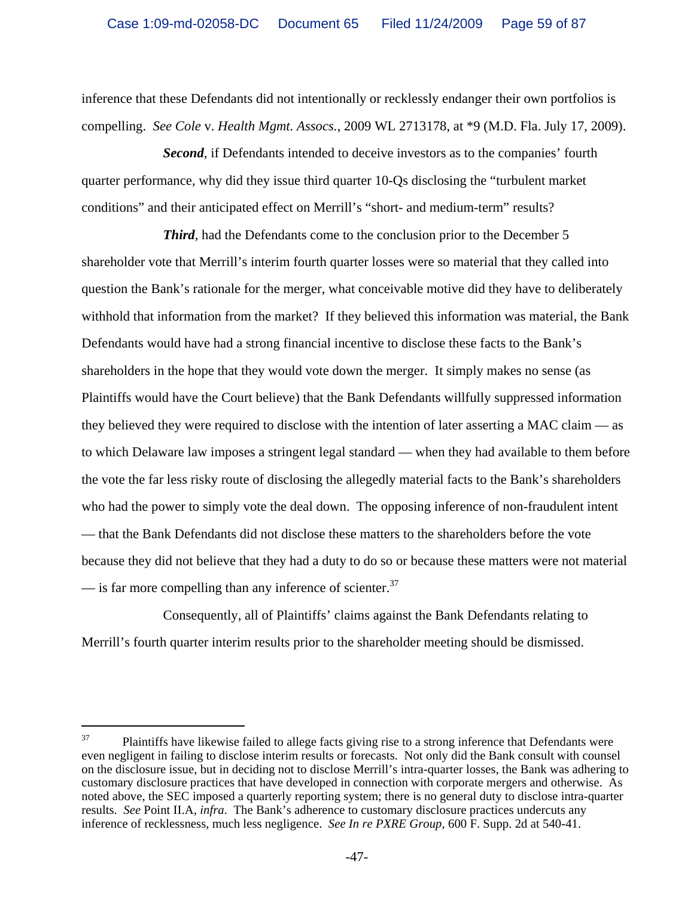inference that these Defendants did not intentionally or recklessly endanger their own portfolios is compelling. *See Cole* v. *Health Mgmt. Assocs.*, 2009 WL 2713178, at \*9 (M.D. Fla. July 17, 2009).

*Second*, if Defendants intended to deceive investors as to the companies' fourth quarter performance, why did they issue third quarter 10-Qs disclosing the "turbulent market conditions" and their anticipated effect on Merrill's "short- and medium-term" results?

*Third*, had the Defendants come to the conclusion prior to the December 5 shareholder vote that Merrill's interim fourth quarter losses were so material that they called into question the Bank's rationale for the merger, what conceivable motive did they have to deliberately withhold that information from the market? If they believed this information was material, the Bank Defendants would have had a strong financial incentive to disclose these facts to the Bank's shareholders in the hope that they would vote down the merger. It simply makes no sense (as Plaintiffs would have the Court believe) that the Bank Defendants willfully suppressed information they believed they were required to disclose with the intention of later asserting a MAC claim — as to which Delaware law imposes a stringent legal standard — when they had available to them before the vote the far less risky route of disclosing the allegedly material facts to the Bank's shareholders who had the power to simply vote the deal down. The opposing inference of non-fraudulent intent — that the Bank Defendants did not disclose these matters to the shareholders before the vote because they did not believe that they had a duty to do so or because these matters were not material  $\sim$  is far more compelling than any inference of scienter.<sup>37</sup>

Consequently, all of Plaintiffs' claims against the Bank Defendants relating to Merrill's fourth quarter interim results prior to the shareholder meeting should be dismissed.

<sup>&</sup>lt;sup>37</sup> Plaintiffs have likewise failed to allege facts giving rise to a strong inference that Defendants were even negligent in failing to disclose interim results or forecasts. Not only did the Bank consult with counsel on the disclosure issue, but in deciding not to disclose Merrill's intra-quarter losses, the Bank was adhering to customary disclosure practices that have developed in connection with corporate mergers and otherwise. As noted above, the SEC imposed a quarterly reporting system; there is no general duty to disclose intra-quarter results. *See* Point II.A, *infra*. The Bank's adherence to customary disclosure practices undercuts any inference of recklessness, much less negligence. *See In re PXRE Group,* 600 F. Supp. 2d at 540-41.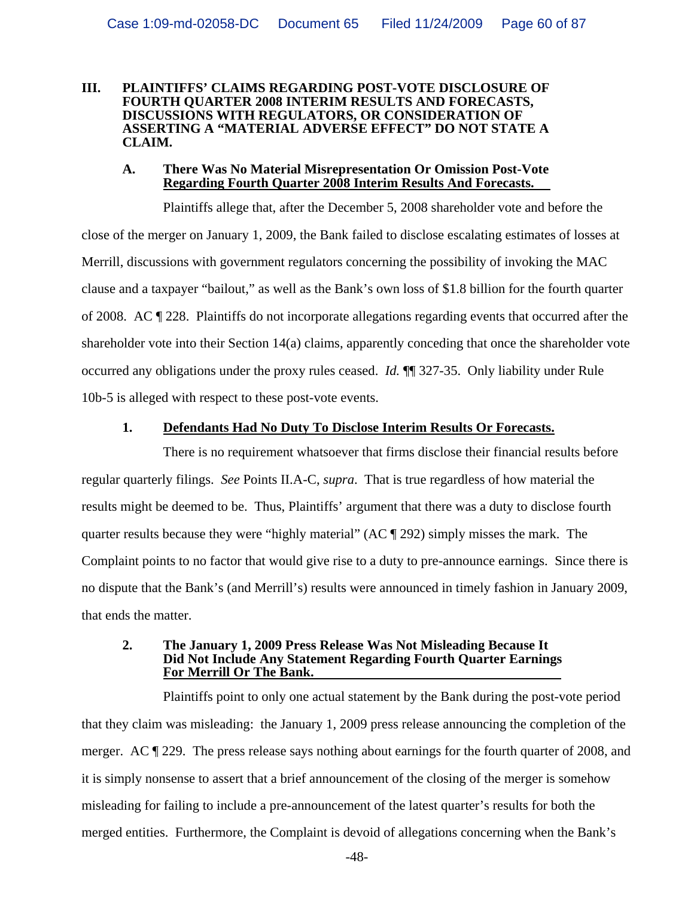#### **III. PLAINTIFFS' CLAIMS REGARDING POST-VOTE DISCLOSURE OF FOURTH QUARTER 2008 INTERIM RESULTS AND FORECASTS, DISCUSSIONS WITH REGULATORS, OR CONSIDERATION OF ASSERTING A "MATERIAL ADVERSE EFFECT" DO NOT STATE A CLAIM.**

#### **A. There Was No Material Misrepresentation Or Omission Post-Vote Regarding Fourth Quarter 2008 Interim Results And Forecasts.**

Plaintiffs allege that, after the December 5, 2008 shareholder vote and before the close of the merger on January 1, 2009, the Bank failed to disclose escalating estimates of losses at Merrill, discussions with government regulators concerning the possibility of invoking the MAC clause and a taxpayer "bailout," as well as the Bank's own loss of \$1.8 billion for the fourth quarter of 2008. AC ¶ 228. Plaintiffs do not incorporate allegations regarding events that occurred after the shareholder vote into their Section 14(a) claims, apparently conceding that once the shareholder vote occurred any obligations under the proxy rules ceased. *Id.* ¶¶ 327-35. Only liability under Rule 10b-5 is alleged with respect to these post-vote events.

## **1. Defendants Had No Duty To Disclose Interim Results Or Forecasts.**

There is no requirement whatsoever that firms disclose their financial results before regular quarterly filings. *See* Points II.A-C, *supra*. That is true regardless of how material the results might be deemed to be. Thus, Plaintiffs' argument that there was a duty to disclose fourth quarter results because they were "highly material" (AC ¶ 292) simply misses the mark. The Complaint points to no factor that would give rise to a duty to pre-announce earnings. Since there is no dispute that the Bank's (and Merrill's) results were announced in timely fashion in January 2009, that ends the matter.

#### **2. The January 1, 2009 Press Release Was Not Misleading Because It Did Not Include Any Statement Regarding Fourth Quarter Earnings For Merrill Or The Bank.**

Plaintiffs point to only one actual statement by the Bank during the post-vote period that they claim was misleading: the January 1, 2009 press release announcing the completion of the merger. AC ¶ 229. The press release says nothing about earnings for the fourth quarter of 2008, and it is simply nonsense to assert that a brief announcement of the closing of the merger is somehow misleading for failing to include a pre-announcement of the latest quarter's results for both the merged entities. Furthermore, the Complaint is devoid of allegations concerning when the Bank's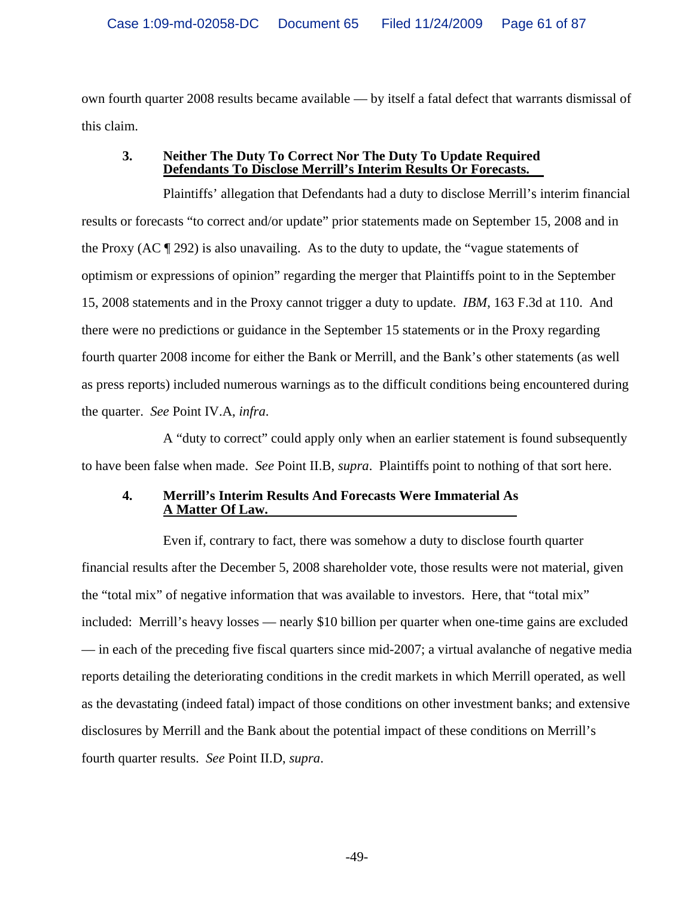own fourth quarter 2008 results became available — by itself a fatal defect that warrants dismissal of this claim.

### **3. Neither The Duty To Correct Nor The Duty To Update Required Defendants To Disclose Merrill's Interim Results Or Forecasts.**

Plaintiffs' allegation that Defendants had a duty to disclose Merrill's interim financial results or forecasts "to correct and/or update" prior statements made on September 15, 2008 and in the Proxy (AC ¶ 292) is also unavailing. As to the duty to update, the "vague statements of optimism or expressions of opinion" regarding the merger that Plaintiffs point to in the September 15, 2008 statements and in the Proxy cannot trigger a duty to update. *IBM*, 163 F.3d at 110. And there were no predictions or guidance in the September 15 statements or in the Proxy regarding fourth quarter 2008 income for either the Bank or Merrill, and the Bank's other statements (as well as press reports) included numerous warnings as to the difficult conditions being encountered during the quarter. *See* Point IV.A, *infra*.

A "duty to correct" could apply only when an earlier statement is found subsequently to have been false when made. *See* Point II.B, *supra*. Plaintiffs point to nothing of that sort here.

## **4. Merrill's Interim Results And Forecasts Were Immaterial As A Matter Of Law.**

Even if, contrary to fact, there was somehow a duty to disclose fourth quarter financial results after the December 5, 2008 shareholder vote, those results were not material, given the "total mix" of negative information that was available to investors. Here, that "total mix" included: Merrill's heavy losses — nearly \$10 billion per quarter when one-time gains are excluded — in each of the preceding five fiscal quarters since mid-2007; a virtual avalanche of negative media reports detailing the deteriorating conditions in the credit markets in which Merrill operated, as well as the devastating (indeed fatal) impact of those conditions on other investment banks; and extensive disclosures by Merrill and the Bank about the potential impact of these conditions on Merrill's fourth quarter results. *See* Point II.D, *supra*.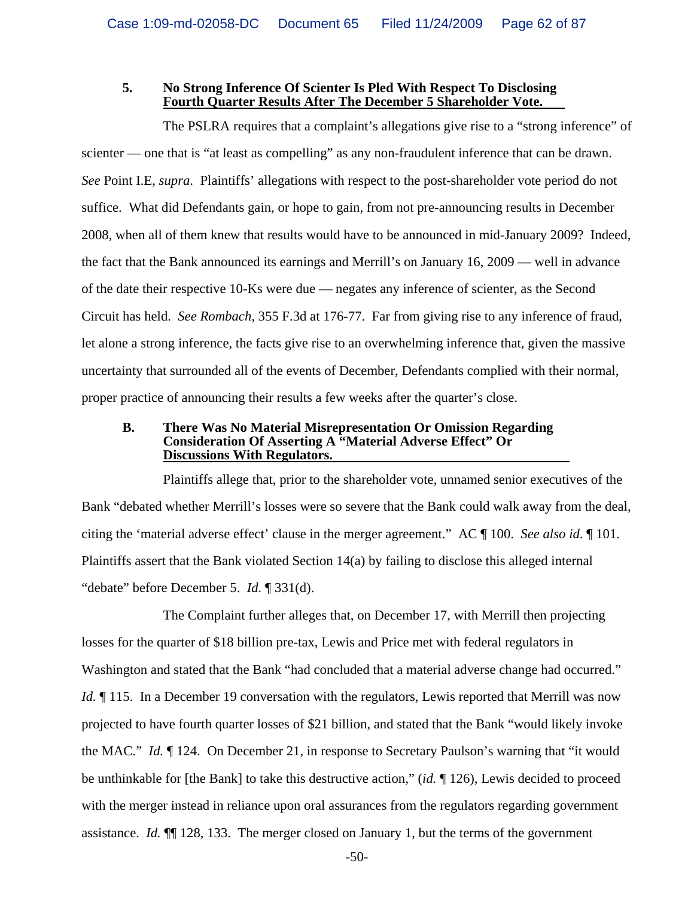#### **5. No Strong Inference Of Scienter Is Pled With Respect To Disclosing Fourth Quarter Results After The December 5 Shareholder Vote.**

The PSLRA requires that a complaint's allegations give rise to a "strong inference" of scienter — one that is "at least as compelling" as any non-fraudulent inference that can be drawn. *See* Point I.E, *supra*. Plaintiffs' allegations with respect to the post-shareholder vote period do not suffice. What did Defendants gain, or hope to gain, from not pre-announcing results in December 2008, when all of them knew that results would have to be announced in mid-January 2009? Indeed, the fact that the Bank announced its earnings and Merrill's on January 16, 2009 — well in advance of the date their respective 10-Ks were due — negates any inference of scienter, as the Second Circuit has held. *See Rombach,* 355 F.3d at 176-77. Far from giving rise to any inference of fraud, let alone a strong inference, the facts give rise to an overwhelming inference that, given the massive uncertainty that surrounded all of the events of December, Defendants complied with their normal, proper practice of announcing their results a few weeks after the quarter's close.

#### **B. There Was No Material Misrepresentation Or Omission Regarding Consideration Of Asserting A "Material Adverse Effect" Or Discussions With Regulators.**

Plaintiffs allege that, prior to the shareholder vote, unnamed senior executives of the Bank "debated whether Merrill's losses were so severe that the Bank could walk away from the deal, citing the 'material adverse effect' clause in the merger agreement." AC ¶ 100. *See also id*. ¶ 101. Plaintiffs assert that the Bank violated Section 14(a) by failing to disclose this alleged internal "debate" before December 5. *Id.* ¶ 331(d).

The Complaint further alleges that, on December 17, with Merrill then projecting losses for the quarter of \$18 billion pre-tax, Lewis and Price met with federal regulators in Washington and stated that the Bank "had concluded that a material adverse change had occurred." *Id.* 115. In a December 19 conversation with the regulators, Lewis reported that Merrill was now projected to have fourth quarter losses of \$21 billion, and stated that the Bank "would likely invoke the MAC." *Id.* ¶ 124. On December 21, in response to Secretary Paulson's warning that "it would be unthinkable for [the Bank] to take this destructive action," (*id.* ¶ 126), Lewis decided to proceed with the merger instead in reliance upon oral assurances from the regulators regarding government assistance. *Id.* ¶¶ 128, 133. The merger closed on January 1, but the terms of the government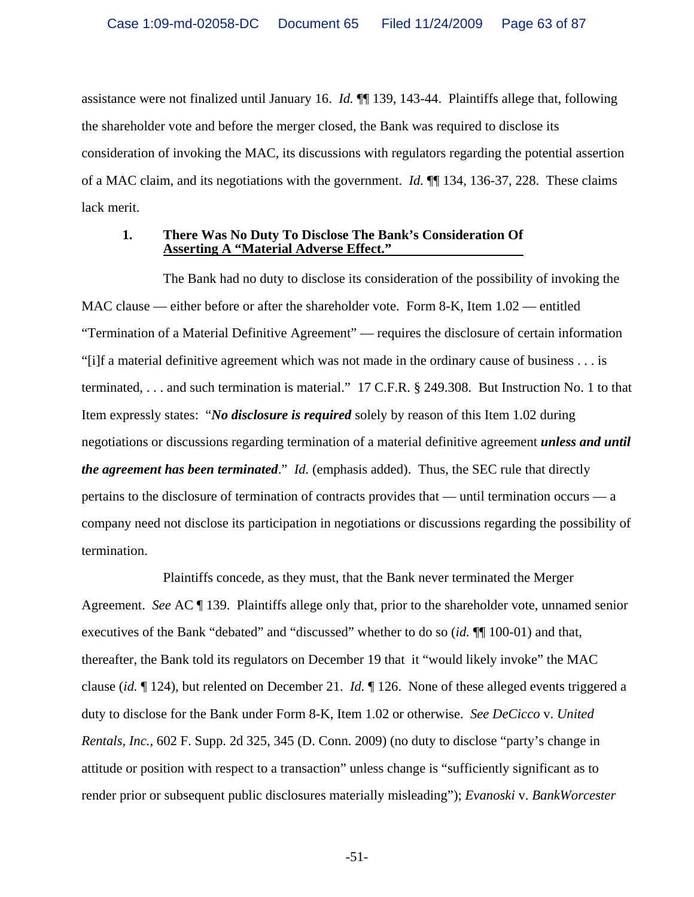assistance were not finalized until January 16. *Id.* ¶¶ 139, 143-44. Plaintiffs allege that, following the shareholder vote and before the merger closed, the Bank was required to disclose its consideration of invoking the MAC, its discussions with regulators regarding the potential assertion of a MAC claim, and its negotiations with the government. *Id.* ¶¶ 134, 136-37, 228. These claims lack merit.

#### **1. There Was No Duty To Disclose The Bank's Consideration Of Asserting A "Material Adverse Effect."**

The Bank had no duty to disclose its consideration of the possibility of invoking the MAC clause — either before or after the shareholder vote. Form 8-K, Item 1.02 — entitled "Termination of a Material Definitive Agreement" — requires the disclosure of certain information "[i]f a material definitive agreement which was not made in the ordinary cause of business . . . is terminated, . . . and such termination is material." 17 C.F.R. § 249.308. But Instruction No. 1 to that Item expressly states: "*No disclosure is required* solely by reason of this Item 1.02 during negotiations or discussions regarding termination of a material definitive agreement *unless and until the agreement has been terminated*." *Id.* (emphasis added). Thus, the SEC rule that directly pertains to the disclosure of termination of contracts provides that — until termination occurs — a company need not disclose its participation in negotiations or discussions regarding the possibility of termination.

Plaintiffs concede, as they must, that the Bank never terminated the Merger Agreement. *See* AC ¶ 139. Plaintiffs allege only that, prior to the shareholder vote, unnamed senior executives of the Bank "debated" and "discussed" whether to do so (*id.* ¶¶ 100-01) and that, thereafter, the Bank told its regulators on December 19 that it "would likely invoke" the MAC clause (*id.* ¶ 124), but relented on December 21. *Id.* ¶ 126. None of these alleged events triggered a duty to disclose for the Bank under Form 8-K, Item 1.02 or otherwise. *See DeCicco* v. *United Rentals, Inc.*, 602 F. Supp. 2d 325, 345 (D. Conn. 2009) (no duty to disclose "party's change in attitude or position with respect to a transaction" unless change is "sufficiently significant as to render prior or subsequent public disclosures materially misleading"); *Evanoski* v. *BankWorcester*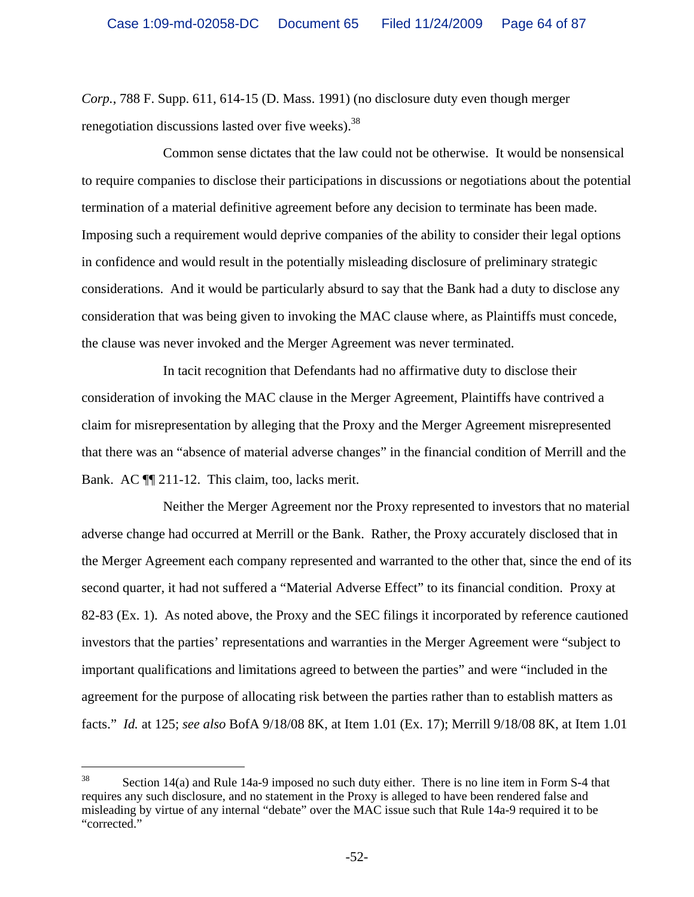*Corp.*, 788 F. Supp. 611, 614-15 (D. Mass. 1991) (no disclosure duty even though merger renegotiation discussions lasted over five weeks).<sup>38</sup>

Common sense dictates that the law could not be otherwise. It would be nonsensical to require companies to disclose their participations in discussions or negotiations about the potential termination of a material definitive agreement before any decision to terminate has been made. Imposing such a requirement would deprive companies of the ability to consider their legal options in confidence and would result in the potentially misleading disclosure of preliminary strategic considerations. And it would be particularly absurd to say that the Bank had a duty to disclose any consideration that was being given to invoking the MAC clause where, as Plaintiffs must concede, the clause was never invoked and the Merger Agreement was never terminated.

In tacit recognition that Defendants had no affirmative duty to disclose their consideration of invoking the MAC clause in the Merger Agreement, Plaintiffs have contrived a claim for misrepresentation by alleging that the Proxy and the Merger Agreement misrepresented that there was an "absence of material adverse changes" in the financial condition of Merrill and the Bank. AC ¶¶ 211-12. This claim, too, lacks merit.

Neither the Merger Agreement nor the Proxy represented to investors that no material adverse change had occurred at Merrill or the Bank. Rather, the Proxy accurately disclosed that in the Merger Agreement each company represented and warranted to the other that, since the end of its second quarter, it had not suffered a "Material Adverse Effect" to its financial condition. Proxy at 82-83 (Ex. 1). As noted above, the Proxy and the SEC filings it incorporated by reference cautioned investors that the parties' representations and warranties in the Merger Agreement were "subject to important qualifications and limitations agreed to between the parties" and were "included in the agreement for the purpose of allocating risk between the parties rather than to establish matters as facts." *Id.* at 125; *see also* BofA 9/18/08 8K, at Item 1.01 (Ex. 17); Merrill 9/18/08 8K, at Item 1.01

 $38$  Section 14(a) and Rule 14a-9 imposed no such duty either. There is no line item in Form S-4 that requires any such disclosure, and no statement in the Proxy is alleged to have been rendered false and misleading by virtue of any internal "debate" over the MAC issue such that Rule 14a-9 required it to be "corrected."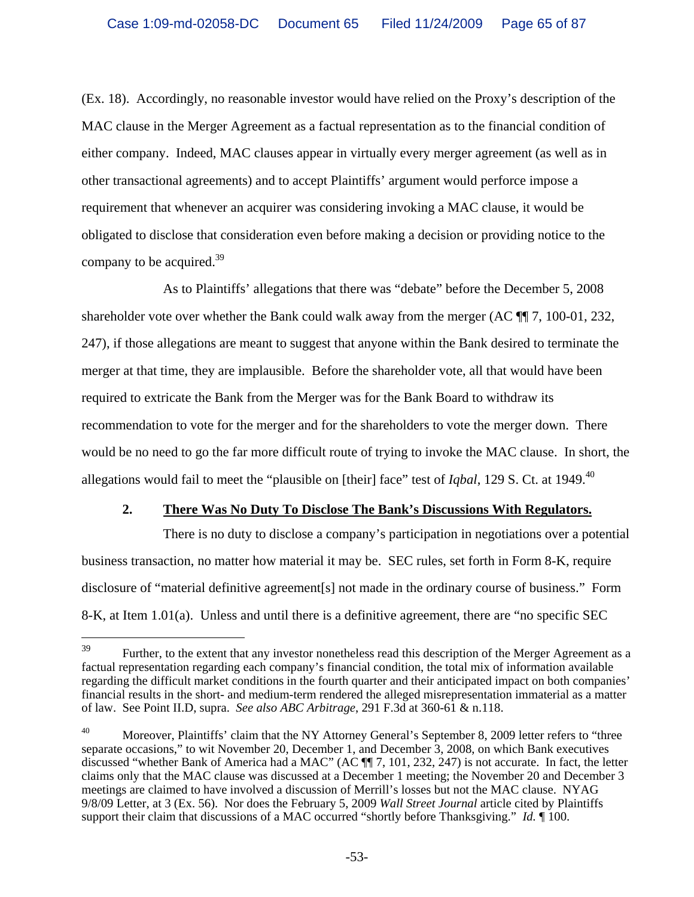(Ex. 18). Accordingly, no reasonable investor would have relied on the Proxy's description of the MAC clause in the Merger Agreement as a factual representation as to the financial condition of either company. Indeed, MAC clauses appear in virtually every merger agreement (as well as in other transactional agreements) and to accept Plaintiffs' argument would perforce impose a requirement that whenever an acquirer was considering invoking a MAC clause, it would be obligated to disclose that consideration even before making a decision or providing notice to the company to be acquired. $39$ 

As to Plaintiffs' allegations that there was "debate" before the December 5, 2008 shareholder vote over whether the Bank could walk away from the merger  $(AC \parallel 7, 100-01, 232, ...)$ 247), if those allegations are meant to suggest that anyone within the Bank desired to terminate the merger at that time, they are implausible. Before the shareholder vote, all that would have been required to extricate the Bank from the Merger was for the Bank Board to withdraw its recommendation to vote for the merger and for the shareholders to vote the merger down. There would be no need to go the far more difficult route of trying to invoke the MAC clause. In short, the allegations would fail to meet the "plausible on [their] face" test of *Iqbal*, 129 S. Ct. at 1949.<sup>40</sup>

# **2. There Was No Duty To Disclose The Bank's Discussions With Regulators.**

There is no duty to disclose a company's participation in negotiations over a potential business transaction, no matter how material it may be. SEC rules, set forth in Form 8-K, require disclosure of "material definitive agreement[s] not made in the ordinary course of business." Form 8-K, at Item 1.01(a). Unless and until there is a definitive agreement, there are "no specific SEC

<sup>39</sup> Further, to the extent that any investor nonetheless read this description of the Merger Agreement as a factual representation regarding each company's financial condition, the total mix of information available regarding the difficult market conditions in the fourth quarter and their anticipated impact on both companies' financial results in the short- and medium-term rendered the alleged misrepresentation immaterial as a matter of law. See Point II.D, supra. *See also ABC Arbitrage*, 291 F.3d at 360-61 & n.118.

<sup>&</sup>lt;sup>40</sup> Moreover, Plaintiffs' claim that the NY Attorney General's September 8, 2009 letter refers to "three separate occasions," to wit November 20, December 1, and December 3, 2008, on which Bank executives discussed "whether Bank of America had a MAC" (AC ¶¶ 7, 101, 232, 247) is not accurate. In fact, the letter claims only that the MAC clause was discussed at a December 1 meeting; the November 20 and December 3 meetings are claimed to have involved a discussion of Merrill's losses but not the MAC clause. NYAG 9/8/09 Letter, at 3 (Ex. 56). Nor does the February 5, 2009 *Wall Street Journal* article cited by Plaintiffs support their claim that discussions of a MAC occurred "shortly before Thanksgiving." *Id.*  $\llbracket$  100.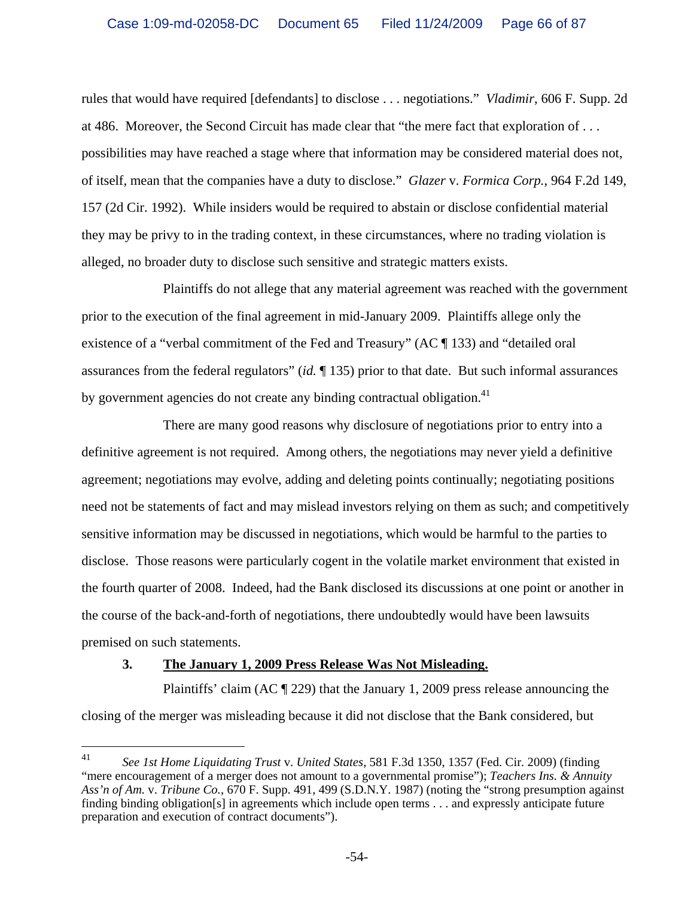rules that would have required [defendants] to disclose . . . negotiations." *Vladimir*, 606 F. Supp. 2d at 486. Moreover, the Second Circuit has made clear that "the mere fact that exploration of . . . possibilities may have reached a stage where that information may be considered material does not, of itself, mean that the companies have a duty to disclose." *Glazer* v. *Formica Corp.*, 964 F.2d 149, 157 (2d Cir. 1992). While insiders would be required to abstain or disclose confidential material they may be privy to in the trading context, in these circumstances, where no trading violation is alleged, no broader duty to disclose such sensitive and strategic matters exists.

Plaintiffs do not allege that any material agreement was reached with the government prior to the execution of the final agreement in mid-January 2009. Plaintiffs allege only the existence of a "verbal commitment of the Fed and Treasury" (AC ¶ 133) and "detailed oral assurances from the federal regulators" (*id.* ¶ 135) prior to that date. But such informal assurances by government agencies do not create any binding contractual obligation.<sup>41</sup>

There are many good reasons why disclosure of negotiations prior to entry into a definitive agreement is not required. Among others, the negotiations may never yield a definitive agreement; negotiations may evolve, adding and deleting points continually; negotiating positions need not be statements of fact and may mislead investors relying on them as such; and competitively sensitive information may be discussed in negotiations, which would be harmful to the parties to disclose. Those reasons were particularly cogent in the volatile market environment that existed in the fourth quarter of 2008. Indeed, had the Bank disclosed its discussions at one point or another in the course of the back-and-forth of negotiations, there undoubtedly would have been lawsuits premised on such statements.

# **3. The January 1, 2009 Press Release Was Not Misleading.**

Plaintiffs' claim (AC ¶ 229) that the January 1, 2009 press release announcing the closing of the merger was misleading because it did not disclose that the Bank considered, but

<sup>41</sup> 41 *See 1st Home Liquidating Trust* v. *United States*, 581 F.3d 1350, 1357 (Fed. Cir. 2009) (finding "mere encouragement of a merger does not amount to a governmental promise"); *Teachers Ins. & Annuity Ass'n of Am.* v. *Tribune Co.*, 670 F. Supp. 491, 499 (S.D.N.Y. 1987) (noting the "strong presumption against finding binding obligation[s] in agreements which include open terms . . . and expressly anticipate future preparation and execution of contract documents").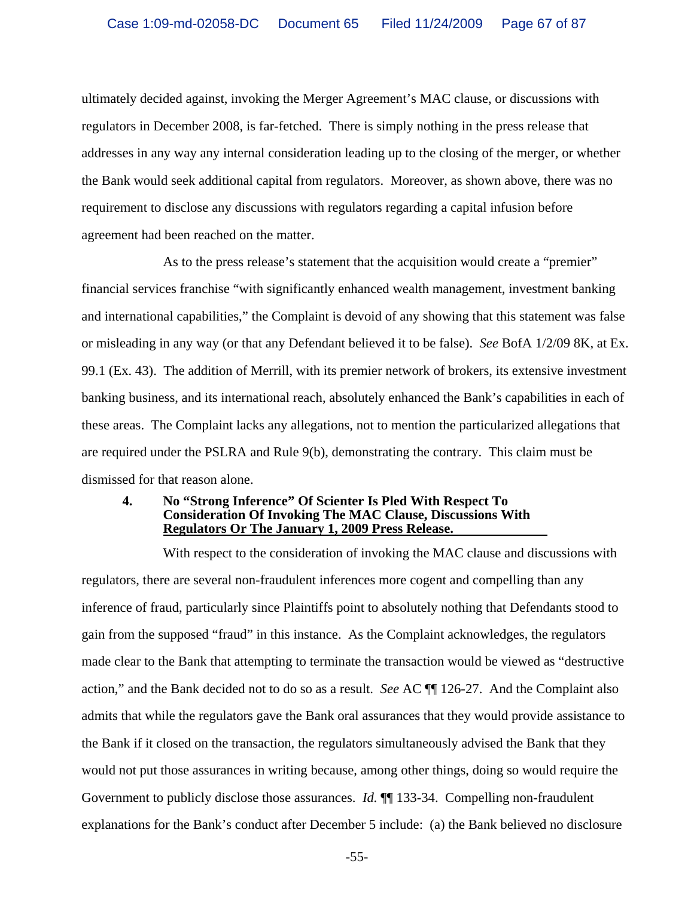ultimately decided against, invoking the Merger Agreement's MAC clause, or discussions with regulators in December 2008, is far-fetched. There is simply nothing in the press release that addresses in any way any internal consideration leading up to the closing of the merger, or whether the Bank would seek additional capital from regulators. Moreover, as shown above, there was no requirement to disclose any discussions with regulators regarding a capital infusion before agreement had been reached on the matter.

As to the press release's statement that the acquisition would create a "premier" financial services franchise "with significantly enhanced wealth management, investment banking and international capabilities," the Complaint is devoid of any showing that this statement was false or misleading in any way (or that any Defendant believed it to be false). *See* BofA 1/2/09 8K, at Ex. 99.1 (Ex. 43). The addition of Merrill, with its premier network of brokers, its extensive investment banking business, and its international reach, absolutely enhanced the Bank's capabilities in each of these areas. The Complaint lacks any allegations, not to mention the particularized allegations that are required under the PSLRA and Rule 9(b), demonstrating the contrary. This claim must be dismissed for that reason alone.

#### **4. No "Strong Inference" Of Scienter Is Pled With Respect To Consideration Of Invoking The MAC Clause, Discussions With Regulators Or The January 1, 2009 Press Release.**

With respect to the consideration of invoking the MAC clause and discussions with regulators, there are several non-fraudulent inferences more cogent and compelling than any inference of fraud, particularly since Plaintiffs point to absolutely nothing that Defendants stood to gain from the supposed "fraud" in this instance. As the Complaint acknowledges, the regulators made clear to the Bank that attempting to terminate the transaction would be viewed as "destructive action," and the Bank decided not to do so as a result. *See* AC ¶¶ 126-27. And the Complaint also admits that while the regulators gave the Bank oral assurances that they would provide assistance to the Bank if it closed on the transaction, the regulators simultaneously advised the Bank that they would not put those assurances in writing because, among other things, doing so would require the Government to publicly disclose those assurances. *Id.* ¶¶ 133-34. Compelling non-fraudulent explanations for the Bank's conduct after December 5 include: (a) the Bank believed no disclosure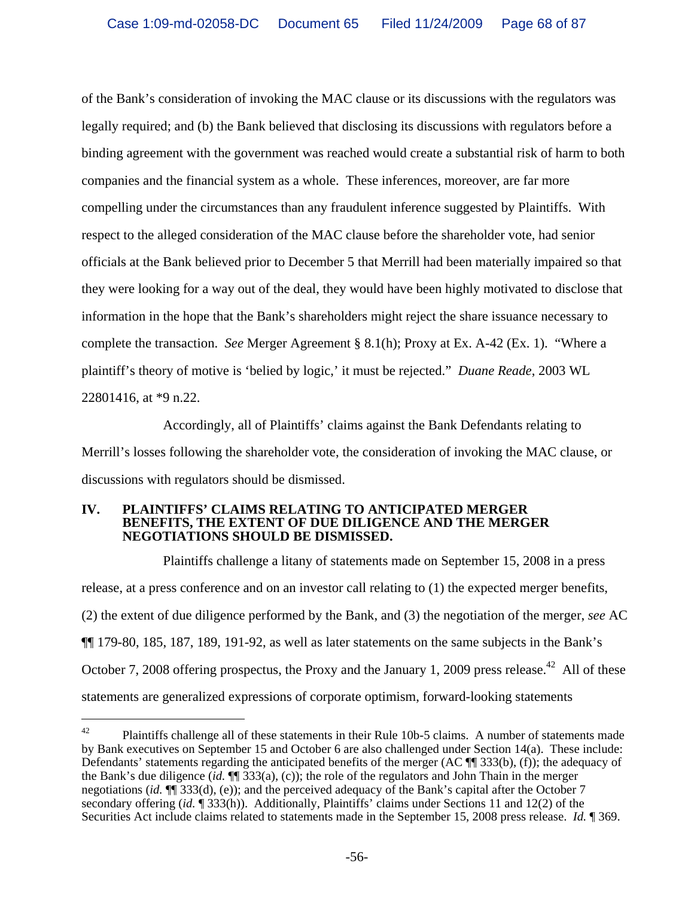of the Bank's consideration of invoking the MAC clause or its discussions with the regulators was legally required; and (b) the Bank believed that disclosing its discussions with regulators before a binding agreement with the government was reached would create a substantial risk of harm to both companies and the financial system as a whole. These inferences, moreover, are far more compelling under the circumstances than any fraudulent inference suggested by Plaintiffs. With respect to the alleged consideration of the MAC clause before the shareholder vote, had senior officials at the Bank believed prior to December 5 that Merrill had been materially impaired so that they were looking for a way out of the deal, they would have been highly motivated to disclose that information in the hope that the Bank's shareholders might reject the share issuance necessary to complete the transaction. *See* Merger Agreement § 8.1(h); Proxy at Ex. A-42 (Ex. 1). "Where a plaintiff's theory of motive is 'belied by logic,' it must be rejected." *Duane Reade*, 2003 WL 22801416, at \*9 n.22.

Accordingly, all of Plaintiffs' claims against the Bank Defendants relating to Merrill's losses following the shareholder vote, the consideration of invoking the MAC clause, or discussions with regulators should be dismissed.

#### **IV. PLAINTIFFS' CLAIMS RELATING TO ANTICIPATED MERGER BENEFITS, THE EXTENT OF DUE DILIGENCE AND THE MERGER NEGOTIATIONS SHOULD BE DISMISSED.**

i<br>Li

Plaintiffs challenge a litany of statements made on September 15, 2008 in a press release, at a press conference and on an investor call relating to (1) the expected merger benefits, (2) the extent of due diligence performed by the Bank, and (3) the negotiation of the merger, *see* AC ¶¶ 179-80, 185, 187, 189, 191-92, as well as later statements on the same subjects in the Bank's October 7, 2008 offering prospectus, the Proxy and the January 1, 2009 press release.<sup>42</sup> All of these statements are generalized expressions of corporate optimism, forward-looking statements

 $42$  Plaintiffs challenge all of these statements in their Rule 10b-5 claims. A number of statements made by Bank executives on September 15 and October 6 are also challenged under Section 14(a). These include: Defendants' statements regarding the anticipated benefits of the merger (AC  $\P$  333(b), (f)); the adequacy of the Bank's due diligence (*id.* ¶¶ 333(a), (c)); the role of the regulators and John Thain in the merger negotiations (*id.*  $\P$ <sup> $\hat{I}$ </sup> 333(d), (e)); and the perceived adequacy of the Bank's capital after the October 7 secondary offering (*id.* ¶ 333(h)). Additionally, Plaintiffs' claims under Sections 11 and 12(2) of the Securities Act include claims related to statements made in the September 15, 2008 press release. *Id.* ¶ 369.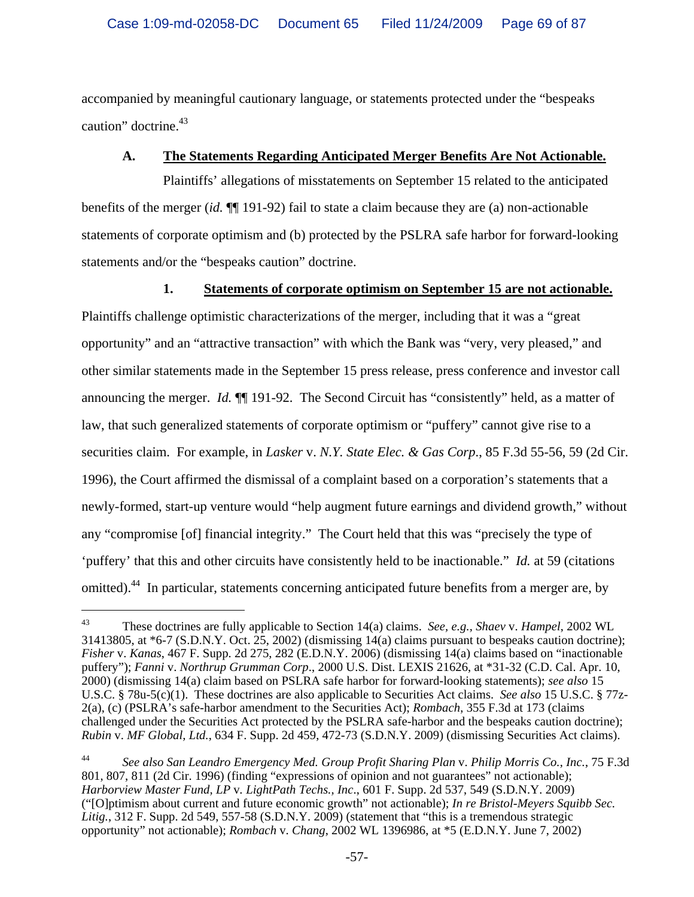accompanied by meaningful cautionary language, or statements protected under the "bespeaks caution" doctrine.<sup>43</sup>

# **A. The Statements Regarding Anticipated Merger Benefits Are Not Actionable.**

Plaintiffs' allegations of misstatements on September 15 related to the anticipated benefits of the merger (*id.* ¶¶ 191-92) fail to state a claim because they are (a) non-actionable statements of corporate optimism and (b) protected by the PSLRA safe harbor for forward-looking statements and/or the "bespeaks caution" doctrine.

**1. Statements of corporate optimism on September 15 are not actionable.** 

Plaintiffs challenge optimistic characterizations of the merger, including that it was a "great opportunity" and an "attractive transaction" with which the Bank was "very, very pleased," and other similar statements made in the September 15 press release, press conference and investor call announcing the merger. *Id.*  $\P$  191-92. The Second Circuit has "consistently" held, as a matter of law, that such generalized statements of corporate optimism or "puffery" cannot give rise to a securities claim. For example, in *Lasker* v. *N.Y. State Elec. & Gas Corp*., 85 F.3d 55-56, 59 (2d Cir. 1996), the Court affirmed the dismissal of a complaint based on a corporation's statements that a newly-formed, start-up venture would "help augment future earnings and dividend growth," without any "compromise [of] financial integrity." The Court held that this was "precisely the type of 'puffery' that this and other circuits have consistently held to be inactionable." *Id.* at 59 (citations omitted).<sup>44</sup> In particular, statements concerning anticipated future benefits from a merger are, by

 $\overline{\phantom{0}}$ 

44 *See also San Leandro Emergency Med. Group Profit Sharing Plan* v. *Philip Morris Co., Inc.*, 75 F.3d 801, 807, 811 (2d Cir. 1996) (finding "expressions of opinion and not guarantees" not actionable); *Harborview Master Fund, LP* v*. LightPath Techs., Inc*., 601 F. Supp. 2d 537, 549 (S.D.N.Y. 2009) ("[O]ptimism about current and future economic growth" not actionable); *In re Bristol-Meyers Squibb Sec.*  Litig., 312 F. Supp. 2d 549, 557-58 (S.D.N.Y. 2009) (statement that "this is a tremendous strategic opportunity" not actionable); *Rombach* v. *Chang*, 2002 WL 1396986, at \*5 (E.D.N.Y. June 7, 2002)

<sup>43</sup> These doctrines are fully applicable to Section 14(a) claims. *See, e.g., Shaev* v. *Hampel*, 2002 WL 31413805, at \*6-7 (S.D.N.Y. Oct. 25, 2002) (dismissing 14(a) claims pursuant to bespeaks caution doctrine); *Fisher* v. *Kanas*, 467 F. Supp. 2d 275, 282 (E.D.N.Y. 2006) (dismissing 14(a) claims based on "inactionable puffery"); *Fanni* v. *Northrup Grumman Corp*., 2000 U.S. Dist. LEXIS 21626, at \*31-32 (C.D. Cal. Apr. 10, 2000) (dismissing 14(a) claim based on PSLRA safe harbor for forward-looking statements); *see also* 15 U.S.C. § 78u-5(c)(1). These doctrines are also applicable to Securities Act claims. *See also* 15 U.S.C. § 77z-2(a), (c) (PSLRA's safe-harbor amendment to the Securities Act); *Rombach*, 355 F.3d at 173 (claims challenged under the Securities Act protected by the PSLRA safe-harbor and the bespeaks caution doctrine); *Rubin* v. *MF Global, Ltd.*, 634 F. Supp. 2d 459, 472-73 (S.D.N.Y. 2009) (dismissing Securities Act claims).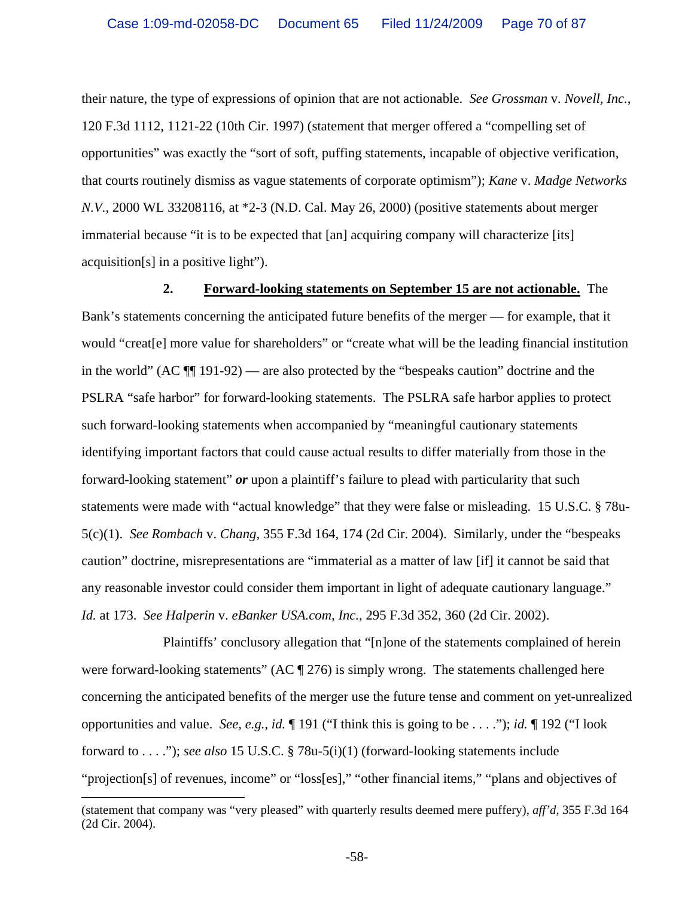their nature, the type of expressions of opinion that are not actionable. *See Grossman* v. *Novell, Inc.*, 120 F.3d 1112, 1121-22 (10th Cir. 1997) (statement that merger offered a "compelling set of opportunities" was exactly the "sort of soft, puffing statements, incapable of objective verification, that courts routinely dismiss as vague statements of corporate optimism"); *Kane* v. *Madge Networks N.V.*, 2000 WL 33208116, at \*2-3 (N.D. Cal. May 26, 2000) (positive statements about merger immaterial because "it is to be expected that [an] acquiring company will characterize [its] acquisition[s] in a positive light").

**2. Forward-looking statements on September 15 are not actionable.** The Bank's statements concerning the anticipated future benefits of the merger — for example, that it would "creat[e] more value for shareholders" or "create what will be the leading financial institution in the world"  $(AC \parallel 191-92)$  — are also protected by the "bespeaks caution" doctrine and the PSLRA "safe harbor" for forward-looking statements. The PSLRA safe harbor applies to protect such forward-looking statements when accompanied by "meaningful cautionary statements identifying important factors that could cause actual results to differ materially from those in the forward-looking statement" *or* upon a plaintiff's failure to plead with particularity that such statements were made with "actual knowledge" that they were false or misleading. 15 U.S.C. § 78u-5(c)(1). *See Rombach* v. *Chang*, 355 F.3d 164, 174 (2d Cir. 2004). Similarly, under the "bespeaks caution" doctrine, misrepresentations are "immaterial as a matter of law [if] it cannot be said that any reasonable investor could consider them important in light of adequate cautionary language." *Id.* at 173. *See Halperin* v. *eBanker USA.com, Inc.*, 295 F.3d 352, 360 (2d Cir. 2002).

Plaintiffs' conclusory allegation that "[n]one of the statements complained of herein were forward-looking statements" (AC  $\parallel$  276) is simply wrong. The statements challenged here concerning the anticipated benefits of the merger use the future tense and comment on yet-unrealized opportunities and value. *See, e.g.*, *id.* ¶ 191 ("I think this is going to be . . . ."); *id.* ¶ 192 ("I look forward to . . . ."); *see also* 15 U.S.C. § 78u-5(i)(1) (forward-looking statements include "projection[s] of revenues, income" or "loss[es]," "other financial items," "plans and objectives of

 $\overline{\phantom{0}}$ (statement that company was "very pleased" with quarterly results deemed mere puffery), *aff'd*, 355 F.3d 164 (2d Cir. 2004).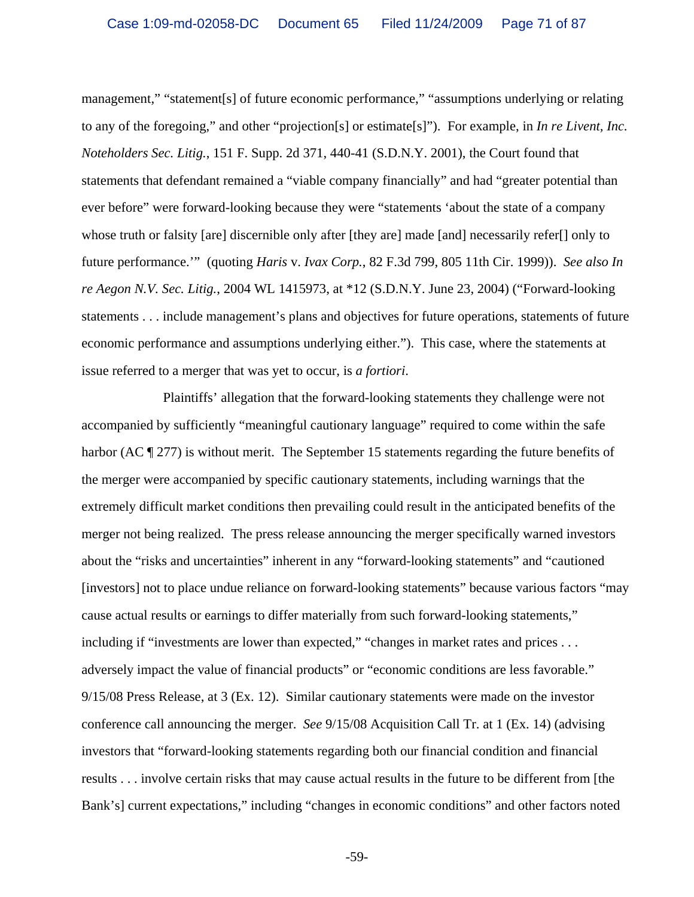management," "statement[s] of future economic performance," "assumptions underlying or relating to any of the foregoing," and other "projection[s] or estimate[s]"). For example, in *In re Livent, Inc. Noteholders Sec. Litig.*, 151 F. Supp. 2d 371, 440-41 (S.D.N.Y. 2001), the Court found that statements that defendant remained a "viable company financially" and had "greater potential than ever before" were forward-looking because they were "statements 'about the state of a company whose truth or falsity [are] discernible only after [they are] made [and] necessarily refer[] only to future performance.'" (quoting *Haris* v. *Ivax Corp.*, 82 F.3d 799, 805 11th Cir. 1999)). *See also In re Aegon N.V. Sec. Litig.*, 2004 WL 1415973, at \*12 (S.D.N.Y. June 23, 2004) ("Forward-looking statements . . . include management's plans and objectives for future operations, statements of future economic performance and assumptions underlying either."). This case, where the statements at issue referred to a merger that was yet to occur, is *a fortiori*.

Plaintiffs' allegation that the forward-looking statements they challenge were not accompanied by sufficiently "meaningful cautionary language" required to come within the safe harbor (AC ¶ 277) is without merit. The September 15 statements regarding the future benefits of the merger were accompanied by specific cautionary statements, including warnings that the extremely difficult market conditions then prevailing could result in the anticipated benefits of the merger not being realized. The press release announcing the merger specifically warned investors about the "risks and uncertainties" inherent in any "forward-looking statements" and "cautioned [investors] not to place undue reliance on forward-looking statements" because various factors "may cause actual results or earnings to differ materially from such forward-looking statements," including if "investments are lower than expected," "changes in market rates and prices . . . adversely impact the value of financial products" or "economic conditions are less favorable." 9/15/08 Press Release, at 3 (Ex. 12). Similar cautionary statements were made on the investor conference call announcing the merger. *See* 9/15/08 Acquisition Call Tr. at 1 (Ex. 14) (advising investors that "forward-looking statements regarding both our financial condition and financial results . . . involve certain risks that may cause actual results in the future to be different from [the Bank's] current expectations," including "changes in economic conditions" and other factors noted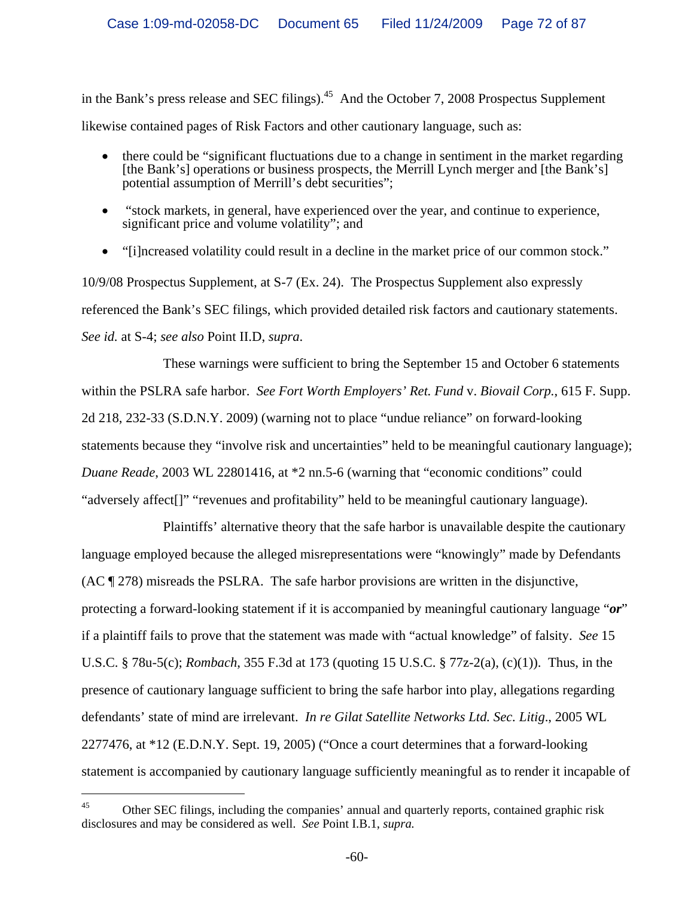in the Bank's press release and SEC filings).<sup>45</sup> And the October 7, 2008 Prospectus Supplement likewise contained pages of Risk Factors and other cautionary language, such as:

- there could be "significant fluctuations due to a change in sentiment in the market regarding [the Bank's] operations or business prospects, the Merrill Lynch merger and [the Bank's] potential assumption of Merrill's debt securities";
- "stock markets, in general, have experienced over the year, and continue to experience, significant price and volume volatility"; and
- "[i]ncreased volatility could result in a decline in the market price of our common stock."

10/9/08 Prospectus Supplement, at S-7 (Ex. 24). The Prospectus Supplement also expressly referenced the Bank's SEC filings, which provided detailed risk factors and cautionary statements. *See id.* at S-4; *see also* Point II.D, *supra*.

These warnings were sufficient to bring the September 15 and October 6 statements within the PSLRA safe harbor. *See Fort Worth Employers' Ret. Fund* v. *Biovail Corp.*, 615 F. Supp. 2d 218, 232-33 (S.D.N.Y. 2009) (warning not to place "undue reliance" on forward-looking statements because they "involve risk and uncertainties" held to be meaningful cautionary language); *Duane Reade*, 2003 WL 22801416, at \*2 nn.5-6 (warning that "economic conditions" could "adversely affect<sup>[]"</sup> "revenues and profitability" held to be meaningful cautionary language).

Plaintiffs' alternative theory that the safe harbor is unavailable despite the cautionary language employed because the alleged misrepresentations were "knowingly" made by Defendants (AC ¶ 278) misreads the PSLRA. The safe harbor provisions are written in the disjunctive, protecting a forward-looking statement if it is accompanied by meaningful cautionary language "*or*" if a plaintiff fails to prove that the statement was made with "actual knowledge" of falsity. *See* 15 U.S.C. § 78u-5(c); *Rombach*, 355 F.3d at 173 (quoting 15 U.S.C. § 77z-2(a), (c)(1)). Thus, in the presence of cautionary language sufficient to bring the safe harbor into play, allegations regarding defendants' state of mind are irrelevant. *In re Gilat Satellite Networks Ltd. Sec. Litig*., 2005 WL 2277476, at \*12 (E.D.N.Y. Sept. 19, 2005) ("Once a court determines that a forward-looking statement is accompanied by cautionary language sufficiently meaningful as to render it incapable of

 $^{45}$  Other SEC filings, including the companies' annual and quarterly reports, contained graphic risk disclosures and may be considered as well. *See* Point I.B.1, *supra.*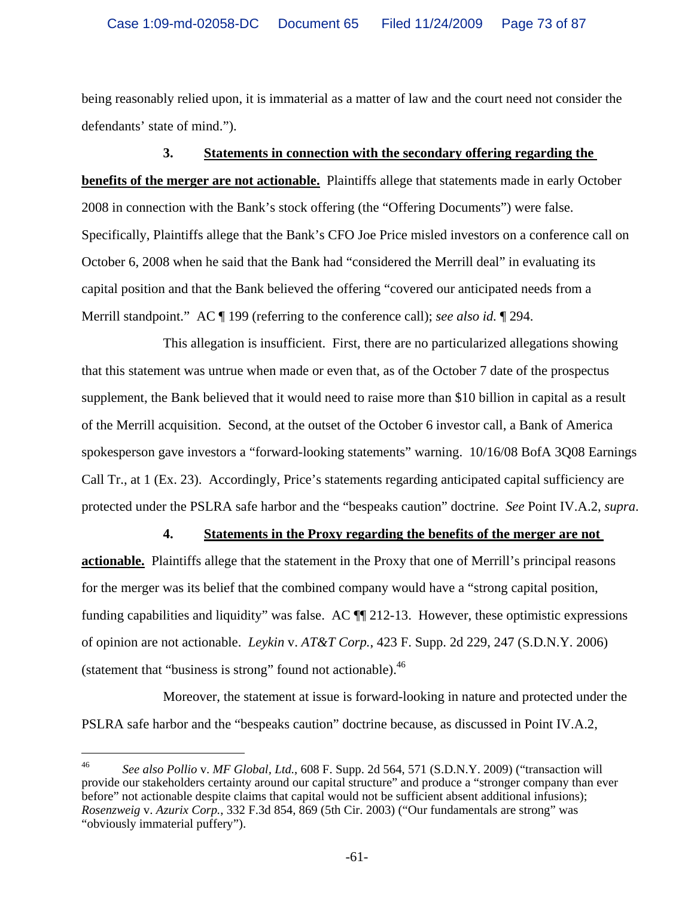being reasonably relied upon, it is immaterial as a matter of law and the court need not consider the defendants' state of mind.").

#### **3. Statements in connection with the secondary offering regarding the**

**benefits of the merger are not actionable.** Plaintiffs allege that statements made in early October 2008 in connection with the Bank's stock offering (the "Offering Documents") were false. Specifically, Plaintiffs allege that the Bank's CFO Joe Price misled investors on a conference call on October 6, 2008 when he said that the Bank had "considered the Merrill deal" in evaluating its capital position and that the Bank believed the offering "covered our anticipated needs from a Merrill standpoint." AC ¶ 199 (referring to the conference call); *see also id.* ¶ 294.

This allegation is insufficient. First, there are no particularized allegations showing that this statement was untrue when made or even that, as of the October 7 date of the prospectus supplement, the Bank believed that it would need to raise more than \$10 billion in capital as a result of the Merrill acquisition. Second, at the outset of the October 6 investor call, a Bank of America spokesperson gave investors a "forward-looking statements" warning. 10/16/08 BofA 3Q08 Earnings Call Tr., at 1 (Ex. 23). Accordingly, Price's statements regarding anticipated capital sufficiency are protected under the PSLRA safe harbor and the "bespeaks caution" doctrine. *See* Point IV.A.2, *supra*.

#### **4. Statements in the Proxy regarding the benefits of the merger are not**

**actionable.** Plaintiffs allege that the statement in the Proxy that one of Merrill's principal reasons for the merger was its belief that the combined company would have a "strong capital position, funding capabilities and liquidity" was false. AC ¶¶ 212-13. However, these optimistic expressions of opinion are not actionable. *Leykin* v. *AT&T Corp.*, 423 F. Supp. 2d 229, 247 (S.D.N.Y. 2006) (statement that "business is strong" found not actionable).<sup>46</sup>

Moreover, the statement at issue is forward-looking in nature and protected under the PSLRA safe harbor and the "bespeaks caution" doctrine because, as discussed in Point IV.A.2,

i<br>Li

<sup>46</sup> *See also Pollio* v. *MF Global, Ltd.*, 608 F. Supp. 2d 564, 571 (S.D.N.Y. 2009) ("transaction will provide our stakeholders certainty around our capital structure" and produce a "stronger company than ever before" not actionable despite claims that capital would not be sufficient absent additional infusions); *Rosenzweig* v. *Azurix Corp.*, 332 F.3d 854, 869 (5th Cir. 2003) ("Our fundamentals are strong" was "obviously immaterial puffery").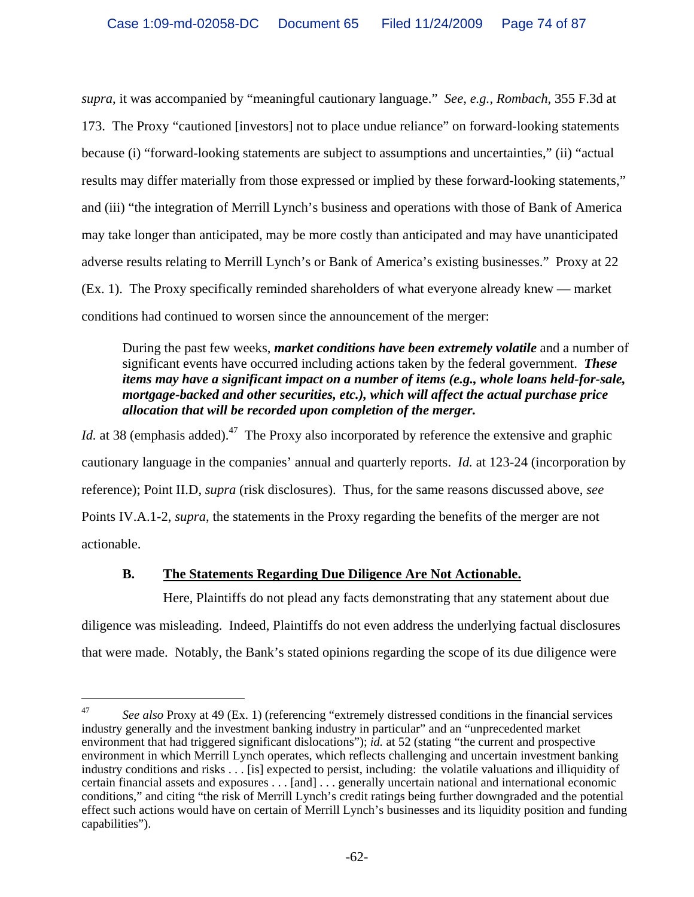*supra*, it was accompanied by "meaningful cautionary language." *See, e.g.*, *Rombach*, 355 F.3d at 173. The Proxy "cautioned [investors] not to place undue reliance" on forward-looking statements because (i) "forward-looking statements are subject to assumptions and uncertainties," (ii) "actual results may differ materially from those expressed or implied by these forward-looking statements," and (iii) "the integration of Merrill Lynch's business and operations with those of Bank of America may take longer than anticipated, may be more costly than anticipated and may have unanticipated adverse results relating to Merrill Lynch's or Bank of America's existing businesses." Proxy at 22 (Ex. 1). The Proxy specifically reminded shareholders of what everyone already knew — market conditions had continued to worsen since the announcement of the merger:

## During the past few weeks, *market conditions have been extremely volatile* and a number of significant events have occurred including actions taken by the federal government. *These items may have a significant impact on a number of items (e.g., whole loans held-for-sale, mortgage-backed and other securities, etc.), which will affect the actual purchase price allocation that will be recorded upon completion of the merger.*

*Id.* at 38 (emphasis added).<sup>47</sup> The Proxy also incorporated by reference the extensive and graphic cautionary language in the companies' annual and quarterly reports. *Id.* at 123-24 (incorporation by reference); Point II.D, *supra* (risk disclosures). Thus, for the same reasons discussed above, *see*  Points IV.A.1-2, *supra*, the statements in the Proxy regarding the benefits of the merger are not actionable.

# **B. The Statements Regarding Due Diligence Are Not Actionable.**

 $\overline{\phantom{0}}$ 

Here, Plaintiffs do not plead any facts demonstrating that any statement about due diligence was misleading. Indeed, Plaintiffs do not even address the underlying factual disclosures that were made. Notably, the Bank's stated opinions regarding the scope of its due diligence were

<sup>47</sup> *See also* Proxy at 49 (Ex. 1) (referencing "extremely distressed conditions in the financial services industry generally and the investment banking industry in particular" and an "unprecedented market environment that had triggered significant dislocations"); *id.* at 52 (stating "the current and prospective environment in which Merrill Lynch operates, which reflects challenging and uncertain investment banking industry conditions and risks . . . [is] expected to persist, including: the volatile valuations and illiquidity of certain financial assets and exposures . . . [and] . . . generally uncertain national and international economic conditions," and citing "the risk of Merrill Lynch's credit ratings being further downgraded and the potential effect such actions would have on certain of Merrill Lynch's businesses and its liquidity position and funding capabilities").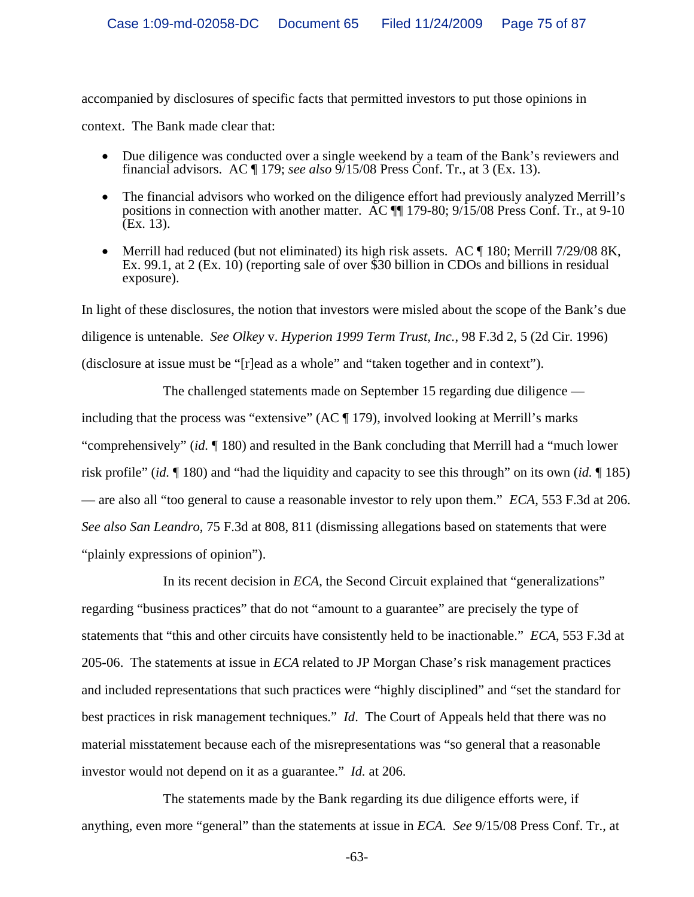accompanied by disclosures of specific facts that permitted investors to put those opinions in context. The Bank made clear that:

- Due diligence was conducted over a single weekend by a team of the Bank's reviewers and financial advisors. AC ¶ 179; *see also* 9/15/08 Press Conf. Tr., at 3 (Ex. 13).
- The financial advisors who worked on the diligence effort had previously analyzed Merrill's positions in connection with another matter. AC ¶¶ 179-80; 9/15/08 Press Conf. Tr., at 9-10 (Ex. 13).
- Merrill had reduced (but not eliminated) its high risk assets. AC ¶ 180; Merrill 7/29/08 8K, Ex. 99.1, at 2 (Ex. 10) (reporting sale of over \$30 billion in CDOs and billions in residual exposure).

In light of these disclosures, the notion that investors were misled about the scope of the Bank's due diligence is untenable. *See Olkey* v. *Hyperion 1999 Term Trust, Inc.*, 98 F.3d 2, 5 (2d Cir. 1996) (disclosure at issue must be "[r]ead as a whole" and "taken together and in context").

The challenged statements made on September 15 regarding due diligence including that the process was "extensive" (AC ¶ 179), involved looking at Merrill's marks "comprehensively" (*id.* ¶ 180) and resulted in the Bank concluding that Merrill had a "much lower risk profile" (*id.* ¶ 180) and "had the liquidity and capacity to see this through" on its own (*id.* ¶ 185) — are also all "too general to cause a reasonable investor to rely upon them." *ECA,* 553 F.3d at 206. *See also San Leandro*, 75 F.3d at 808, 811 (dismissing allegations based on statements that were "plainly expressions of opinion").

In its recent decision in *ECA*, the Second Circuit explained that "generalizations" regarding "business practices" that do not "amount to a guarantee" are precisely the type of statements that "this and other circuits have consistently held to be inactionable." *ECA*, 553 F.3d at 205-06.The statements at issue in *ECA* related to JP Morgan Chase's risk management practices and included representations that such practices were "highly disciplined" and "set the standard for best practices in risk management techniques." *Id*.The Court of Appeals held that there was no material misstatement because each of the misrepresentations was "so general that a reasonable investor would not depend on it as a guarantee." *Id.* at 206.

The statements made by the Bank regarding its due diligence efforts were, if anything, even more "general" than the statements at issue in *ECA. See* 9/15/08 Press Conf. Tr., at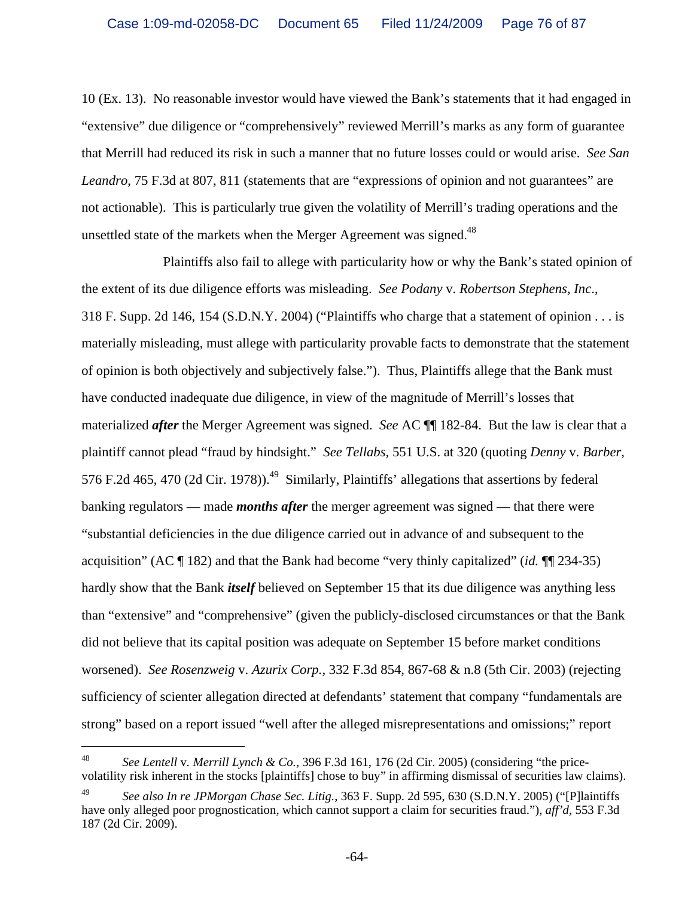10 (Ex. 13). No reasonable investor would have viewed the Bank's statements that it had engaged in "extensive" due diligence or "comprehensively" reviewed Merrill's marks as any form of guarantee that Merrill had reduced its risk in such a manner that no future losses could or would arise. *See San Leandro*, 75 F.3d at 807, 811 (statements that are "expressions of opinion and not guarantees" are not actionable). This is particularly true given the volatility of Merrill's trading operations and the unsettled state of the markets when the Merger Agreement was signed.<sup>48</sup>

 Plaintiffs also fail to allege with particularity how or why the Bank's stated opinion of the extent of its due diligence efforts was misleading. *See Podany* v. *Robertson Stephens, Inc*., 318 F. Supp. 2d 146, 154 (S.D.N.Y. 2004) ("Plaintiffs who charge that a statement of opinion . . . is materially misleading, must allege with particularity provable facts to demonstrate that the statement of opinion is both objectively and subjectively false."). Thus, Plaintiffs allege that the Bank must have conducted inadequate due diligence, in view of the magnitude of Merrill's losses that materialized *after* the Merger Agreement was signed. *See* AC ¶¶ 182-84. But the law is clear that a plaintiff cannot plead "fraud by hindsight." *See Tellabs,* 551 U.S. at 320 (quoting *Denny* v. *Barber*, 576 F.2d 465, 470 (2d Cir. 1978)).<sup>49</sup> Similarly, Plaintiffs' allegations that assertions by federal banking regulators — made *months after* the merger agreement was signed — that there were "substantial deficiencies in the due diligence carried out in advance of and subsequent to the acquisition" (AC ¶ 182) and that the Bank had become "very thinly capitalized" (*id.* ¶¶ 234-35) hardly show that the Bank *itself* believed on September 15 that its due diligence was anything less than "extensive" and "comprehensive" (given the publicly-disclosed circumstances or that the Bank did not believe that its capital position was adequate on September 15 before market conditions worsened). *See Rosenzweig* v. *Azurix Corp.,* 332 F.3d 854, 867-68 & n.8 (5th Cir. 2003) (rejecting sufficiency of scienter allegation directed at defendants' statement that company "fundamentals are strong" based on a report issued "well after the alleged misrepresentations and omissions;" report

i<br>Li

<sup>48</sup> *See Lentell* v*. Merrill Lynch & Co.*, 396 F.3d 161, 176 (2d Cir. 2005) (considering "the pricevolatility risk inherent in the stocks [plaintiffs] chose to buy" in affirming dismissal of securities law claims).

<sup>49</sup> *See also In re JPMorgan Chase Sec. Litig.*, 363 F. Supp. 2d 595, 630 (S.D.N.Y. 2005) ("[P]laintiffs have only alleged poor prognostication, which cannot support a claim for securities fraud."), *aff'd*, 553 F.3d 187 (2d Cir. 2009).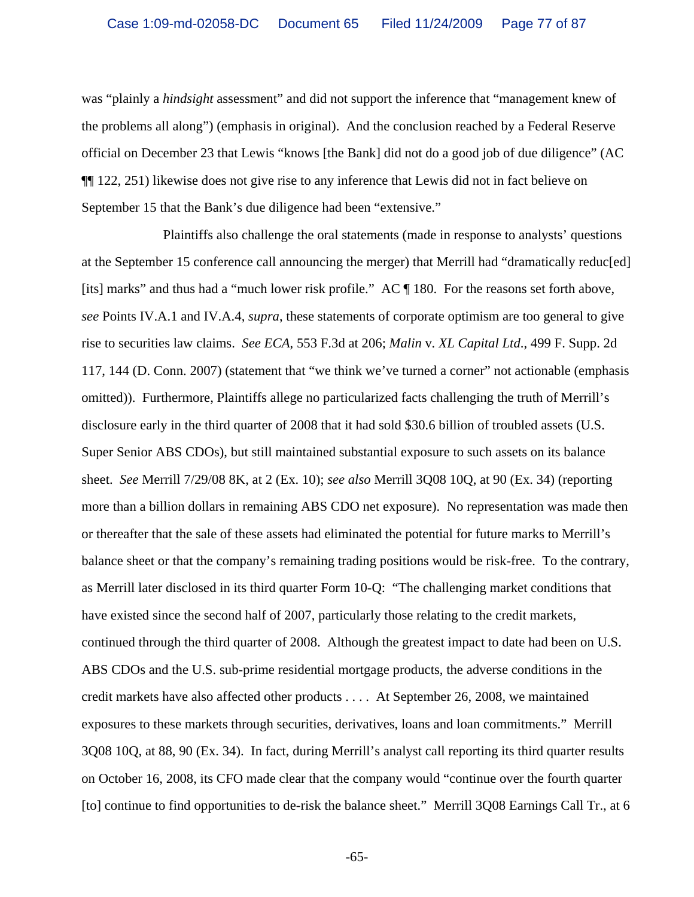was "plainly a *hindsight* assessment" and did not support the inference that "management knew of the problems all along") (emphasis in original). And the conclusion reached by a Federal Reserve official on December 23 that Lewis "knows [the Bank] did not do a good job of due diligence" (AC ¶¶ 122, 251) likewise does not give rise to any inference that Lewis did not in fact believe on September 15 that the Bank's due diligence had been "extensive."

Plaintiffs also challenge the oral statements (made in response to analysts' questions at the September 15 conference call announcing the merger) that Merrill had "dramatically reduc[ed] [its] marks" and thus had a "much lower risk profile." AC ¶ 180. For the reasons set forth above, *see* Points IV.A.1 and IV.A.4, *supra*, these statements of corporate optimism are too general to give rise to securities law claims. *See ECA*, 553 F.3d at 206; *Malin* v*. XL Capital Ltd*., 499 F. Supp. 2d 117, 144 (D. Conn. 2007) (statement that "we think we've turned a corner" not actionable (emphasis omitted)). Furthermore, Plaintiffs allege no particularized facts challenging the truth of Merrill's disclosure early in the third quarter of 2008 that it had sold \$30.6 billion of troubled assets (U.S. Super Senior ABS CDOs), but still maintained substantial exposure to such assets on its balance sheet. *See* Merrill 7/29/08 8K, at 2 (Ex. 10); *see also* Merrill 3Q08 10Q, at 90 (Ex. 34) (reporting more than a billion dollars in remaining ABS CDO net exposure). No representation was made then or thereafter that the sale of these assets had eliminated the potential for future marks to Merrill's balance sheet or that the company's remaining trading positions would be risk-free. To the contrary, as Merrill later disclosed in its third quarter Form 10-Q: "The challenging market conditions that have existed since the second half of 2007, particularly those relating to the credit markets, continued through the third quarter of 2008. Although the greatest impact to date had been on U.S. ABS CDOs and the U.S. sub-prime residential mortgage products, the adverse conditions in the credit markets have also affected other products . . . . At September 26, 2008, we maintained exposures to these markets through securities, derivatives, loans and loan commitments." Merrill 3Q08 10Q, at 88, 90 (Ex. 34). In fact, during Merrill's analyst call reporting its third quarter results on October 16, 2008, its CFO made clear that the company would "continue over the fourth quarter [to] continue to find opportunities to de-risk the balance sheet." Merrill 3Q08 Earnings Call Tr., at 6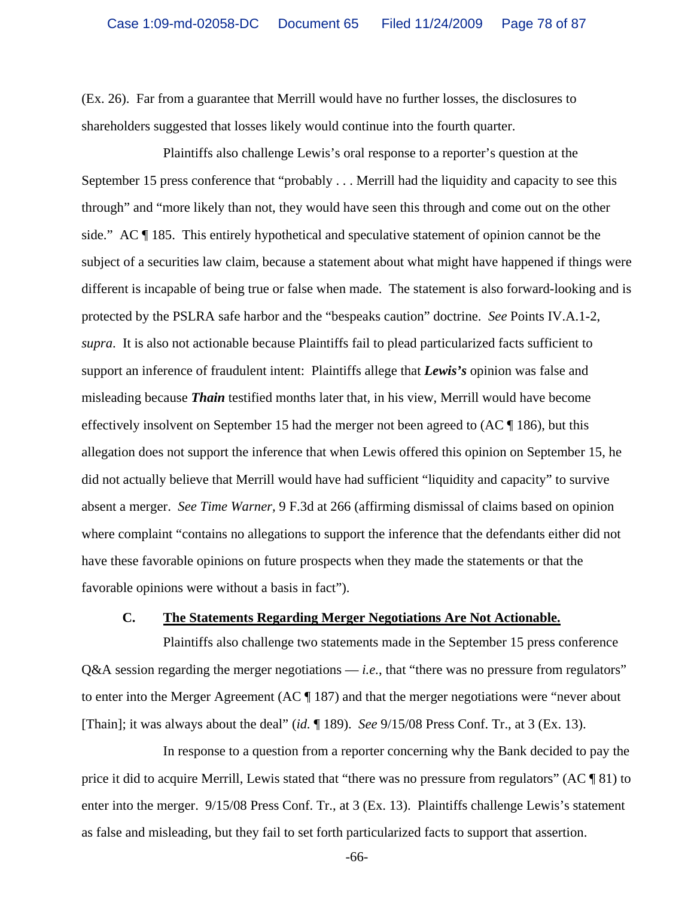(Ex. 26). Far from a guarantee that Merrill would have no further losses, the disclosures to shareholders suggested that losses likely would continue into the fourth quarter.

Plaintiffs also challenge Lewis's oral response to a reporter's question at the September 15 press conference that "probably . . . Merrill had the liquidity and capacity to see this through" and "more likely than not, they would have seen this through and come out on the other side." AC ¶ 185.This entirely hypothetical and speculative statement of opinion cannot be the subject of a securities law claim, because a statement about what might have happened if things were different is incapable of being true or false when made. The statement is also forward-looking and is protected by the PSLRA safe harbor and the "bespeaks caution" doctrine. *See* Points IV.A.1-2, *supra*. It is also not actionable because Plaintiffs fail to plead particularized facts sufficient to support an inference of fraudulent intent: Plaintiffs allege that *Lewis's* opinion was false and misleading because *Thain* testified months later that, in his view, Merrill would have become effectively insolvent on September 15 had the merger not been agreed to (AC ¶ 186), but this allegation does not support the inference that when Lewis offered this opinion on September 15, he did not actually believe that Merrill would have had sufficient "liquidity and capacity" to survive absent a merger. *See Time Warner,* 9 F.3d at 266 (affirming dismissal of claims based on opinion where complaint "contains no allegations to support the inference that the defendants either did not have these favorable opinions on future prospects when they made the statements or that the favorable opinions were without a basis in fact").

## **C. The Statements Regarding Merger Negotiations Are Not Actionable.**

Plaintiffs also challenge two statements made in the September 15 press conference Q&A session regarding the merger negotiations — *i.e.*, that "there was no pressure from regulators" to enter into the Merger Agreement (AC ¶ 187) and that the merger negotiations were "never about [Thain]; it was always about the deal" (*id.* ¶ 189). *See* 9/15/08 Press Conf. Tr., at 3 (Ex. 13).

In response to a question from a reporter concerning why the Bank decided to pay the price it did to acquire Merrill, Lewis stated that "there was no pressure from regulators" (AC ¶ 81) to enter into the merger. 9/15/08 Press Conf. Tr., at 3 (Ex. 13).Plaintiffs challenge Lewis's statement as false and misleading, but they fail to set forth particularized facts to support that assertion.

-66-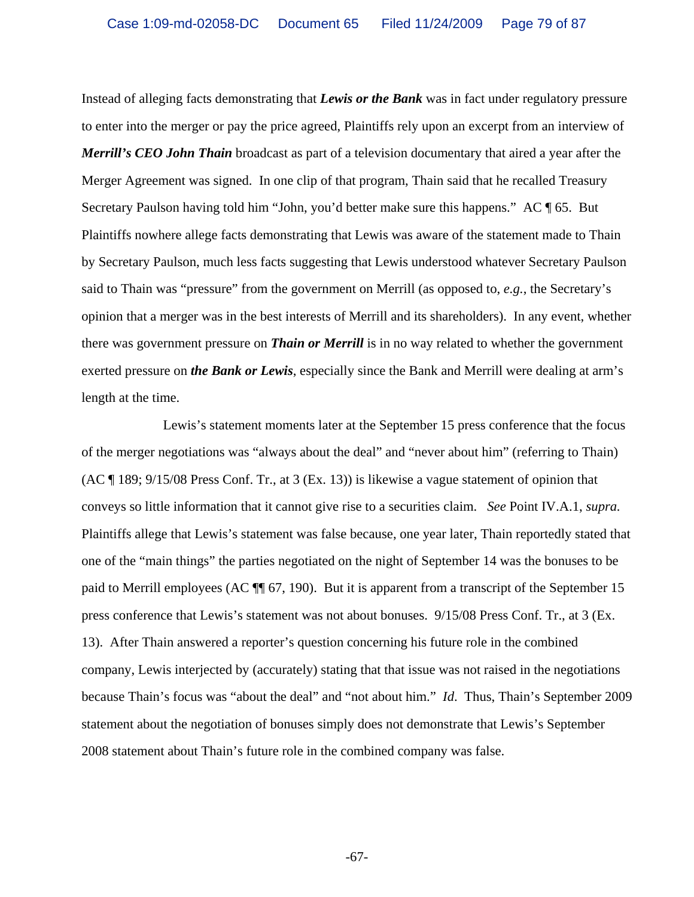Instead of alleging facts demonstrating that *Lewis or the Bank* was in fact under regulatory pressure to enter into the merger or pay the price agreed, Plaintiffs rely upon an excerpt from an interview of *Merrill's CEO John Thain* broadcast as part of a television documentary that aired a year after the Merger Agreement was signed. In one clip of that program, Thain said that he recalled Treasury Secretary Paulson having told him "John, you'd better make sure this happens." AC ¶ 65. But Plaintiffs nowhere allege facts demonstrating that Lewis was aware of the statement made to Thain by Secretary Paulson, much less facts suggesting that Lewis understood whatever Secretary Paulson said to Thain was "pressure" from the government on Merrill (as opposed to, *e.g.*, the Secretary's opinion that a merger was in the best interests of Merrill and its shareholders). In any event, whether there was government pressure on *Thain or Merrill* is in no way related to whether the government exerted pressure on *the Bank or Lewis*, especially since the Bank and Merrill were dealing at arm's length at the time.

Lewis's statement moments later at the September 15 press conference that the focus of the merger negotiations was "always about the deal" and "never about him" (referring to Thain) (AC ¶ 189; 9/15/08 Press Conf. Tr., at 3 (Ex. 13)) is likewise a vague statement of opinion that conveys so little information that it cannot give rise to a securities claim. *See* Point IV.A.1, *supra.*  Plaintiffs allege that Lewis's statement was false because, one year later, Thain reportedly stated that one of the "main things" the parties negotiated on the night of September 14 was the bonuses to be paid to Merrill employees (AC ¶¶ 67, 190). But it is apparent from a transcript of the September 15 press conference that Lewis's statement was not about bonuses. 9/15/08 Press Conf. Tr., at 3 (Ex. 13). After Thain answered a reporter's question concerning his future role in the combined company, Lewis interjected by (accurately) stating that that issue was not raised in the negotiations because Thain's focus was "about the deal" and "not about him." *Id*. Thus, Thain's September 2009 statement about the negotiation of bonuses simply does not demonstrate that Lewis's September 2008 statement about Thain's future role in the combined company was false.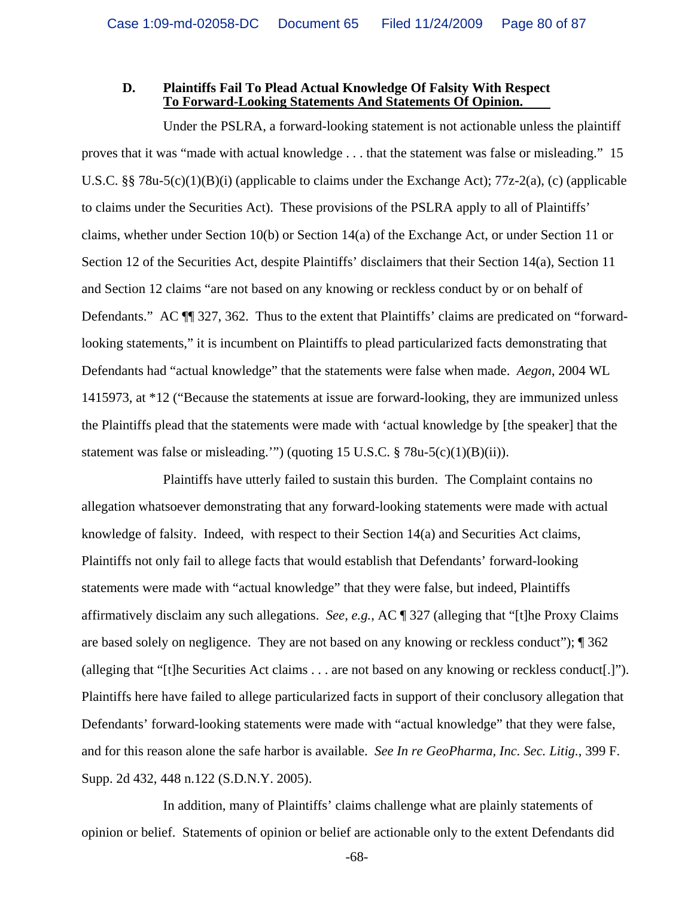#### **D. Plaintiffs Fail To Plead Actual Knowledge Of Falsity With Respect To Forward-Looking Statements And Statements Of Opinion.**

Under the PSLRA, a forward-looking statement is not actionable unless the plaintiff proves that it was "made with actual knowledge . . . that the statement was false or misleading." 15 U.S.C. §§ 78u-5(c)(1)(B)(i) (applicable to claims under the Exchange Act); 77z-2(a), (c) (applicable to claims under the Securities Act). These provisions of the PSLRA apply to all of Plaintiffs' claims, whether under Section 10(b) or Section 14(a) of the Exchange Act, or under Section 11 or Section 12 of the Securities Act, despite Plaintiffs' disclaimers that their Section 14(a), Section 11 and Section 12 claims "are not based on any knowing or reckless conduct by or on behalf of Defendants." AC  $\P$  327, 362. Thus to the extent that Plaintiffs' claims are predicated on "forwardlooking statements," it is incumbent on Plaintiffs to plead particularized facts demonstrating that Defendants had "actual knowledge" that the statements were false when made. *Aegon*, 2004 WL 1415973, at \*12 ("Because the statements at issue are forward-looking, they are immunized unless the Plaintiffs plead that the statements were made with 'actual knowledge by [the speaker] that the statement was false or misleading."") (quoting 15 U.S.C.  $\S$  78u-5(c)(1)(B)(ii)).

Plaintiffs have utterly failed to sustain this burden. The Complaint contains no allegation whatsoever demonstrating that any forward-looking statements were made with actual knowledge of falsity. Indeed, with respect to their Section 14(a) and Securities Act claims, Plaintiffs not only fail to allege facts that would establish that Defendants' forward-looking statements were made with "actual knowledge" that they were false, but indeed, Plaintiffs affirmatively disclaim any such allegations. *See, e.g.*, AC ¶ 327 (alleging that "[t]he Proxy Claims are based solely on negligence. They are not based on any knowing or reckless conduct"); ¶ 362 (alleging that "[t]he Securities Act claims . . . are not based on any knowing or reckless conduct[.]"). Plaintiffs here have failed to allege particularized facts in support of their conclusory allegation that Defendants' forward-looking statements were made with "actual knowledge" that they were false, and for this reason alone the safe harbor is available. *See In re GeoPharma, Inc. Sec. Litig.*, 399 F. Supp. 2d 432, 448 n.122 (S.D.N.Y. 2005).

In addition, many of Plaintiffs' claims challenge what are plainly statements of opinion or belief. Statements of opinion or belief are actionable only to the extent Defendants did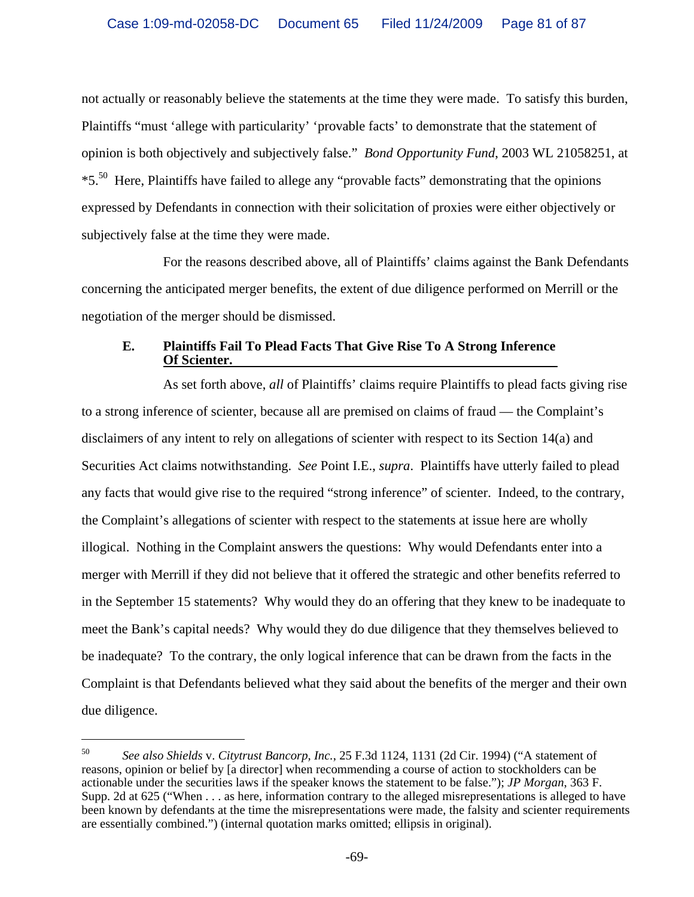not actually or reasonably believe the statements at the time they were made. To satisfy this burden, Plaintiffs "must 'allege with particularity' 'provable facts' to demonstrate that the statement of opinion is both objectively and subjectively false." *Bond Opportunity Fund*, 2003 WL 21058251, at \*5.50 Here, Plaintiffs have failed to allege any "provable facts" demonstrating that the opinions expressed by Defendants in connection with their solicitation of proxies were either objectively or subjectively false at the time they were made.

For the reasons described above, all of Plaintiffs' claims against the Bank Defendants concerning the anticipated merger benefits, the extent of due diligence performed on Merrill or the negotiation of the merger should be dismissed.

## **E. Plaintiffs Fail To Plead Facts That Give Rise To A Strong Inference Of Scienter.**

As set forth above, *all* of Plaintiffs' claims require Plaintiffs to plead facts giving rise to a strong inference of scienter, because all are premised on claims of fraud — the Complaint's disclaimers of any intent to rely on allegations of scienter with respect to its Section 14(a) and Securities Act claims notwithstanding. *See* Point I.E., *supra*. Plaintiffs have utterly failed to plead any facts that would give rise to the required "strong inference" of scienter. Indeed, to the contrary, the Complaint's allegations of scienter with respect to the statements at issue here are wholly illogical. Nothing in the Complaint answers the questions: Why would Defendants enter into a merger with Merrill if they did not believe that it offered the strategic and other benefits referred to in the September 15 statements? Why would they do an offering that they knew to be inadequate to meet the Bank's capital needs? Why would they do due diligence that they themselves believed to be inadequate? To the contrary, the only logical inference that can be drawn from the facts in the Complaint is that Defendants believed what they said about the benefits of the merger and their own due diligence.

 $\overline{\phantom{0}}$ 

<sup>50</sup> *See also Shields* v. *Citytrust Bancorp, Inc.*, 25 F.3d 1124, 1131 (2d Cir. 1994) ("A statement of reasons, opinion or belief by [a director] when recommending a course of action to stockholders can be actionable under the securities laws if the speaker knows the statement to be false."); *JP Morgan*, 363 F. Supp. 2d at 625 ("When . . . as here, information contrary to the alleged misrepresentations is alleged to have been known by defendants at the time the misrepresentations were made, the falsity and scienter requirements are essentially combined.") (internal quotation marks omitted; ellipsis in original).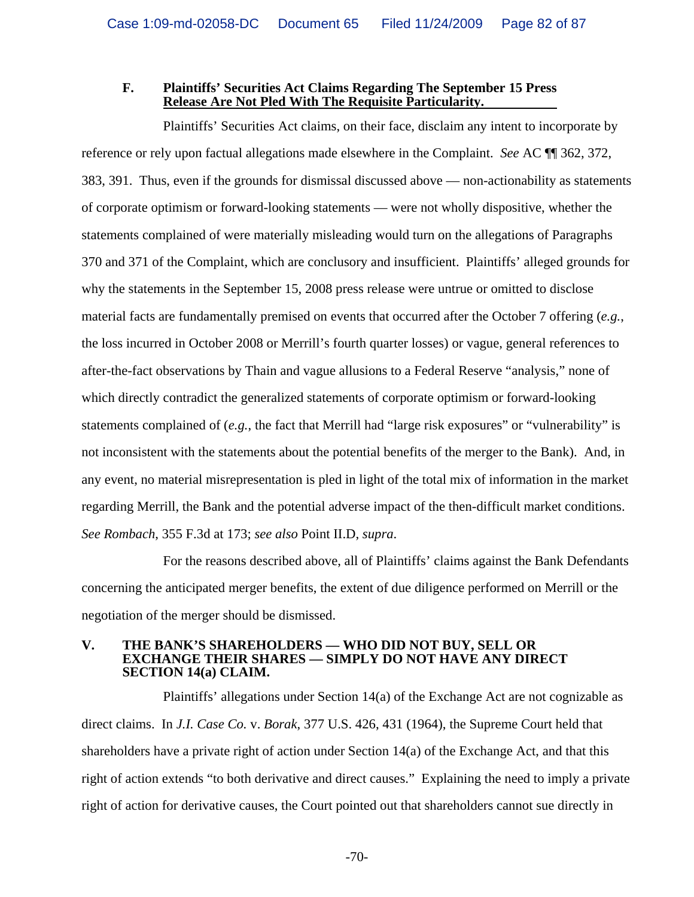#### **F. Plaintiffs' Securities Act Claims Regarding The September 15 Press Release Are Not Pled With The Requisite Particularity.**

Plaintiffs' Securities Act claims, on their face, disclaim any intent to incorporate by reference or rely upon factual allegations made elsewhere in the Complaint. *See* AC ¶¶ 362, 372, 383, 391. Thus, even if the grounds for dismissal discussed above — non-actionability as statements of corporate optimism or forward-looking statements — were not wholly dispositive, whether the statements complained of were materially misleading would turn on the allegations of Paragraphs 370 and 371 of the Complaint, which are conclusory and insufficient. Plaintiffs' alleged grounds for why the statements in the September 15, 2008 press release were untrue or omitted to disclose material facts are fundamentally premised on events that occurred after the October 7 offering (*e.g.*, the loss incurred in October 2008 or Merrill's fourth quarter losses) or vague, general references to after-the-fact observations by Thain and vague allusions to a Federal Reserve "analysis," none of which directly contradict the generalized statements of corporate optimism or forward-looking statements complained of (*e.g.*, the fact that Merrill had "large risk exposures" or "vulnerability" is not inconsistent with the statements about the potential benefits of the merger to the Bank). And, in any event, no material misrepresentation is pled in light of the total mix of information in the market regarding Merrill, the Bank and the potential adverse impact of the then-difficult market conditions. *See Rombach*, 355 F.3d at 173; *see also* Point II.D, *supra*.

For the reasons described above, all of Plaintiffs' claims against the Bank Defendants concerning the anticipated merger benefits, the extent of due diligence performed on Merrill or the negotiation of the merger should be dismissed.

#### **V. THE BANK'S SHAREHOLDERS — WHO DID NOT BUY, SELL OR EXCHANGE THEIR SHARES — SIMPLY DO NOT HAVE ANY DIRECT SECTION 14(a) CLAIM.**

Plaintiffs' allegations under Section 14(a) of the Exchange Act are not cognizable as direct claims. In *J.I. Case Co.* v. *Borak*, 377 U.S. 426, 431 (1964), the Supreme Court held that shareholders have a private right of action under Section 14(a) of the Exchange Act, and that this right of action extends "to both derivative and direct causes." Explaining the need to imply a private right of action for derivative causes, the Court pointed out that shareholders cannot sue directly in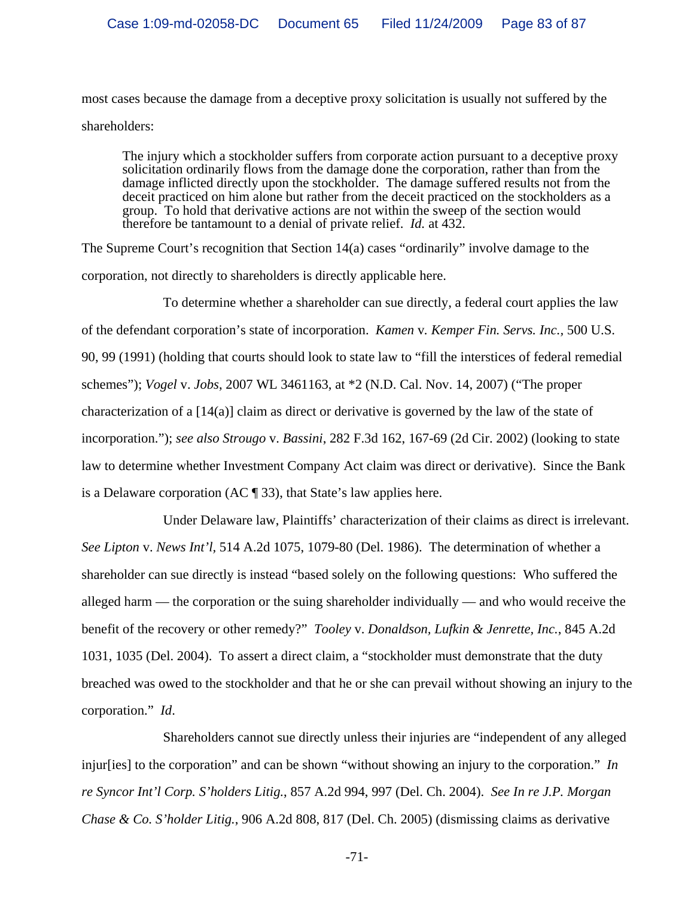most cases because the damage from a deceptive proxy solicitation is usually not suffered by the shareholders:

The injury which a stockholder suffers from corporate action pursuant to a deceptive proxy solicitation ordinarily flows from the damage done the corporation, rather than from the damage inflicted directly upon the stockholder. The damage suffered results not from the deceit practiced on him alone but rather from the deceit practiced on the stockholders as a group. To hold that derivative actions are not within the sweep of the section would therefore be tantamount to a denial of private relief. *Id.* at 432.

The Supreme Court's recognition that Section 14(a) cases "ordinarily" involve damage to the corporation, not directly to shareholders is directly applicable here.

To determine whether a shareholder can sue directly, a federal court applies the law of the defendant corporation's state of incorporation. *Kamen* v*. Kemper Fin. Servs. Inc.,* 500 U.S. 90, 99 (1991) (holding that courts should look to state law to "fill the interstices of federal remedial schemes"); *Vogel* v. *Jobs*, 2007 WL 3461163, at \*2 (N.D. Cal. Nov. 14, 2007) ("The proper characterization of a [14(a)] claim as direct or derivative is governed by the law of the state of incorporation."); *see also Strougo* v. *Bassini*, 282 F.3d 162, 167-69 (2d Cir. 2002) (looking to state law to determine whether Investment Company Act claim was direct or derivative). Since the Bank is a Delaware corporation (AC  $\P$  33), that State's law applies here.

Under Delaware law, Plaintiffs' characterization of their claims as direct is irrelevant. *See Lipton* v. *News Int'l,* 514 A.2d 1075, 1079-80 (Del. 1986). The determination of whether a shareholder can sue directly is instead "based solely on the following questions: Who suffered the alleged harm — the corporation or the suing shareholder individually — and who would receive the benefit of the recovery or other remedy?" *Tooley* v. *Donaldson, Lufkin & Jenrette, Inc.*, 845 A.2d 1031, 1035 (Del. 2004). To assert a direct claim, a "stockholder must demonstrate that the duty breached was owed to the stockholder and that he or she can prevail without showing an injury to the corporation." *Id*.

Shareholders cannot sue directly unless their injuries are "independent of any alleged injur[ies] to the corporation" and can be shown "without showing an injury to the corporation." *In re Syncor Int'l Corp. S'holders Litig.*, 857 A.2d 994, 997 (Del. Ch. 2004). *See In re J.P. Morgan Chase & Co. S'holder Litig.*, 906 A.2d 808, 817 (Del. Ch. 2005) (dismissing claims as derivative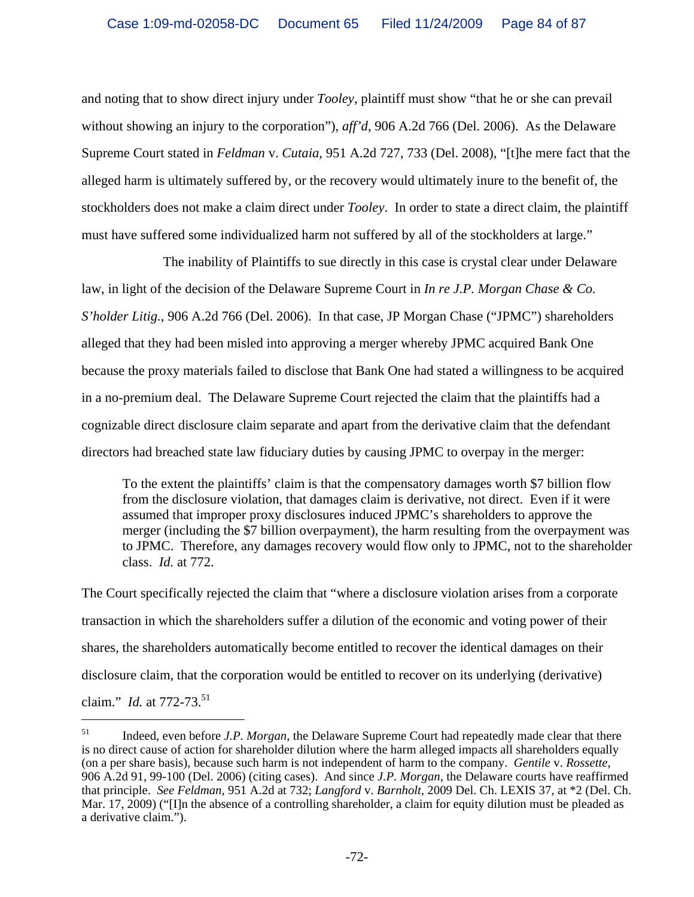and noting that to show direct injury under *Tooley*, plaintiff must show "that he or she can prevail without showing an injury to the corporation"), *aff'd*, 906 A.2d 766 (Del. 2006). As the Delaware Supreme Court stated in *Feldman* v. *Cutaia*, 951 A.2d 727, 733 (Del. 2008), "[t]he mere fact that the alleged harm is ultimately suffered by, or the recovery would ultimately inure to the benefit of, the stockholders does not make a claim direct under *Tooley*. In order to state a direct claim, the plaintiff must have suffered some individualized harm not suffered by all of the stockholders at large."

The inability of Plaintiffs to sue directly in this case is crystal clear under Delaware law, in light of the decision of the Delaware Supreme Court in *In re J.P. Morgan Chase & Co. S'holder Litig.*, 906 A.2d 766 (Del. 2006). In that case, JP Morgan Chase ("JPMC") shareholders alleged that they had been misled into approving a merger whereby JPMC acquired Bank One because the proxy materials failed to disclose that Bank One had stated a willingness to be acquired in a no-premium deal. The Delaware Supreme Court rejected the claim that the plaintiffs had a cognizable direct disclosure claim separate and apart from the derivative claim that the defendant directors had breached state law fiduciary duties by causing JPMC to overpay in the merger:

To the extent the plaintiffs' claim is that the compensatory damages worth \$7 billion flow from the disclosure violation, that damages claim is derivative, not direct. Even if it were assumed that improper proxy disclosures induced JPMC's shareholders to approve the merger (including the \$7 billion overpayment), the harm resulting from the overpayment was to JPMC. Therefore, any damages recovery would flow only to JPMC, not to the shareholder class. *Id.* at 772.

The Court specifically rejected the claim that "where a disclosure violation arises from a corporate transaction in which the shareholders suffer a dilution of the economic and voting power of their shares, the shareholders automatically become entitled to recover the identical damages on their disclosure claim, that the corporation would be entitled to recover on its underlying (derivative) claim." *Id.* at 772-73.<sup>51</sup>

i

<sup>51</sup> Indeed, even before *J.P. Morgan*, the Delaware Supreme Court had repeatedly made clear that there is no direct cause of action for shareholder dilution where the harm alleged impacts all shareholders equally (on a per share basis), because such harm is not independent of harm to the company. *Gentile* v. *Rossette*, 906 A.2d 91, 99-100 (Del. 2006) (citing cases). And since *J.P. Morgan*, the Delaware courts have reaffirmed that principle. *See Feldman*, 951 A.2d at 732; *Langford* v. *Barnholt,* 2009 Del. Ch. LEXIS 37, at \*2 (Del. Ch. Mar. 17, 2009) ("[I]n the absence of a controlling shareholder, a claim for equity dilution must be pleaded as a derivative claim.").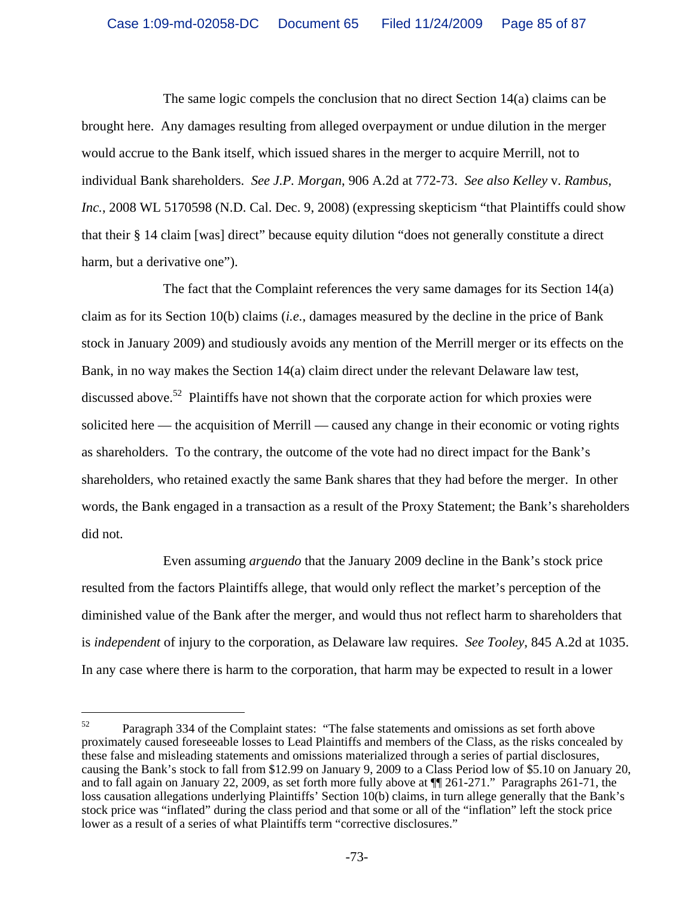The same logic compels the conclusion that no direct Section 14(a) claims can be brought here. Any damages resulting from alleged overpayment or undue dilution in the merger would accrue to the Bank itself, which issued shares in the merger to acquire Merrill, not to individual Bank shareholders. *See J.P. Morgan*, 906 A.2d at 772-73. *See also Kelley* v. *Rambus*, *Inc.*, 2008 WL 5170598 (N.D. Cal. Dec. 9, 2008) (expressing skepticism "that Plaintiffs could show that their § 14 claim [was] direct" because equity dilution "does not generally constitute a direct harm, but a derivative one").

The fact that the Complaint references the very same damages for its Section 14(a) claim as for its Section 10(b) claims (*i.e.*, damages measured by the decline in the price of Bank stock in January 2009) and studiously avoids any mention of the Merrill merger or its effects on the Bank, in no way makes the Section 14(a) claim direct under the relevant Delaware law test, discussed above.<sup>52</sup> Plaintiffs have not shown that the corporate action for which proxies were solicited here — the acquisition of Merrill — caused any change in their economic or voting rights as shareholders. To the contrary, the outcome of the vote had no direct impact for the Bank's shareholders, who retained exactly the same Bank shares that they had before the merger. In other words, the Bank engaged in a transaction as a result of the Proxy Statement; the Bank's shareholders did not.

Even assuming *arguendo* that the January 2009 decline in the Bank's stock price resulted from the factors Plaintiffs allege, that would only reflect the market's perception of the diminished value of the Bank after the merger, and would thus not reflect harm to shareholders that is *independent* of injury to the corporation, as Delaware law requires. *See Tooley*, 845 A.2d at 1035. In any case where there is harm to the corporation, that harm may be expected to result in a lower

 $\overline{\phantom{0}}$ 

 $52$  Paragraph 334 of the Complaint states: "The false statements and omissions as set forth above proximately caused foreseeable losses to Lead Plaintiffs and members of the Class, as the risks concealed by these false and misleading statements and omissions materialized through a series of partial disclosures, causing the Bank's stock to fall from \$12.99 on January 9, 2009 to a Class Period low of \$5.10 on January 20, and to fall again on January 22, 2009, as set forth more fully above at ¶¶ 261-271." Paragraphs 261-71, the loss causation allegations underlying Plaintiffs' Section 10(b) claims, in turn allege generally that the Bank's stock price was "inflated" during the class period and that some or all of the "inflation" left the stock price lower as a result of a series of what Plaintiffs term "corrective disclosures."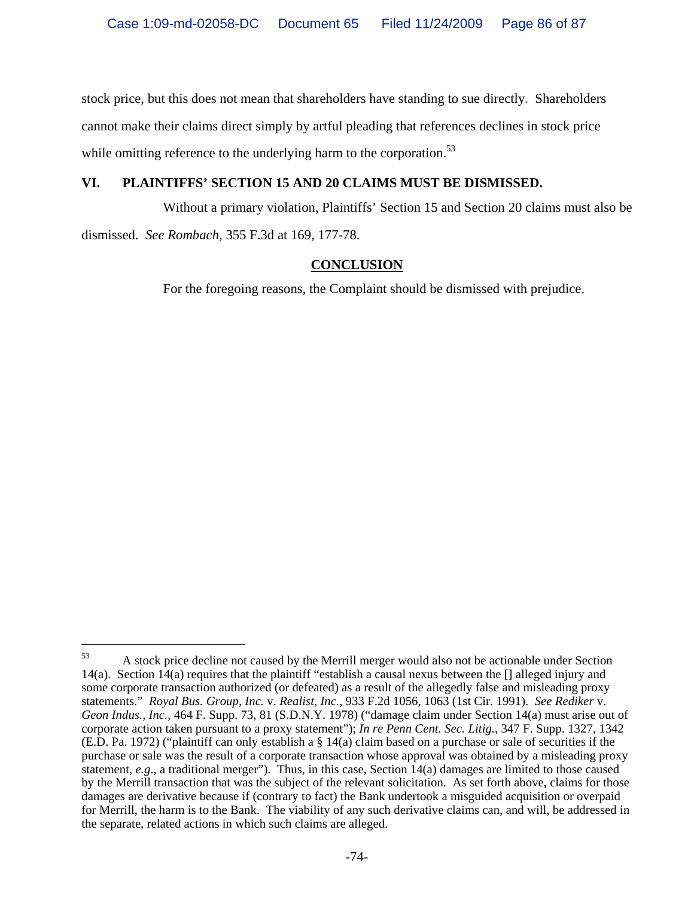stock price, but this does not mean that shareholders have standing to sue directly. Shareholders cannot make their claims direct simply by artful pleading that references declines in stock price while omitting reference to the underlying harm to the corporation.<sup>53</sup>

## **VI. PLAINTIFFS' SECTION 15 AND 20 CLAIMS MUST BE DISMISSED.**

Without a primary violation, Plaintiffs' Section 15 and Section 20 claims must also be dismissed. *See Rombach*, 355 F.3d at 169, 177-78.

# **CONCLUSION**

For the foregoing reasons, the Complaint should be dismissed with prejudice.

 $\overline{\phantom{0}}$ 

<sup>&</sup>lt;sup>53</sup> A stock price decline not caused by the Merrill merger would also not be actionable under Section 14(a). Section 14(a) requires that the plaintiff "establish a causal nexus between the [] alleged injury and some corporate transaction authorized (or defeated) as a result of the allegedly false and misleading proxy statements." *Royal Bus. Group, Inc.* v. *Realist, Inc.*, 933 F.2d 1056, 1063 (1st Cir. 1991). *See Rediker* v. *Geon Indus., Inc.*, 464 F. Supp. 73, 81 (S.D.N.Y. 1978) ("damage claim under Section 14(a) must arise out of corporate action taken pursuant to a proxy statement"); *In re Penn Cent. Sec. Litig.*, 347 F. Supp. 1327, 1342 (E.D. Pa. 1972) ("plaintiff can only establish a § 14(a) claim based on a purchase or sale of securities if the purchase or sale was the result of a corporate transaction whose approval was obtained by a misleading proxy statement, *e.g*., a traditional merger"). Thus, in this case, Section 14(a) damages are limited to those caused by the Merrill transaction that was the subject of the relevant solicitation. As set forth above, claims for those damages are derivative because if (contrary to fact) the Bank undertook a misguided acquisition or overpaid for Merrill, the harm is to the Bank. The viability of any such derivative claims can, and will, be addressed in the separate, related actions in which such claims are alleged.